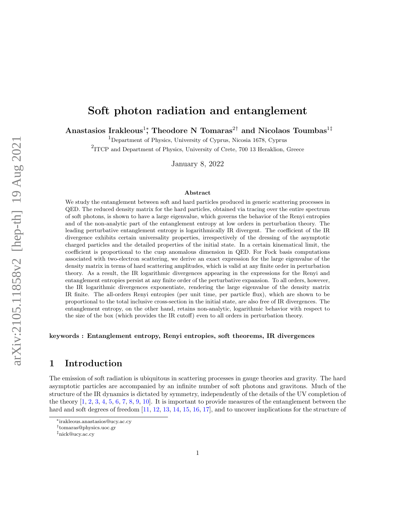# Soft photon radiation and entanglement

Anastasios Irakleous<sup>1</sup>; Theodore N Tomaras<sup>2†</sup> and Nicolaos Toumbas<sup>1‡</sup>

<sup>1</sup>Department of Physics, University of Cyprus, Nicosia 1678, Cyprus

<sup>2</sup>ITCP and Department of Physics, University of Crete, 700 13 Heraklion, Greece

January 8, 2022

#### Abstract

We study the entanglement between soft and hard particles produced in generic scattering processes in QED. The reduced density matrix for the hard particles, obtained via tracing over the entire spectrum of soft photons, is shown to have a large eigenvalue, which governs the behavior of the Renyi entropies and of the non-analytic part of the entanglement entropy at low orders in perturbation theory. The leading perturbative entanglement entropy is logarithmically IR divergent. The coefficient of the IR divergence exhibits certain universality properties, irrespectively of the dressing of the asymptotic charged particles and the detailed properties of the initial state. In a certain kinematical limit, the coefficient is proportional to the cusp anomalous dimension in QED. For Fock basis computations associated with two-electron scattering, we derive an exact expression for the large eigenvalue of the density matrix in terms of hard scattering amplitudes, which is valid at any finite order in perturbation theory. As a result, the IR logarithmic divergences appearing in the expressions for the Renyi and entanglement entropies persist at any finite order of the perturbative expansion. To all orders, however, the IR logarithmic divergences exponentiate, rendering the large eigenvalue of the density matrix IR finite. The all-orders Renyi entropies (per unit time, per particle flux), which are shown to be proportional to the total inclusive cross-section in the initial state, are also free of IR divergences. The entanglement entropy, on the other hand, retains non-analytic, logarithmic behavior with respect to the size of the box (which provides the IR cutoff) even to all orders in perturbation theory.

keywords : Entanglement entropy, Renyi entropies, soft theorems, IR divergences

# 1 Introduction

The emission of soft radiation is ubiquitous in scattering processes in gauge theories and gravity. The hard asymptotic particles are accompanied by an infinite number of soft photons and gravitons. Much of the structure of the IR dynamics is dictated by symmetry, independently of the details of the UV completion of the theory [\[1,](#page-35-0) [2,](#page-35-1) [3,](#page-36-0) [4,](#page-36-1) [5,](#page-36-2) [6,](#page-36-3) [7,](#page-36-4) [8,](#page-36-5) [9,](#page-36-6) [10\]](#page-36-7). It is important to provide measures of the entanglement between the hard and soft degrees of freedom [\[11,](#page-36-8) [12,](#page-36-9) [13,](#page-36-10) [14,](#page-36-11) [15,](#page-36-12) [16,](#page-36-13) [17\]](#page-36-14), and to uncover implications for the structure of

<sup>∗</sup> irakleous.anastasios@ucy.ac.cy

<sup>†</sup> tomaras@physics.uoc.gr

<sup>‡</sup>nick@ucy.ac.cy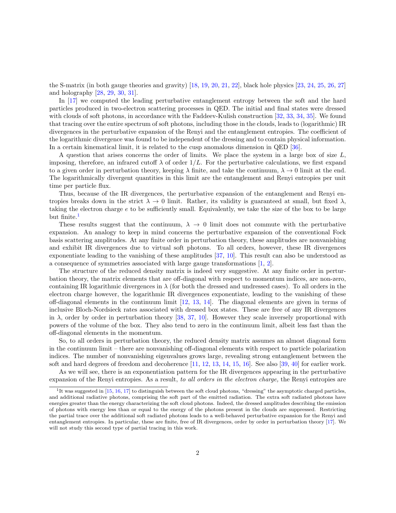the S-matrix (in both gauge theories and gravity) [\[18,](#page-37-0) [19,](#page-37-1) [20,](#page-37-2) [21,](#page-37-3) [22\]](#page-37-4), black hole physics [\[23,](#page-37-5) [24,](#page-37-6) [25,](#page-37-7) [26,](#page-37-8) [27\]](#page-37-9) and holography [\[28,](#page-37-10) [29,](#page-37-11) [30,](#page-37-12) [31\]](#page-37-13).

In [\[17\]](#page-36-14) we computed the leading perturbative entanglement entropy between the soft and the hard particles produced in two-electron scattering processes in QED. The initial and final states were dressed with clouds of soft photons, in accordance with the Faddeev-Kulish construction [\[32,](#page-38-0) [33,](#page-38-1) [34,](#page-38-2) [35\]](#page-38-3). We found that tracing over the entire spectrum of soft photons, including those in the clouds, leads to (logarithmic) IR divergences in the perturbative expansion of the Renyi and the entanglement entropies. The coefficient of the logarithmic divergence was found to be independent of the dressing and to contain physical information. In a certain kinematical limit, it is related to the cusp anomalous dimension in QED [\[36\]](#page-38-4).

A question that arises concerns the order of limits. We place the system in a large box of size  $L$ , imposing, therefore, an infrared cutoff  $\lambda$  of order  $1/L$ . For the perturbative calculations, we first expand to a given order in perturbation theory, keeping  $\lambda$  finite, and take the continuum,  $\lambda \to 0$  limit at the end. The logarithmically divergent quantities in this limit are the entanglement and Renyi entropies per unit time per particle flux.

Thus, because of the IR divergences, the perturbative expansion of the entanglement and Renyi entropies breaks down in the strict  $\lambda \to 0$  limit. Rather, its validity is guaranteed at small, but fixed  $\lambda$ , taking the electron charge e to be sufficiently small. Equivalently, we take the size of the box to be large but finite.<sup>[1](#page-1-0)</sup>

These results suggest that the continuum,  $\lambda \rightarrow 0$  limit does not commute with the perturbative expansion. An analogy to keep in mind concerns the perturbative expansion of the conventional Fock basis scattering amplitudes. At any finite order in perturbation theory, these amplitudes are nonvanishing and exhibit IR divergences due to virtual soft photons. To all orders, however, these IR divergences exponentiate leading to the vanishing of these amplitudes [\[37,](#page-38-5) [10\]](#page-36-7). This result can also be understood as a consequence of symmetries associated with large gauge transformations [\[1,](#page-35-0) [2\]](#page-35-1).

The structure of the reduced density matrix is indeed very suggestive. At any finite order in perturbation theory, the matrix elements that are off-diagonal with respect to momentum indices, are non-zero, containing IR logarithmic divergences in  $\lambda$  (for both the dressed and undressed cases). To all orders in the electron charge however, the logarithmic IR divergences exponentiate, leading to the vanishing of these off-diagonal elements in the continuum limit [\[12,](#page-36-9) [13,](#page-36-10) [14\]](#page-36-11). The diagonal elements are given in terms of inclusive Bloch-Nordsieck rates associated with dressed box states. These are free of any IR divergences in  $\lambda$ , order by order in perturbation theory [\[38,](#page-38-6) [37,](#page-38-5) [10\]](#page-36-7). However they scale inversely proportional with powers of the volume of the box. They also tend to zero in the continuum limit, albeit less fast than the off-diagonal elements in the momentum.

So, to all orders in perturbation theory, the reduced density matrix assumes an almost diagonal form in the continuum limit – there are nonvanishing off-diagonal elements with respect to particle polarization indices. The number of nonvanishing eigenvalues grows large, revealing strong entanglement between the soft and hard degrees of freedom and decoherence [\[11,](#page-36-8) [12,](#page-36-9) [13,](#page-36-10) [14,](#page-36-11) [15,](#page-36-12) [16\]](#page-36-13). See also [\[39,](#page-38-7) [40\]](#page-38-8) for earlier work.

As we will see, there is an exponentiation pattern for the IR divergences appearing in the perturbative expansion of the Renyi entropies. As a result, to all orders in the electron charge, the Renyi entropies are

<span id="page-1-0"></span><sup>&</sup>lt;sup>1</sup>It was suggested in [\[15,](#page-36-12) [16,](#page-36-13) [17\]](#page-36-14) to distinguish between the soft cloud photons, "dressing" the asymptotic charged particles, and additional radiative photons, comprising the soft part of the emitted radiation. The extra soft radiated photons have energies greater than the energy characterizing the soft cloud photons. Indeed, the dressed amplitudes describing the emission of photons with energy less than or equal to the energy of the photons present in the clouds are suppressed. Restricting the partial trace over the additional soft radiated photons leads to a well-behaved perturbative expansion for the Renyi and entanglement entropies. In particular, these are finite, free of IR divergences, order by order in perturbation theory [\[17\]](#page-36-14). We will not study this second type of partial tracing in this work.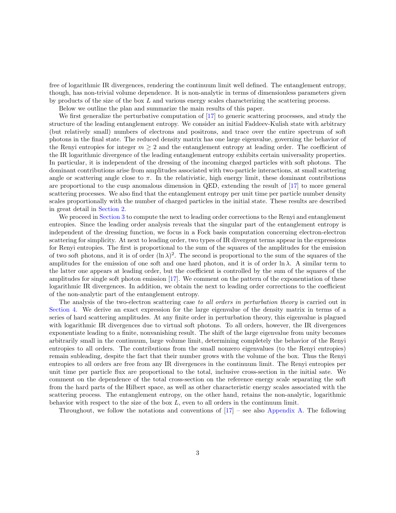free of logarithmic IR divergences, rendering the continuum limit well defined. The entanglement entropy, though, has non-trivial volume dependence. It is non-analytic in terms of dimensionless parameters given by products of the size of the box L and various energy scales characterizing the scattering process.

Below we outline the plan and summarize the main results of this paper.

We first generalize the perturbative computation of [\[17\]](#page-36-14) to generic scattering processes, and study the structure of the leading entanglement entropy. We consider an initial Faddeev-Kulish state with arbitrary (but relatively small) numbers of electrons and positrons, and trace over the entire spectrum of soft photons in the final state. The reduced density matrix has one large eigenvalue, governing the behavior of the Renyi entropies for integer  $m \geq 2$  and the entanglement entropy at leading order. The coefficient of the IR logarithmic divergence of the leading entanglement entropy exhibits certain universality properties. In particular, it is independent of the dressing of the incoming charged particles with soft photons. The dominant contributions arise from amplitudes associated with two-particle interactions, at small scattering angle or scattering angle close to  $\pi$ . In the relativistic, high energy limit, these dominant contributions are proportional to the cusp anomalous dimension in QED, extending the result of [\[17\]](#page-36-14) to more general scattering processes. We also find that the entanglement entropy per unit time per particle number density scales proportionally with the number of charged particles in the initial state. These results are described in great detail in [Section 2.](#page-4-0)

We proceed in [Section 3](#page-12-0) to compute the next to leading order corrections to the Renyi and entanglement entropies. Since the leading order analysis reveals that the singular part of the entanglement entropy is independent of the dressing function, we focus in a Fock basis computation concerning electron-electron scattering for simplicity. At next to leading order, two types of IR divergent terms appear in the expressions for Renyi entropies. The first is proportional to the sum of the squares of the amplitudes for the emission of two soft photons, and it is of order  $(\ln \lambda)^2$ . The second is proportional to the sum of the squares of the amplitudes for the emission of one soft and one hard photon, and it is of order  $\ln \lambda$ . A similar term to the latter one appears at leading order, but the coefficient is controlled by the sum of the squares of the amplitudes for single soft photon emission  $[17]$ . We comment on the pattern of the exponentiation of these logarithmic IR divergences. In addition, we obtain the next to leading order corrections to the coefficient of the non-analytic part of the entanglement entropy.

The analysis of the two-electron scattering case to all orders in perturbation theory is carried out in [Section 4.](#page-15-0) We derive an exact expression for the large eigenvalue of the density matrix in terms of a series of hard scattering amplitudes. At any finite order in perturbation theory, this eigenvalue is plagued with logarithmic IR divergences due to virtual soft photons. To all orders, however, the IR divergences exponentiate leading to a finite, nonvanishing result. The shift of the large eigenvalue from unity becomes arbitrarily small in the continuum, large volume limit, determining completely the behavior of the Renyi entropies to all orders. The contributions from the small nonzero eigenvalues (to the Renyi entropies) remain subleading, despite the fact that their number grows with the volume of the box. Thus the Renyi entropies to all orders are free from any IR divergences in the continuum limit. The Renyi entropies per unit time per particle flux are proportional to the total, inclusive cross-section in the initial sate. We comment on the dependence of the total cross-section on the reference energy scale separating the soft from the hard parts of the Hilbert space, as well as other characteristic energy scales associated with the scattering process. The entanglement entropy, on the other hand, retains the non-analytic, logarithmic behavior with respect to the size of the box  $L$ , even to all orders in the continuum limit.

Throughout, we follow the notations and conventions of  $[17]$  – see also [Appendix A.](#page-20-0) The following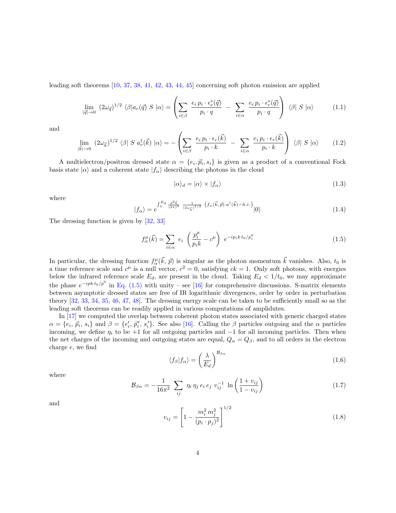leading soft theorems [\[10,](#page-36-7) [37,](#page-38-5) [38,](#page-38-6) [41,](#page-38-9) [42,](#page-38-10) [43,](#page-38-11) [44,](#page-38-12) [45\]](#page-38-13) concerning soft photon emission are applied

$$
\lim_{|\vec{q}| \to 0} (2\omega_{\vec{q}})^{1/2} \langle \beta | a_r(\vec{q}) S | \alpha \rangle = \left( \sum_{i \in \beta} \frac{e_i p_i \cdot \epsilon_r^*(\vec{q})}{p_i \cdot q} - \sum_{i \in \alpha} \frac{e_i p_i \cdot \epsilon_r^*(\vec{q})}{p_i \cdot q} \right) \langle \beta | S | \alpha \rangle \tag{1.1}
$$

and

$$
\lim_{|\vec{k}| \to 0} (2\omega_{\vec{k}})^{1/2} \langle \beta | S a_r^{\dagger}(\vec{k}) | \alpha \rangle = -\left( \sum_{i \in \beta} \frac{e_i p_i \cdot \epsilon_r(\vec{k})}{p_i \cdot k} - \sum_{i \in \alpha} \frac{e_i p_i \cdot \epsilon_r(\vec{k})}{p_i \cdot k} \right) \langle \beta | S | \alpha \rangle \tag{1.2}
$$

A multielectron/positron dressed state  $\alpha = \{e_i, \vec{p}_i, s_i\}$  is given as a product of a conventional Fock basis state  $|\alpha\rangle$  and a coherent state  $|f_{\alpha}\rangle$  describing the photons in the cloud

$$
|\alpha\rangle_d = |\alpha\rangle \times |f_\alpha\rangle \tag{1.3}
$$

where

$$
|f_{\alpha}\rangle = e^{\int_{\lambda}^{E_d} \frac{d^3 \vec{k}}{(2\pi)^3} \frac{1}{(2\omega_{\vec{k}})^{1/2}} \left(f_{\alpha}(\vec{k}, \vec{p}) \cdot a^{\dagger}(\vec{k}) - h.c.\right)}|0\rangle \tag{1.4}
$$

The dressing function is given by [\[32,](#page-38-0) [33\]](#page-38-1)

<span id="page-3-0"></span>
$$
f_{\alpha}^{\mu}(\vec{k}) = \sum_{i \in \alpha} e_i \left( \frac{p_i^{\mu}}{p_i k} - c^{\mu} \right) e^{-ip_i k t_0 / p_i^0}
$$
 (1.5)

In particular, the dressing function  $f_{\alpha}^{\mu}(\vec{k}, \vec{p})$  is singular as the photon momentum  $\vec{k}$  vanishes. Also,  $t_0$  is a time reference scale and  $c^{\mu}$  is a null vector,  $c^2 = 0$ , satisfying  $ck = 1$ . Only soft photons, with energies below the infrared reference scale  $E_d$ , are present in the cloud. Taking  $E_d < 1/t_0$ , we may approximate the phase  $e^{-ipk t_0/p^0}$  in [Eq. \(1.5\)](#page-3-0) with unity – see [\[16\]](#page-36-13) for comprehensive discussions. S-matrix elements between asymptotic dressed states are free of IR logarithmic divergences, order by order in perturbation theory [\[32,](#page-38-0) [33,](#page-38-1) [34,](#page-38-2) [35,](#page-38-3) [46,](#page-38-14) [47,](#page-38-15) [48\]](#page-38-16). The dressing energy scale can be taken to be sufficiently small so as the leading soft theorems can be readily applied in various computations of amplidutes.

In [\[17\]](#page-36-14) we computed the overlap between coherent photon states associated with generic charged states  $\alpha = \{e_i, \vec{p}_i, s_i\}$  and  $\beta = \{e'_i, \vec{p}'_i, s'_i\}$ . See also [\[16\]](#page-36-13). Calling the  $\beta$  particles outgoing and the  $\alpha$  particles incoming, we define  $\eta_i$  to be +1 for all outgoing particles and  $-1$  for all incoming particles. Then when the net charges of the incoming and outgoing states are equal,  $Q_{\alpha} = Q_{\beta}$ , and to all orders in the electron charge e, we find

<span id="page-3-2"></span>
$$
\langle f_{\beta} | f_{\alpha} \rangle = \left(\frac{\lambda}{E_d}\right)^{\mathcal{B}_{\beta \alpha}} \tag{1.6}
$$

where

<span id="page-3-1"></span>
$$
\mathcal{B}_{\beta\alpha} = -\frac{1}{16\pi^2} \sum_{ij} \eta_i \eta_j e_i e_j v_{ij}^{-1} \ln\left(\frac{1 + v_{ij}}{1 - v_{ij}}\right)
$$
(1.7)

and

$$
v_{ij} = \left[1 - \frac{m_i^2 m_j^2}{(p_i \cdot p_j)^2}\right]^{1/2} \tag{1.8}
$$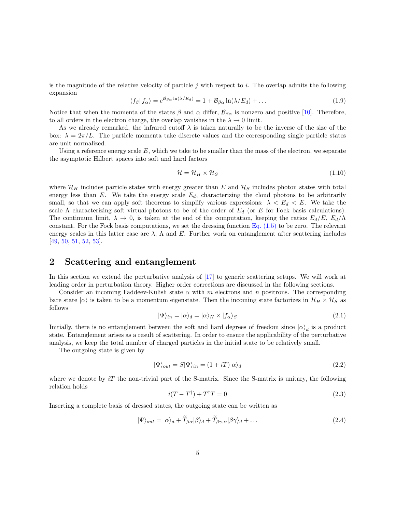is the magnitude of the relative velocity of particle  $j$  with respect to  $i$ . The overlap admits the following expansion

<span id="page-4-2"></span>
$$
\langle f_{\beta} | f_{\alpha} \rangle = e^{\mathcal{B}_{\beta \alpha} \ln(\lambda/E_d)} = 1 + \mathcal{B}_{\beta \alpha} \ln(\lambda/E_d) + \dots \tag{1.9}
$$

Notice that when the momenta of the states  $\beta$  and  $\alpha$  differ,  $\mathcal{B}_{\beta\alpha}$  is nonzero and positive [\[10\]](#page-36-7). Therefore, to all orders in the electron charge, the overlap vanishes in the  $\lambda \to 0$  limit.

As we already remarked, the infrared cutoff  $\lambda$  is taken naturally to be the inverse of the size of the box:  $\lambda = 2\pi/L$ . The particle momenta take discrete values and the corresponding single particle states are unit normalized.

Using a reference energy scale  $E$ , which we take to be smaller than the mass of the electron, we separate the asymptotic Hilbert spaces into soft and hard factors

$$
\mathcal{H} = \mathcal{H}_H \times \mathcal{H}_S \tag{1.10}
$$

where  $\mathcal{H}_H$  includes particle states with energy greater than E and  $\mathcal{H}_S$  includes photon states with total energy less than  $E$ . We take the energy scale  $E_d$ , characterizing the cloud photons to be arbitrarily small, so that we can apply soft theorems to simplify various expressions:  $\lambda < E_d < E$ . We take the scale Λ characterizing soft virtual photons to be of the order of  $E_d$  (or E for Fock basis calculations). The continuum limit,  $\lambda \to 0$ , is taken at the end of the computation, keeping the ratios  $E_d/E$ ,  $E_d/\Lambda$ constant. For the Fock basis computations, we set the dressing function Eq.  $(1.5)$  to be zero. The relevant energy scales in this latter case are  $\lambda$ ,  $\Lambda$  and E. Further work on entanglement after scattering includes [\[49,](#page-39-0) [50,](#page-39-1) [51,](#page-39-2) [52,](#page-39-3) [53\]](#page-39-4).

## <span id="page-4-0"></span>2 Scattering and entanglement

In this section we extend the perturbative analysis of [\[17\]](#page-36-14) to generic scattering setups. We will work at leading order in perturbation theory. Higher order corrections are discussed in the following sections.

Consider an incoming Faddeev-Kulish state  $\alpha$  with m electrons and n positrons. The corresponding bare state  $|\alpha\rangle$  is taken to be a momentum eigenstate. Then the incoming state factorizes in  $\mathcal{H}_H \times \mathcal{H}_S$  as follows

$$
|\Psi\rangle_{in} = |\alpha\rangle_d = |\alpha\rangle_H \times |f_\alpha\rangle_S
$$
\n(2.1)

Initially, there is no entanglement between the soft and hard degrees of freedom since  $|\alpha\rangle_d$  is a product state. Entanglement arises as a result of scattering. In order to ensure the applicability of the perturbative analysis, we keep the total number of charged particles in the initial state to be relatively small.

The outgoing state is given by

$$
|\Psi\rangle_{out} = S|\Psi\rangle_{in} = (1 + iT)|\alpha\rangle_{d}
$$
\n(2.2)

where we denote by  $iT$  the non-trivial part of the S-matrix. Since the S-matrix is unitary, the following relation holds

<span id="page-4-3"></span>
$$
i(T - T^{\dagger}) + T^{\dagger}T = 0 \tag{2.3}
$$

Inserting a complete basis of dressed states, the outgoing state can be written as

<span id="page-4-1"></span>
$$
|\Psi\rangle_{out} = |\alpha\rangle_d + T_{\beta\alpha}|\beta\rangle_d + T_{\beta\gamma,\alpha}|\beta\gamma\rangle_d + \dots
$$
\n(2.4)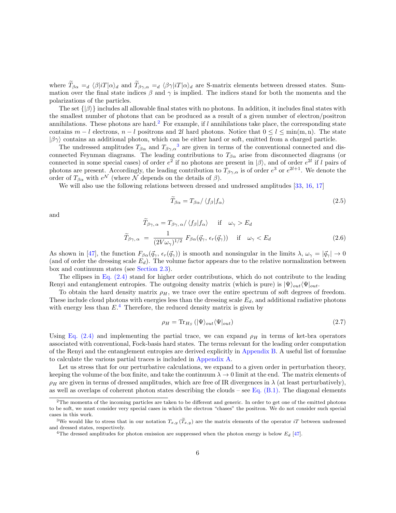where  $T_{\beta\alpha} =_d \langle \beta | i \rangle d$  and  $T_{\beta\gamma,\alpha} =_d \langle \beta \gamma | i \rangle d$  are S-matrix elements between dressed states. Sum-<br>mation over the final state indices  $\beta$  and  $\gamma$  is implied. The indices stand for both the momenta and the polarizations of the particles.

The set  $\{|\beta\rangle\}$  includes all allowable final states with no photons. In addition, it includes final states with the smallest number of photons that can be produced as a result of a given number of electron/positron annihilations. These photons are hard.<sup>[2](#page-5-0)</sup> For example, if l annihilations take place, the corresponding state contains  $m - l$  electrons,  $n - l$  positrons and 2l hard photons. Notice that  $0 \le l \le \min(m, n)$ . The state  $|\beta\gamma\rangle$  contains an additional photon, which can be either hard or soft, emitted from a charged particle.

The undressed amplitudes  $T_{\beta\alpha}$  and  $T_{\beta\gamma,\alpha}^3$  $T_{\beta\gamma,\alpha}^3$  are given in terms of the conventional connected and disconnected Feynman diagrams. The leading contributions to  $T_{\beta\alpha}$  arise from disconnected diagrams (or connected in some special cases) of order  $e^2$  if no photons are present in  $|\beta\rangle$ , and of order  $e^{2l}$  if l pairs of photons are present. Accordingly, the leading contribution to  $T_{\beta\gamma,\alpha}$  is of order  $e^3$  or  $e^{2l+1}$ . We denote the order of  $T_{\beta\alpha}$  with  $e^{\mathcal{N}}$  (where  $\mathcal N$  depends on the details of  $\beta$ ).

We will also use the following relations between dressed and undressed amplitudes [\[33,](#page-38-1) [16,](#page-36-13) [17\]](#page-36-14)

<span id="page-5-4"></span>
$$
\widetilde{T}_{\beta\alpha} = T_{\beta\alpha} / \langle f_{\beta} | f_{\alpha} \rangle \tag{2.5}
$$

and

<span id="page-5-5"></span>
$$
\widetilde{T}_{\beta\gamma,\,\alpha} = T_{\beta\gamma,\,\alpha} / \langle f_{\beta} | f_{\alpha} \rangle \quad \text{if} \quad \omega_{\gamma} > E_d
$$
\n
$$
\widetilde{T}_{\beta\gamma,\,\alpha} = \frac{1}{(2V\omega_{\gamma})^{1/2}} F_{\beta\alpha}(\vec{q}_{\gamma},\,\epsilon_r(\vec{q}_{\gamma})) \quad \text{if} \quad \omega_{\gamma} < E_d
$$
\n(2.6)

As shown in [\[47\]](#page-38-15), the function  $F_{\beta\alpha}(\vec{q}_{\gamma}, \epsilon_r(\vec{q}_{\gamma}))$  is smooth and nonsingular in the limits  $\lambda, \omega_{\gamma} = |\vec{q}_{\gamma}| \to 0$ (and of order the dressing scale  $E_d$ ). The volume factor appears due to the relative normalization between box and continuum states (see [Section 2.3\)](#page-7-0).

The ellipses in Eq.  $(2.4)$  stand for higher order contributions, which do not contribute to the leading Renyi and entanglement entropies. The outgoing density matrix (which is pure) is  $|\Psi\rangle_{out}\langle\Psi|_{out}$ .

To obtain the hard density matrix  $\rho_H$ , we trace over the entire spectrum of soft degrees of freedom. These include cloud photons with energies less than the dressing scale  $E_d$ , and additional radiative photons with energy less than  $E^4$  $E^4$ . Therefore, the reduced density matrix is given by

<span id="page-5-3"></span>
$$
\rho_H = \text{Tr}_{H_S} \left( |\Psi\rangle_{out} \langle \Psi_{out} \rangle \right) \tag{2.7}
$$

Using Eq.  $(2.4)$  and implementing the partial trace, we can expand  $\rho_H$  in terms of ket-bra operators associated with conventional, Fock-basis hard states. The terms relevant for the leading order computation of the Renyi and the entanglement entropies are derived explicitly in [Appendix B.](#page-21-0) A useful list of formulae to calculate the various partial traces is included in [Appendix A.](#page-20-0)

Let us stress that for our perturbative calculations, we expand to a given order in perturbation theory, keeping the volume of the box finite, and take the continuum  $\lambda \to 0$  limit at the end. The matrix elements of  $\rho_H$  are given in terms of dressed amplitudes, which are free of IR divergences in  $\lambda$  (at least perturbatively), as well as overlaps of coherent photon states describing the clouds – see Eq.  $(B.1)$ . The diagonal elements

<span id="page-5-0"></span> $2$ The momenta of the incoming particles are taken to be different and generic. In order to get one of the emitted photons to be soft, we must consider very special cases in which the electron "chases" the positron. We do not consider such special cases in this work.

<span id="page-5-1"></span><sup>&</sup>lt;sup>3</sup>We would like to stress that in our notation  $T_{x,y}(\tilde{T}_{x,y})$  are the matrix elements of the operator iT between undressed and dressed states, respectively.

<span id="page-5-2"></span><sup>&</sup>lt;sup>4</sup>The dressed amplitudes for photon emission are suppressed when the photon energy is below  $E_d$  [\[47\]](#page-38-15).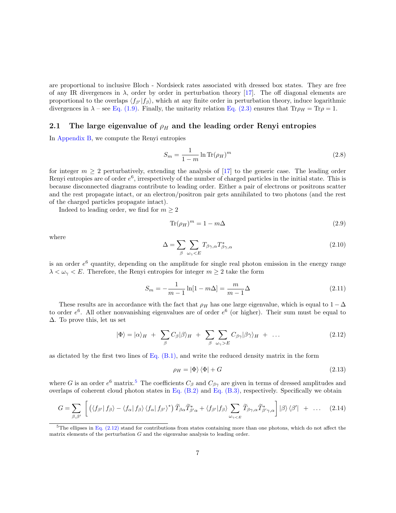are proportional to inclusive Bloch - Nordsieck rates associated with dressed box states. They are free of any IR divergences in  $\lambda$ , order by order in perturbation theory [\[17\]](#page-36-14). The off diagonal elements are proportional to the overlaps  $\langle f_{\beta'} | f_{\beta} \rangle$ , which at any finite order in perturbation theory, induce logarithmic divergences in  $\lambda$  – see [Eq. \(1.9\).](#page-4-2) Finally, the unitarity relation [Eq. \(2.3\)](#page-4-3) ensures that Tr $\rho_H = Tr \rho = 1$ .

#### 2.1 The large eigenvalue of  $\rho_H$  and the leading order Renyi entropies

In [Appendix B,](#page-21-0) we compute the Renyi entropies

$$
S_m = \frac{1}{1 - m} \ln \text{Tr}(\rho_H)^m \tag{2.8}
$$

for integer  $m \geq 2$  perturbatively, extending the analysis of [\[17\]](#page-36-14) to the generic case. The leading order Renyi entropies are of order  $e^6$ , irrespectively of the number of charged particles in the initial state. This is because disconnected diagrams contribute to leading order. Either a pair of electrons or positrons scatter and the rest propagate intact, or an electron/positron pair gets annihilated to two photons (and the rest of the charged particles propagate intact).

Indeed to leading order, we find for  $m \geq 2$ 

$$
\text{Tr}(\rho_H)^m = 1 - m\Delta \tag{2.9}
$$

where

$$
\Delta = \sum_{\beta} \sum_{\omega_{\gamma} < E} T_{\beta\gamma,\alpha} T_{\beta\gamma,\alpha}^* \tag{2.10}
$$

is an order  $e^6$  quantity, depending on the amplitude for single real photon emission in the energy range  $\lambda < \omega_{\gamma} < E$ . Therefore, the Renyi entropies for integer  $m \geq 2$  take the form

$$
S_m = -\frac{1}{m-1}\ln[1 - m\Delta] = \frac{m}{m-1}\Delta
$$
\n(2.11)

These results are in accordance with the fact that  $\rho_H$  has one large eigenvalue, which is equal to  $1 - \Delta$ to order  $e^6$ . All other nonvanishing eigenvalues are of order  $e^6$  (or higher). Their sum must be equal to ∆. To prove this, let us set

<span id="page-6-1"></span>
$$
|\Phi\rangle = |\alpha\rangle_H + \sum_{\beta} C_{\beta} |\beta\rangle_H + \sum_{\beta} \sum_{\omega_{\gamma} > E} C_{\beta\gamma} |\beta\gamma\rangle_H + \dots
$$
 (2.12)

as dictated by the first two lines of  $Eq. (B.1)$ , and write the reduced density matrix in the form

$$
\rho_H = |\Phi\rangle\langle\Phi| + G \tag{2.13}
$$

where G is an order  $e^6$  matrix.<sup>[5](#page-6-0)</sup> The coefficients  $C_\beta$  and  $C_{\beta\gamma}$  are given in terms of dressed amplitudes and overlaps of coherent cloud photon states in Eq.  $(B.2)$  and Eq.  $(B.3)$ , respectively. Specifically we obtain

$$
G = \sum_{\beta,\beta'} \left[ \left( \langle f_{\beta'} | f_{\beta} \rangle - \langle f_{\alpha} | f_{\beta} \rangle \langle f_{\alpha} | f_{\beta'} \rangle^* \right) \widetilde{T}_{\beta\alpha} \widetilde{T}_{\beta'\alpha}^* + \langle f_{\beta'} | f_{\beta} \rangle \sum_{\omega_{\gamma < E}} \widetilde{T}_{\beta\gamma,\alpha} \widetilde{T}_{\beta'\gamma,\alpha}^* \right] |\beta\rangle \langle \beta'| + \dots \quad (2.14)
$$

<span id="page-6-0"></span> $5$ The ellipses in [Eq. \(2.12\)](#page-6-1) stand for contributions from states containing more than one photons, which do not affect the matrix elements of the perturbation G and the eigenvalue analysis to leading order.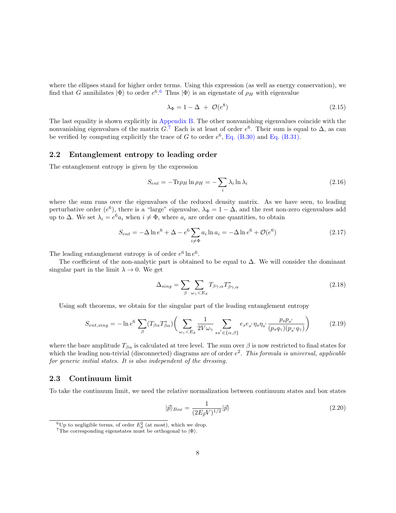where the ellipses stand for higher order terms. Using this expression (as well as energy conservation), we find that G annihilates  $|\Phi\rangle$  to order  $e^{6}$  $e^{6}$  $e^{6}$ .<sup>6</sup> Thus  $|\Phi\rangle$  is an eigenstate of  $\rho_H$  with eigenvalue

$$
\lambda_{\Phi} = 1 - \Delta + \mathcal{O}(e^8) \tag{2.15}
$$

The last equality is shown explicitly in [Appendix B.](#page-21-0) The other nonvanishing eigenvalues coincide with the nonvanishing eigenvalues of the matrix  $G^{\mathcal{I}}$  Each is at least of order  $e^6$ . Their sum is equal to  $\Delta$ , as can be verified by computing explicitly the trace of G to order  $e^6$ , [Eq. \(B.30\)](#page-26-0) and [Eq. \(B.31\).](#page-26-1)

#### 2.2 Entanglement entropy to leading order

The entanglement entropy is given by the expression

$$
S_{ent} = -\text{Tr}\rho_H \ln \rho_H = -\sum_i \lambda_i \ln \lambda_i \tag{2.16}
$$

where the sum runs over the eigenvalues of the reduced density matrix. As we have seen, to leading perturbative order ( $e^6$ ), there is a "large" eigenvalue,  $\lambda_{\Phi} = 1 - \Delta$ , and the rest non-zero eigenvalues add up to  $\Delta$ . We set  $\lambda_i = e^6 a_i$  when  $i \neq \Phi$ , where  $a_i$  are order one quantities, to obtain

$$
S_{ent} = -\Delta \ln e^6 + \Delta - e^6 \sum_{i \neq \Phi} a_i \ln a_i = -\Delta \ln e^6 + \mathcal{O}(e^6)
$$
 (2.17)

The leading entanglement entropy is of order  $e^6 \ln e^6$ .

The coefficient of the non-analytic part is obtained to be equal to  $\Delta$ . We will consider the dominant singular part in the limit  $\lambda \to 0$ . We get

$$
\Delta_{sing} = \sum_{\beta} \sum_{\omega_{\gamma} < E_d} T_{\beta\gamma,\alpha} T_{\beta\gamma,\alpha}^* \tag{2.18}
$$

Using soft theorems, we obtain for the singular part of the leading entanglement entropy

$$
S_{ent,sing} = -\ln e^6 \sum_{\beta} (T_{\beta\alpha} T_{\beta\alpha}^*) \left( \sum_{\omega_{\gamma} < E_d} \frac{1}{2V\omega_{\gamma}} \sum_{ss' \in \{\alpha,\beta\}} e_s e_{s'} \eta_s \eta_{s'} \frac{p_s p_{s'}}{(p_s q_{\gamma})(p_{s'} q_{\gamma})} \right) \tag{2.19}
$$

where the bare amplitude  $T_{\beta\alpha}$  is calculated at tree level. The sum over  $\beta$  is now restricted to final states for which the leading non-trivial (disconnected) diagrams are of order  $e^2$ . This formula is universal, applicable for generic initial states. It is also independent of the dressing.

#### <span id="page-7-0"></span>2.3 Continuum limit

To take the continuum limit, we need the relative normalization between continuum states and box states

$$
|\vec{p}\rangle_{Box} = \frac{1}{(2E_{\vec{p}}V)^{1/2}}|\vec{p}\rangle
$$
\n(2.20)

<span id="page-7-1"></span><sup>&</sup>lt;sup>6</sup>Up to negligible terms, of order  $E_d^2$  (at most), which we drop.

<span id="page-7-2"></span><sup>&</sup>lt;sup>7</sup>The corresponding eigenstates must be orthogonal to  $|\Phi\rangle$ .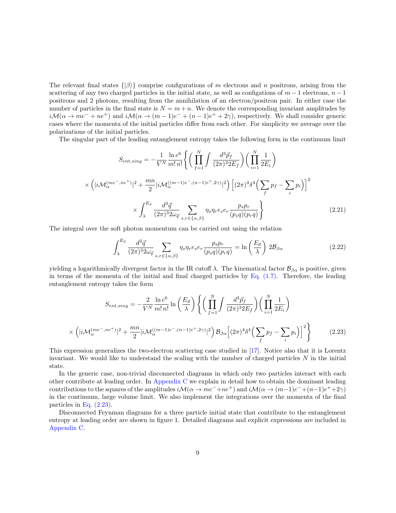The relevant final states  $\{|\beta\rangle\}$  comprise configurations of m electrons and n positrons, arising from the scattering of any two charged particles in the initial state, as well as configations of  $m-1$  electrons,  $n-1$ positrons and 2 photons, resulting from the annihilation of an electron/positron pair. In either case the number of particles in the final state is  $N = m + n$ . We denote the corresponding invariant amplitudes by  $i\mathcal{M}(\alpha \to me^{-} + ne^{+})$  and  $i\mathcal{M}(\alpha \to (m-1)e^{-} + (n-1)e^{+} + 2\gamma)$ , respectively. We shall consider generic cases where the momenta of the initial particles differ from each other. For simplicity we average over the polarizations of the initial particles.

The singular part of the leading entanglement entropy takes the following form in the continuum limit

$$
S_{ent,sing} = -\frac{1}{V^N} \frac{\ln e^6}{m! n!} \left\{ \left( \prod_{f=1}^N \int \frac{d^3 \vec{p}_f}{(2\pi)^3 2E_f} \right) \left( \prod_{i=1}^N \frac{1}{2E_i} \right) \times \left( |i \mathcal{M}_{\alpha}^{(me^-, ne^+)}|^2 + \frac{mn}{2} |i \mathcal{M}_{\alpha}^{((m-1)e^-, (n-1)e^+, 2\gamma)}|^2 \right) \left[ (2\pi)^4 \delta^4 \left( \sum_f p_f - \sum_i p_i \right) \right]^2 \times \int_{\lambda}^{E_d} \frac{d^3 \vec{q}}{(2\pi)^3 2\omega_{\vec{q}}} \sum_{s, r \in \{\alpha, \beta\}} \eta_s \eta_r e_s e_r \frac{p_s p_r}{(p_s q)(p_r q)} \right\} \tag{2.21}
$$

The integral over the soft photon momentum can be carried out using the relation

$$
\int_{\lambda}^{E_d} \frac{d^3 \vec{q}}{(2\pi)^3 2\omega_{\vec{q}}} \sum_{s,r \in \{\alpha,\beta\}} \eta_s \eta_r e_s e_r \frac{p_s p_r}{(p_s q)(p_r q)} = \ln\left(\frac{E_d}{\lambda}\right) 2\mathcal{B}_{\beta\alpha} \tag{2.22}
$$

yielding a logarithmically divergent factor in the IR cutoff  $\lambda$ . The kinematical factor  $\mathcal{B}_{\beta\alpha}$  is positive, given in terms of the momenta of the initial and final charged particles by Eq.  $(1.7)$ . Therefore, the leading entanglement entropy takes the form

$$
S_{ent,sing} = -\frac{2}{V^N} \frac{\ln e^6}{m! n!} \ln \left( \frac{E_d}{\lambda} \right) \left\{ \left( \prod_{f=1}^N \int \frac{d^3 \vec{p}_f}{(2\pi)^3 2E_f} \right) \left( \prod_{i=1}^N \frac{1}{2E_i} \right) \times \left( |i \mathcal{M}_{\alpha}^{(me^-, ne^+)}|^2 + \frac{mn}{2} |i \mathcal{M}_{\alpha}^{((m-1)e^-, (n-1)e^+, 2\gamma)}|^2 \right) \mathcal{B}_{\beta\alpha} \left[ (2\pi)^4 \delta^4 \left( \sum_f p_f - \sum_i p_i \right) \right]^2 \right\} \tag{2.23}
$$

<span id="page-8-0"></span>This expression generalizes the two-electron scattering case studied in [\[17\]](#page-36-14). Notice also that it is Lorentz invariant. We would like to understand the scaling with the number of charged particles N in the initial state.

In the generic case, non-trivial disconnected diagrams in which only two particles interact with each other contribute at leading order. In [Appendix C](#page-26-2) we explain in detail how to obtain the dominant leading contributions to the squares of the amplitudes  $i\mathcal{M}(\alpha \to me^{-}+ne^{+})$  and  $i\mathcal{M}(\alpha \to (m-1)e^{-}+(n-1)e^{+}+2\gamma)$ in the continuum, large volume limit. We also implement the integrations over the momenta of the final particles in [Eq. \(2.23\).](#page-8-0)

Disconnected Feynman diagrams for a three particle initial state that contribute to the entanglement entropy at leading order are shown in figure 1. Detailed diagrams and explicit expressions are included in [Appendix C.](#page-26-2)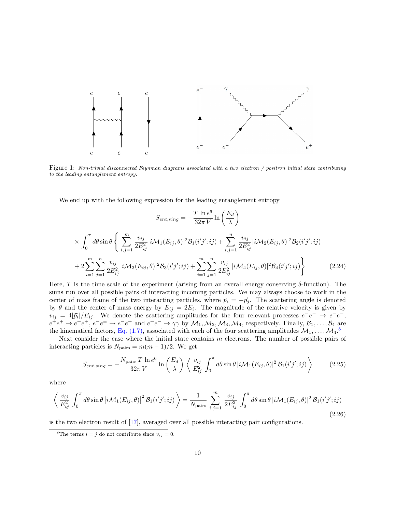

Figure 1: Non-trivial disconnected Feynman diagrams associated with a two electron / positron initial state contributing to the leading entanglement entropy.

We end up with the following expression for the leading entanglement entropy

$$
S_{ent,sing} = -\frac{T \ln e^6}{32\pi V} \ln\left(\frac{E_d}{\lambda}\right)
$$
  
\n
$$
\times \int_0^{\pi} d\theta \sin \theta \left\{ \sum_{i,j=1}^m \frac{v_{ij}}{2E_{ij}^2} |i\mathcal{M}_1(E_{ij}, \theta)|^2 \mathcal{B}_1(i'j';ij) + \sum_{i,j=1}^n \frac{v_{ij}}{2E_{ij}^2} |i\mathcal{M}_2(E_{ij}, \theta)|^2 \mathcal{B}_2(i'j';ij) \right\}
$$
  
\n
$$
+ 2 \sum_{i=1}^m \sum_{j=1}^n \frac{v_{ij}}{2E_{ij}^2} |i\mathcal{M}_3(E_{ij}, \theta)|^2 \mathcal{B}_3(i'j';ij) + \sum_{i=1}^m \sum_{j=1}^n \frac{v_{ij}}{2E_{ij}^2} |i\mathcal{M}_4(E_{ij}, \theta)|^2 \mathcal{B}_4(i'j';ij) \right\}
$$
(2.24)

<span id="page-9-1"></span>Here, T is the time scale of the experiment (arising from an overall energy conserving  $\delta$ -function). The sums run over all possible pairs of interacting incoming particles. We may always choose to work in the center of mass frame of the two interacting particles, where  $\vec{p}_i = -\vec{p}_j$ . The scattering angle is denoted by  $\theta$  and the center of mass energy by  $E_{ij} = 2E_i$ . The magnitude of the relative velocity is given by  $v_{ij} = 4|\vec{p}_i|/E_{ij}$ . We denote the scattering amplitudes for the four relevant processes  $e^-e^- \rightarrow e^-e^-$ ,  $e^+e^+ \to e^+e^+, e^-e^- \to e^-e^+$  and  $e^+e^- \to \gamma\gamma$  by  $\mathcal{M}_1, \mathcal{M}_2, \mathcal{M}_3, \mathcal{M}_4$ , respectively. Finally,  $\mathcal{B}_1, \ldots, \mathcal{B}_4$  are the kinematical factors, [Eq. \(1.7\),](#page-3-1) associated with each of the four scattering amplitudes  $\mathcal{M}_1, \ldots, \mathcal{M}_4$ .<sup>[8](#page-9-0)</sup>

Next consider the case where the initial state contains  $m$  electrons. The number of possible pairs of interacting particles is  $N_{\text{pairs}} = m(m-1)/2$ . We get

$$
S_{ent,sing} = -\frac{N_{\text{pairs}} T \ln e^6}{32\pi V} \ln \left(\frac{E_d}{\lambda}\right) \left\langle \frac{v_{ij}}{E_{ij}^2} \int_0^{\pi} d\theta \sin \theta \, |i\mathcal{M}_1(E_{ij}, \theta)|^2 \mathcal{B}_1(i'j';ij) \right\rangle \tag{2.25}
$$

where

$$
\left\langle \frac{v_{ij}}{E_{ij}^2} \int_0^\pi d\theta \sin \theta \left| i \mathcal{M}_1(E_{ij}, \theta) \right|^2 \mathcal{B}_1(i'j'; ij) \right\rangle = \frac{1}{N_{\text{pairs}}} \sum_{i,j=1}^m \frac{v_{ij}}{2E_{ij}^2} \int_0^\pi d\theta \sin \theta \left| i \mathcal{M}_1(E_{ij}, \theta) \right|^2 \mathcal{B}_1(i'j'; ij)
$$
\n(2.26)

is the two electron result of [\[17\]](#page-36-14), averaged over all possible interacting pair configurations.

<span id="page-9-0"></span><sup>&</sup>lt;sup>8</sup>The terms  $i = j$  do not contribute since  $v_{ij} = 0$ .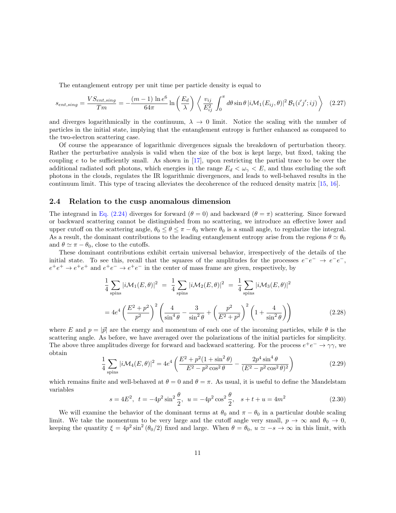The entanglement entropy per unit time per particle density is equal to

$$
s_{ent,sing} = \frac{VS_{ent,sing}}{Tm} = -\frac{(m-1)\ln e^6}{64\pi} \ln\left(\frac{E_d}{\lambda}\right) \left\langle \frac{v_{ij}}{E_{ij}^2} \int_0^{\pi} d\theta \sin\theta \, |i\mathcal{M}_1(E_{ij}, \theta)|^2 \, \mathcal{B}_1(i'j';ij) \right\rangle \tag{2.27}
$$

and diverges logarithmically in the continuum,  $\lambda \to 0$  limit. Notice the scaling with the number of particles in the initial state, implying that the entanglement entropy is further enhanced as compared to the two-electron scattering case.

Of course the appearance of logarithmic divergences signals the breakdown of perturbation theory. Rather the perturbative analysis is valid when the size of the box is kept large, but fixed, taking the coupling  $e$  to be sufficiently small. As shown in [\[17\]](#page-36-14), upon restricting the partial trace to be over the additional radiated soft photons, which energies in the range  $E_d < \omega_{\gamma} < E$ , and thus excluding the soft photons in the clouds, regulates the IR logarithmic divergences, and leads to well-behaved results in the continuum limit. This type of tracing alleviates the decoherence of the reduced density matrix [\[15,](#page-36-12) [16\]](#page-36-13).

#### 2.4 Relation to the cusp anomalous dimension

The integrand in [Eq. \(2.24\)](#page-9-1) diverges for forward ( $\theta = 0$ ) and backward ( $\theta = \pi$ ) scattering. Since forward or backward scattering cannot be distinguished from no scattering, we introduce an effective lower and upper cutoff on the scattering angle,  $\theta_0 \leq \theta \leq \pi - \theta_0$  where  $\theta_0$  is a small angle, to regularize the integral. As a result, the dominant contributions to the leading entanglement entropy arise from the regions  $\theta \simeq \theta_0$ and  $\theta \simeq \pi - \theta_0$ , close to the cutoffs.

These dominant contributions exhibit certain universal behavior, irrespectively of the details of the initial state. To see this, recall that the squares of the amplitudes for the processes  $e^-e^- \rightarrow e^-e^-$ ,  $e^+e^+ \to e^+e^+$  and  $e^+e^- \to e^+e^-$  in the center of mass frame are given, respectively, by

$$
\frac{1}{4} \sum_{\text{spins}} |i \mathcal{M}_1(E, \theta)|^2 = \frac{1}{4} \sum_{\text{spins}} |i \mathcal{M}_2(E, \theta)|^2 = \frac{1}{4} \sum_{\text{spins}} |i \mathcal{M}_3(E, \theta)|^2
$$
\n
$$
= 4e^4 \left(\frac{E^2 + p^2}{p^2}\right)^2 \left(\frac{4}{\sin^4 \theta} - \frac{3}{\sin^2 \theta} + \left(\frac{p^2}{E^2 + p^2}\right)^2 \left(1 + \frac{4}{\sin^2 \theta}\right)\right)
$$
\n(2.28)

where E and  $p = |\vec{p}|$  are the energy and momentum of each one of the incoming particles, while  $\theta$  is the scattering angle. As before, we have averaged over the polarizations of the initial particles for simplicity. The above three amplitudes diverge for forward and backward scattering. For the process  $e^+e^- \to \gamma\gamma$ , we obtain

$$
\frac{1}{4} \sum_{\text{spins}} |i \mathcal{M}_4(E, \theta)|^2 = 4e^4 \left( \frac{E^2 + p^2 (1 + \sin^2 \theta)}{E^2 - p^2 \cos^2 \theta} - \frac{2p^4 \sin^4 \theta}{(E^2 - p^2 \cos^2 \theta)^2} \right)
$$
(2.29)

which remains finite and well-behaved at  $\theta = 0$  and  $\theta = \pi$ . As usual, it is useful to define the Mandelstam variables

$$
s = 4E^2, \ t = -4p^2 \sin^2 \frac{\theta}{2}, \ u = -4p^2 \cos^2 \frac{\theta}{2}, \ s + t + u = 4m^2 \tag{2.30}
$$

We will examine the behavior of the dominant terms at  $\theta_0$  and  $\pi - \theta_0$  in a particular double scaling limit. We take the momentum to be very large and the cutoff angle very small,  $p \to \infty$  and  $\theta_0 \to 0$ , keeping the quantity  $\xi = 4p^2 \sin^2(\theta_0/2)$  fixed and large. When  $\theta = \theta_0$ ,  $u \simeq -s \to \infty$  in this limit, with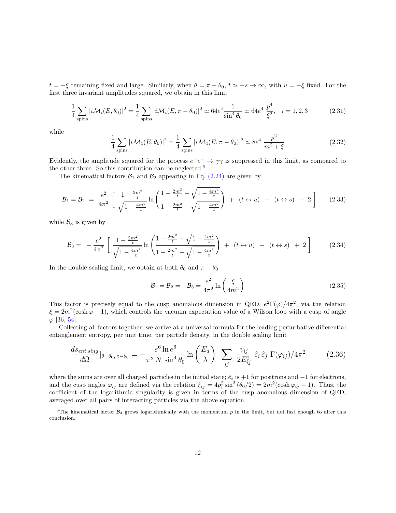$t = -\xi$  remaining fixed and large. Similarly, when  $\theta = \pi - \theta_0$ ,  $t \approx -s \to \infty$ , with  $u = -\xi$  fixed. For the first three invariant amplitudes squared, we obtain in this limit

$$
\frac{1}{4} \sum_{\text{spins}} |i \mathcal{M}_i(E, \theta_0)|^2 = \frac{1}{4} \sum_{\text{spins}} |i \mathcal{M}_i(E, \pi - \theta_0)|^2 \simeq 64e^4 \frac{1}{\sin^4 \theta_0} \simeq 64e^4 \frac{p^4}{\xi^2}, \quad i = 1, 2, 3 \tag{2.31}
$$

while

$$
\frac{1}{4} \sum_{\text{spins}} |i \mathcal{M}_4(E, \theta_0)|^2 = \frac{1}{4} \sum_{\text{spins}} |i \mathcal{M}_4(E, \pi - \theta_0)|^2 \simeq 8e^4 \frac{p^2}{m^2 + \xi}
$$
\n(2.32)

Evidently, the amplitude squared for the process  $e^+e^- \to \gamma\gamma$  is suppressed in this limit, as compared to the other three. So this contribution can be neglected.<sup>[9](#page-11-0)</sup>

The kinematical factors  $\mathcal{B}_1$  and  $\mathcal{B}_2$  appearing in [Eq. \(2.24\)](#page-9-1) are given by

$$
\mathcal{B}_1 = \mathcal{B}_2 = \frac{e^2}{4\pi^2} \left[ \frac{1 - \frac{2m^2}{t}}{\sqrt{1 - \frac{4m^2}{t}}} \ln \left( \frac{1 - \frac{2m^2}{t} + \sqrt{1 - \frac{4m^2}{t}}}{1 - \frac{2m^2}{t} - \sqrt{1 - \frac{4m^2}{t}}} \right) + (t \leftrightarrow u) - (t \leftrightarrow s) - 2 \right]
$$
(2.33)

while  $B_3$  is given by

$$
\mathcal{B}_3 = -\frac{e^2}{4\pi^2} \left[ \frac{1 - \frac{2m^2}{t}}{\sqrt{1 - \frac{4m^2}{t}}} \ln \left( \frac{1 - \frac{2m^2}{t} + \sqrt{1 - \frac{4m^2}{t}}}{1 - \frac{2m^2}{t} - \sqrt{1 - \frac{4m^2}{t}}} \right) + (t \leftrightarrow u) - (t \leftrightarrow s) + 2 \right]
$$
(2.34)

In the double scaling limit, we obtain at both  $\theta_0$  and  $\pi - \theta_0$ 

$$
\mathcal{B}_1 = \mathcal{B}_2 = -\mathcal{B}_3 = \frac{e^2}{4\pi^2} \ln\left(\frac{\xi}{4m^2}\right) \tag{2.35}
$$

This factor is precisely equal to the cusp anomalous dimension in QED,  $e^2\Gamma(\varphi)/4\pi^2$ , via the relation  $\xi = 2m^2(\cosh\varphi - 1)$ , which controls the vacuum expectation value of a Wilson loop with a cusp of angle  $\varphi$  [\[36,](#page-38-4) [54\]](#page-39-5).

Collecting all factors together, we arrive at a universal formula for the leading perturbative differential entanglement entropy, per unit time, per particle density, in the double scaling limit

$$
\frac{ds_{ent,sing}}{d\Omega}\Big|_{\theta=\theta_0,\pi-\theta_0} = -\frac{e^6 \ln e^6}{\pi^2 N \sin^4 \theta_0} \ln\left(\frac{E_d}{\lambda}\right) \sum_{ij} \frac{v_{ij}}{2E_{ij}^2} \hat{e}_i \hat{e}_j \Gamma(\varphi_{ij})/4\pi^2 \tag{2.36}
$$

where the sums are over all charged particles in the initial state;  $\hat{e}_i$  is +1 for positrons and  $-1$  for electrons, and the cusp angles  $\varphi_{ij}$  are defined via the relation  $\xi_{ij} = 4p_i^2 \sin^2(\theta_0/2) = 2m^2(\cosh \varphi_{ij} - 1)$ . Thus, the coefficient of the logarithmic singularity is given in terms of the cusp anomalous dimension of QED, averaged over all pairs of interacting particles via the above equation.

<span id="page-11-0"></span><sup>&</sup>lt;sup>9</sup>The kinematical factor  $B_4$  grows logarithmically with the momentum p in the limit, but not fast enough to alter this conclusion.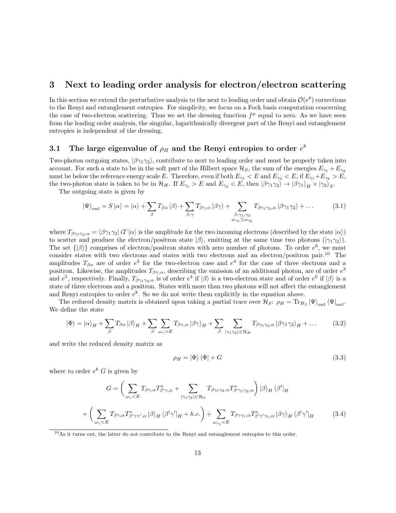# <span id="page-12-0"></span>3 Next to leading order analysis for electron/electron scattering

In this section we extend the perturbative analysis to the next to leading order and obtain  $\mathcal{O}(e^8)$  corrections to the Renyi and entanglement entropies. For simplicity, we focus on a Fock basis computation concerning the case of two-electron scattering. Thus we set the dressing function  $f^{\mu}$  equal to zero. As we have seen from the leading order analysis, the singular, logarithmically divergent part of the Renyi and entanglement entropies is independent of the dressing.

# 3.1 The large eigenvalue of  $\rho_H$  and the Renyi entropies to order  $e^8$

Two-photon outgoing states,  $|\beta\gamma_1\gamma_2\rangle$ , contribute to next to leading order and must be properly taken into account. For such a state to be in the soft part of the Hilbert space  $\mathcal{H}_S$ , the sum of the energies  $E_{\gamma_1} + E_{\gamma_2}$ must be below the reference energy scale E. Therefore, even if both  $E_{\gamma_1} < E$  and  $E_{\gamma_2} < E$ , if  $E_{\gamma_1} + E_{\gamma_2} > E$ , the two-photon state is taken to be in  $\mathcal{H}_H$ . If  $E_{\gamma_1} > E$  and  $E_{\gamma_2} < E$ , then  $|\beta\gamma_1\gamma_2\rangle \rightarrow |\beta\gamma_1\rangle_H \times |\gamma_2\rangle_S$ .

The outgoing state is given by

$$
|\Psi\rangle_{out} = S|\alpha\rangle = |\alpha\rangle + \sum_{\beta} T_{\beta\alpha} |\beta\rangle + \sum_{\beta,\gamma} T_{\beta\gamma,\alpha} |\beta\gamma\rangle + \sum_{\substack{\beta,\gamma_1,\gamma_2\\ \omega_{\gamma_1} \le \omega_{\gamma_2}}} T_{\beta\gamma_1\gamma_2,\alpha} |\beta\gamma_1\gamma_2\rangle + \dots
$$
 (3.1)

where  $T_{\beta\gamma_1\gamma_2,\alpha} = \langle \beta\gamma_1\gamma_2 | i \cdot T | \alpha \rangle$  is the amplitude for the two incoming electrons (described by the state  $|\alpha\rangle$ ) to scatter and produce the electron/positron state  $|\beta\rangle$ , emitting at the same time two photons  $(|\gamma_1 \gamma_2\rangle)$ . The set  $\{|\beta\rangle\}$  comprises of electron/positron states with zero number of photons. To order  $e^8$ , we must consider states with two electrons and states with two electrons and an electron/positron pair.<sup>[10](#page-12-1)</sup> The amplitudes  $T_{\beta\alpha}$  are of order  $e^2$  for the two-electron case and  $e^4$  for the case of three electrons and a positron. Likewise, the amplitudes  $T_{\beta\gamma,\alpha}$ , describing the emission of an additional photon, are of order  $e^3$ and  $e^5$ , respectively. Finally,  $T_{\beta\gamma_1\gamma_2,\alpha}$  is of order  $e^4$  if  $|\beta\rangle$  is a two-electron state and of order  $e^6$  if  $|\beta\rangle$  is a state of three electrons and a positron. States with more than two photons will not affect the entanglement and Renyi entropies to order  $e^8$ . So we do not write them explicitly in the equation above.

The reduced density matrix is obtained upon taking a partial trace over  $\mathcal{H}_S$ :  $\rho_H = \text{Tr}_{H_S} |\Psi\rangle_{out} \langle \Psi|_{out}$ . We define the state

$$
|\Phi\rangle = |\alpha\rangle_H + \sum_{\beta} T_{\beta\alpha} |\beta\rangle_H + \sum_{\beta} \sum_{\omega_\gamma > E} T_{\beta\gamma,\alpha} |\beta\gamma\rangle_H + \sum_{\beta} \sum_{|\gamma_1\gamma_2\rangle \in \mathcal{H}_H} T_{\beta\gamma_1\gamma_2,\alpha} |\beta\gamma_1\gamma_2\rangle_H + \dots \tag{3.2}
$$

and write the reduced density matrix as

$$
\rho_H = |\Phi\rangle\langle\Phi| + G \tag{3.3}
$$

where to order  $e^8$  G is given by

$$
G = \left(\sum_{\omega_{\gamma} < E} T_{\beta\gamma,\alpha} T_{\beta'\gamma,\alpha}^{*} + \sum_{|\gamma_{1}\gamma_{2}\rangle \in \mathcal{H}_{S}} T_{\beta\gamma_{1}\gamma_{2},\alpha} T_{\beta'\gamma_{1}\gamma_{2},\alpha}^{*}\right) |\beta\rangle_{H} \langle \beta'|_{H}
$$
\n
$$
+ \left(\sum_{\omega_{\gamma} < E} T_{\beta\gamma,\alpha} T_{\beta'\gamma'\gamma',\alpha}^{*} |\beta\rangle_{H} \langle \beta'\gamma'|_{H} + h.c.\right) + \sum_{\omega_{\gamma_{1}} < E} T_{\beta\gamma\gamma_{1},\alpha} T_{\beta'\gamma'\gamma_{1},\alpha}^{*} |\beta\gamma\rangle_{H} \langle \beta'\gamma'|_{H} \tag{3.4}
$$

<span id="page-12-1"></span> $10\text{As}$  it turns out, the latter do not contribute to the Renyi and entanglement entropies to this order.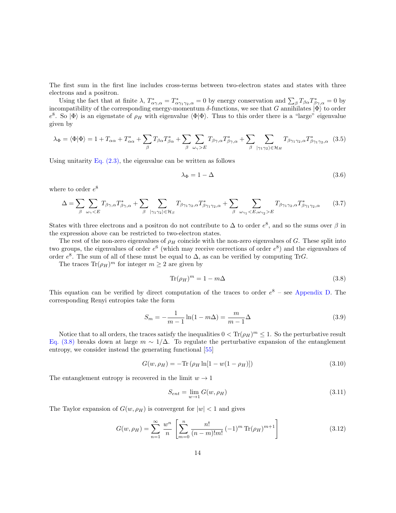The first sum in the first line includes cross-terms between two-electron states and states with three electrons and a positron.

Using the fact that at finite  $\lambda$ ,  $T^*_{\alpha\gamma,\alpha} = T^*_{\alpha\gamma_1\gamma_2,\alpha} = 0$  by energy conservation and  $\sum_{\beta} T_{\beta\alpha} T^*_{\beta\gamma,\alpha} = 0$  by incompatibility of the corresponding energy-momentum δ-functions, we see that G annihilates  $|\Phi\rangle$  to order  $e^8$ . So  $|\Phi\rangle$  is an eigenstate of  $\rho_H$  with eigenvalue  $\langle \Phi | \Phi \rangle$ . Thus to this order there is a "large" eigenvalue given by

$$
\lambda_{\Phi} = \langle \Phi | \Phi \rangle = 1 + T_{\alpha\alpha} + T_{\alpha\alpha}^* + \sum_{\beta} T_{\beta\alpha} T_{\beta\alpha}^* + \sum_{\beta} \sum_{\omega_{\gamma} > E} T_{\beta\gamma,\alpha} T_{\beta\gamma,\alpha}^* + \sum_{\beta} \sum_{|\gamma_1 \gamma_2\rangle \in \mathcal{H}_H} T_{\beta\gamma_1\gamma_2,\alpha} T_{\beta\gamma_1\gamma_2,\alpha}^* \quad (3.5)
$$

Using unitarity Eq.  $(2.3)$ , the eigenvalue can be written as follows

$$
\lambda_{\Phi} = 1 - \Delta \tag{3.6}
$$

where to order  $e^8$ 

$$
\Delta = \sum_{\beta} \sum_{\omega_{\gamma} < E} T_{\beta\gamma,\alpha} T_{\beta\gamma,\alpha}^{*} + \sum_{\beta} \sum_{|\gamma_1\gamma_2\rangle \in \mathcal{H}_S} T_{\beta\gamma_1\gamma_2,\alpha} T_{\beta\gamma_1\gamma_2,\alpha}^{*} + \sum_{\beta} \sum_{\omega_{\gamma_1} < E, \omega_{\gamma_2} > E} T_{\beta\gamma_1\gamma_2,\alpha} T_{\beta\gamma_1\gamma_2,\alpha}^{*} \tag{3.7}
$$

States with three electrons and a positron do not contribute to  $\Delta$  to order  $e^8$ , and so the sums over  $\beta$  in the expression above can be restricted to two-electron states.

The rest of the non-zero eigenvalues of  $\rho_H$  coincide with the non-zero eigenvalues of G. These split into two groups, the eigenvalues of order  $e^6$  (which may receive corrections of order  $e^8$ ) and the eigenvalues of order  $e^8$ . The sum of all of these must be equal to  $\Delta$ , as can be verified by computing TrG.

The traces  $\text{Tr}(\rho_H)^m$  for integer  $m \geq 2$  are given by

<span id="page-13-0"></span>
$$
\text{Tr}(\rho_H)^m = 1 - m\Delta \tag{3.8}
$$

This equation can be verified by direct computation of the traces to order  $e^8$  – see [Appendix D.](#page-31-0) The corresponding Renyi entropies take the form

$$
S_m = -\frac{1}{m-1} \ln(1 - m\Delta) = \frac{m}{m-1} \Delta
$$
 (3.9)

Notice that to all orders, the traces satisfy the inequalities  $0 < Tr(\rho_H)^m \leq 1$ . So the perturbative result [Eq. \(3.8\)](#page-13-0) breaks down at large  $m \sim 1/\Delta$ . To regulate the perturbative expansion of the entanglement entropy, we consider instead the generating functional [\[55\]](#page-39-6)

<span id="page-13-1"></span>
$$
G(w, \rho_H) = -\text{Tr}(\rho_H \ln[1 - w(1 - \rho_H)]) \tag{3.10}
$$

The entanglement entropy is recovered in the limit  $w \to 1$ 

$$
S_{ent} = \lim_{w \to 1} G(w, \rho_H) \tag{3.11}
$$

The Taylor expansion of  $G(w, \rho_H)$  is convergent for  $|w| < 1$  and gives

<span id="page-13-2"></span>
$$
G(w, \rho_H) = \sum_{n=1}^{\infty} \frac{w^n}{n} \left[ \sum_{m=0}^n \frac{n!}{(n-m)!m!} (-1)^m \text{Tr}(\rho_H)^{m+1} \right]
$$
(3.12)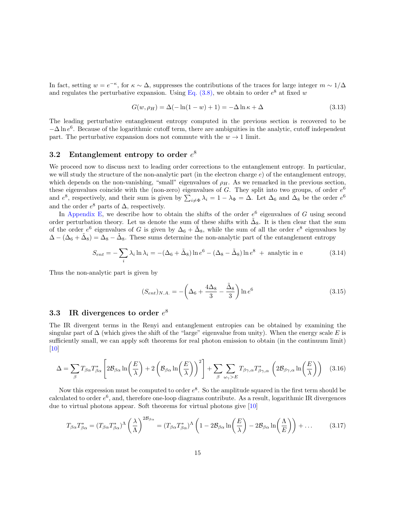In fact, setting  $w = e^{-\kappa}$ , for  $\kappa \sim \Delta$ , suppresses the contributions of the traces for large integer  $m \sim 1/\Delta$ and regulates the perturbative expansion. Using Eq.  $(3.8)$ , we obtain to order  $e^8$  at fixed w

$$
G(w, \rho_H) = \Delta(-\ln(1 - w) + 1) = -\Delta \ln \kappa + \Delta
$$
\n(3.13)

The leading perturbative entanglement entropy computed in the previous section is recovered to be  $-\Delta \ln e^6$ . Because of the logarithmic cutoff term, there are ambiguities in the analytic, cutoff independent part. The perturbative expansion does not commute with the  $w \to 1$  limit.

## 3.2 Entanglement entropy to order  $e^8$

We proceed now to discuss next to leading order corrections to the entanglement entropy. In particular, we will study the structure of the non-analytic part (in the electron charge  $e$ ) of the entanglement entropy, which depends on the non-vanishing, "small" eigenvalues of  $\rho_H$ . As we remarked in the previous section, these eigenvalues coincide with the (non-zero) eigenvalues of G. They split into two groups, of order  $e^6$ and  $e^8$ , respectively, and their sum is given by  $\sum_{i\neq \Phi} \lambda_i = 1 - \lambda_{\Phi} = \Delta$ . Let  $\Delta_6$  and  $\Delta_8$  be the order  $e^6$ and the order  $e^8$  parts of  $\Delta$ , respectively.

In [Appendix E,](#page-34-0) we describe how to obtain the shifts of the order  $e^6$  eigenvalues of G using second order perturbation theory. Let us denote the sum of these shifts with  $\tilde{\Delta}_8$ . It is then clear that the sum of the order  $e^6$  eigenvalues of G is given by  $\Delta_6 + \tilde{\Delta}_8$ , while the sum of all the order  $e^8$  eigenvalues by  $\Delta - (\Delta_6 + \tilde{\Delta}_8) = \tilde{\Delta}_8 - \tilde{\Delta}_8$ . These sums determine the non-analytic part of the entanglement entropy

$$
S_{ent} = -\sum_{i} \lambda_i \ln \lambda_i = -(\Delta_6 + \tilde{\Delta}_8) \ln e^6 - (\Delta_8 - \tilde{\Delta}_8) \ln e^8 + \text{ analytic in e}
$$
 (3.14)

Thus the non-analytic part is given by

$$
(S_{ent})_{N.A.} = -\left(\Delta_6 + \frac{4\Delta_8}{3} - \frac{\tilde{\Delta}_8}{3}\right) \ln e^6 \tag{3.15}
$$

## 3.3 IR divergences to order  $e^8$

The IR divergent terms in the Renyi and entanglement entropies can be obtained by examining the singular part of  $\Delta$  (which gives the shift of the "large" eigenvalue from unity). When the energy scale E is sufficiently small, we can apply soft theorems for real photon emission to obtain (in the continuum limit)  $\vert 10 \vert$ 

$$
\Delta = \sum_{\beta} T_{\beta\alpha} T_{\beta\alpha}^* \left[ 2\mathcal{B}_{\beta\alpha} \ln \left( \frac{E}{\lambda} \right) + 2 \left( \mathcal{B}_{\beta\alpha} \ln \left( \frac{E}{\lambda} \right) \right)^2 \right] + \sum_{\beta} \sum_{\omega_{\gamma} > E} T_{\beta\gamma,\alpha} T_{\beta\gamma,\alpha}^* \left( 2\mathcal{B}_{\beta\gamma,\alpha} \ln \left( \frac{E}{\lambda} \right) \right) \tag{3.16}
$$

Now this expression must be computed to order  $e^8$ . So the amplitude squared in the first term should be calculated to order  $e^6$ , and, therefore one-loop diagrams contribute. As a result, logarithmic IR divergences due to virtual photons appear. Soft theorems for virtual photons give [\[10\]](#page-36-7)

$$
T_{\beta\alpha}T_{\beta\alpha}^* = (T_{\beta\alpha}T_{\beta\alpha}^*)^{\Lambda}\left(\frac{\lambda}{\Lambda}\right)^{2\mathcal{B}_{\beta\alpha}} = (T_{\beta\alpha}T_{\beta\alpha}^*)^{\Lambda}\left(1 - 2\mathcal{B}_{\beta\alpha}\ln\left(\frac{E}{\lambda}\right) - 2\mathcal{B}_{\beta\alpha}\ln\left(\frac{\Lambda}{E}\right)\right) + \dots \tag{3.17}
$$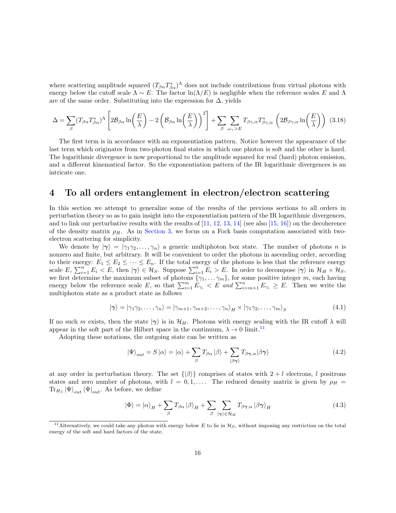where scattering amplitude squared  $(T_{\beta\alpha}T_{\beta\alpha}^*)^{\Lambda}$  does not include contributions from virtual photons with energy below the cutoff scale  $\Lambda \sim E$ . The factor  $\ln(\Lambda/E)$  is negligible when the reference scales E and  $\Lambda$ are of the same order. Substituting into the expression for  $\Delta$ , yields

$$
\Delta = \sum_{\beta} (T_{\beta\alpha} T_{\beta\alpha}^*)^{\Lambda} \left[ 2\mathcal{B}_{\beta\alpha} \ln\left(\frac{E}{\lambda}\right) - 2\left(\mathcal{B}_{\beta\alpha} \ln\left(\frac{E}{\lambda}\right)\right)^2 \right] + \sum_{\beta} \sum_{\omega_{\gamma} > E} T_{\beta\gamma,\alpha} T_{\beta\gamma,\alpha}^* \left( 2\mathcal{B}_{\beta\gamma,\alpha} \ln\left(\frac{E}{\lambda}\right) \right) (3.18)
$$

The first term is in accordance with an exponentiation pattern. Notice however the appearance of the last term which originates from two-photon final states in which one photon is soft and the other is hard. The logarithmic divergence is now proportional to the amplitude squared for real (hard) photon emission, and a different kinematical factor. So the exponentiation pattern of the IR logarithmic divergences is an intricate one.

### <span id="page-15-0"></span>4 To all orders entanglement in electron/electron scattering

In this section we attempt to generalize some of the results of the previous sections to all orders in perturbation theory so as to gain insight into the exponentiation pattern of the IR logarithmic divergences, and to link our perturbative results with the results of  $[11, 12, 13, 14]$  $[11, 12, 13, 14]$  $[11, 12, 13, 14]$  $[11, 12, 13, 14]$  $[11, 12, 13, 14]$  $[11, 12, 13, 14]$  (see also  $[15, 16]$  $[15, 16]$ ) on the decoherence of the density matrix  $\rho_H$ . As in [Section 3,](#page-12-0) we focus on a Fock basis computation associated with twoelectron scattering for simplicity.

We denote by  $|\gamma\rangle = |\gamma_1 \gamma_2, \dots, \gamma_n\rangle$  a generic multiphoton box state. The number of photons n is nonzero and finite, but arbitrary. It will be convenient to order the photons in ascending order, according to their energy:  $E_1 \le E_2 \le \cdots \le E_n$ . If the total energy of the photons is less that the reference energy scale  $E, \sum_{i=1}^n E_i < E$ , then  $|\gamma\rangle \in \mathcal{H}_S$ . Suppose  $\sum_{i=1}^n E_i > E$ . In order to decompose  $|\gamma\rangle$  in  $\mathcal{H}_H \times \mathcal{H}_S$ , we first determine the maximum subset of photons  $\{\gamma_1, \ldots \gamma_m\}$ , for some positive integer m, each having energy below the reference scale E, so that  $\sum_{i=1}^{m} E_{\gamma_i} < E$  and  $\sum_{i=m+1}^{n} E_{\gamma_i} \geq E$ . Then we write the multiphoton state as a product state as follows

$$
|\gamma\rangle = |\gamma_1 \gamma_2, \dots, \gamma_n\rangle = |\gamma_{m+1}, \gamma_{m+2}, \dots, \gamma_n\rangle_H \times |\gamma_1 \gamma_2, \dots, \gamma_m\rangle_S
$$
(4.1)

If no such m exists, then the state  $|\gamma\rangle$  is in  $\mathcal{H}_H$ . Photons with energy scaling with the IR cutoff  $\lambda$  will appear in the soft part of the Hilbert space in the continuum,  $\lambda \to 0$  limit.<sup>[11](#page-15-1)</sup>

Adopting these notations, the outgoing state can be written as

$$
|\Psi\rangle_{out} = S|\alpha\rangle = |\alpha\rangle + \sum_{\beta} T_{\beta\alpha} |\beta\rangle + \sum_{|\beta\gamma\rangle} T_{\beta\gamma,\alpha} |\beta\gamma\rangle
$$
\n(4.2)

at any order in perturbation theory. The set  $\{|\beta\rangle\}$  comprises of states with  $2 + l$  electrons, l positrons states and zero number of photons, with  $l = 0, 1, \ldots$ . The reduced density matrix is given by  $\rho_H$  =  $\text{Tr}_{H_S} |\Psi\rangle_{out} \langle \Psi|_{out}$ . As before, we define

$$
|\Phi\rangle = |\alpha\rangle_H + \sum_{\beta} T_{\beta\alpha} |\beta\rangle_H + \sum_{\beta} \sum_{|\gamma\rangle \in \mathcal{H}_H} T_{\beta\gamma,\alpha} |\beta\gamma\rangle_H
$$
(4.3)

<span id="page-15-1"></span><sup>&</sup>lt;sup>11</sup>Alternatively, we could take any photon with energy below E to lie in  $\mathcal{H}_S$ , without imposing any restriction on the total energy of the soft and hard factors of the state.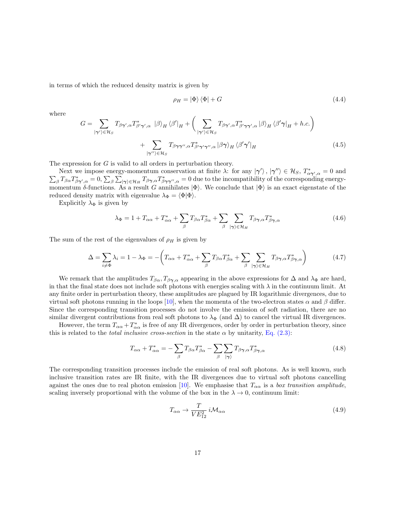in terms of which the reduced density matrix is given by

$$
\rho_H = |\Phi\rangle\langle\Phi| + G \tag{4.4}
$$

where

$$
G = \sum_{|\gamma'\rangle \in \mathcal{H}_S} T_{\beta\gamma',\alpha} T_{\beta'\gamma',\alpha}^* \, |\beta\rangle_H \, \langle \beta'|_H + \bigg(\sum_{|\gamma'\rangle \in \mathcal{H}_S} T_{\beta\gamma',\alpha} T_{\beta'\gamma'\gamma',\alpha}^* |\beta\rangle_H \, \langle \beta'\gamma|_H + h.c.\bigg) + \sum_{|\gamma''\rangle \in \mathcal{H}_S} T_{\beta\gamma\gamma'',\alpha} T_{\beta'\gamma'\gamma'',\alpha}^* |\beta\gamma\rangle_H \, \langle \beta'\gamma'|_H
$$
(4.5)

The expression for G is valid to all orders in perturbation theory.

Next we impose energy-momentum conservation at finite  $\lambda$ : for any  $|\gamma'\rangle$ ,  $|\gamma''\rangle \in \mathcal{H}_S$ ,  $T^*_{\alpha}$ Next we impose energy-momentum conservation at finite  $\lambda$ : for any  $|\gamma'\rangle$ ,  $|\gamma''\rangle \in \mathcal{H}_S$ ,  $T^*_{\alpha\gamma',\alpha} = 0$  and  $\sum_{\beta} T_{\beta\alpha}T^*_{\beta\gamma',\alpha} = 0$ ,  $\sum_{\beta} \sum_{|\gamma\rangle \in \mathcal{H}_H} T_{\beta\gamma,\alpha}T^*_{\beta\gamma'\gamma',\alpha} = 0$  due to the incompatib momentum δ-functions. As a result G annihilates  $|\Phi\rangle$ . We conclude that  $|\Phi\rangle$  is an exact eigenstate of the reduced density matrix with eigenvalue  $\lambda_{\Phi} = \langle \Phi | \Phi \rangle$ .

Explicitly  $\lambda_{\Phi}$  is given by

$$
\lambda_{\Phi} = 1 + T_{\alpha\alpha} + T_{\alpha\alpha}^{*} + \sum_{\beta} T_{\beta\alpha} T_{\beta\alpha}^{*} + \sum_{\beta} \sum_{|\gamma\rangle \in \mathcal{H}_{H}} T_{\beta\gamma,\alpha} T_{\beta\gamma,\alpha}^{*}
$$
(4.6)

The sum of the rest of the eigenvalues of  $\rho_H$  is given by

$$
\Delta = \sum_{i \neq \Phi} \lambda_i = 1 - \lambda_{\Phi} = -\left(T_{\alpha\alpha} + T_{\alpha\alpha}^* + \sum_{\beta} T_{\beta\alpha} T_{\beta\alpha}^* + \sum_{\beta} \sum_{|\gamma\rangle \in \mathcal{H}_H} T_{\beta\gamma,\alpha} T_{\beta\gamma,\alpha}^*\right) \tag{4.7}
$$

We remark that the amplitudes  $T_{\beta\alpha}$ ,  $T_{\beta\gamma,\alpha}$  appearing in the above expressions for  $\Delta$  and  $\lambda_{\Phi}$  are hard, in that the final state does not include soft photons with energies scaling with  $\lambda$  in the continuum limit. At any finite order in perturbation theory, these amplitudes are plagued by IR logarithmic divergences, due to virtual soft photons running in the loops [\[10\]](#page-36-7), when the momenta of the two-electron states  $\alpha$  and  $\beta$  differ. Since the corresponding transition processes do not involve the emission of soft radiation, there are no similar divergent contributions from real soft photons to  $\lambda_{\Phi}$  (and  $\Delta$ ) to cancel the virtual IR divergences.

However, the term  $T_{\alpha\alpha} + T_{\alpha\alpha}^*$  is free of any IR divergences, order by order in perturbation theory, since this is related to the *total inclusive cross-section* in the state  $\alpha$  by unitarity, [Eq. \(2.3\):](#page-4-3)

<span id="page-16-0"></span>
$$
T_{\alpha\alpha} + T_{\alpha\alpha}^* = -\sum_{\beta} T_{\beta\alpha} T_{\beta\alpha}^* - \sum_{\beta} \sum_{|\gamma\rangle} T_{\beta\gamma,\alpha} T_{\beta\gamma,\alpha}^* \tag{4.8}
$$

The corresponding transition processes include the emission of real soft photons. As is well known, such inclusive transition rates are IR finite, with the IR divergences due to virtual soft photons cancelling against the ones due to real photon emission [\[10\]](#page-36-7). We emphasise that  $T_{\alpha\alpha}$  is a box transition amplitude, scaling inversely proportional with the volume of the box in the  $\lambda \to 0$ , continuum limit:

$$
T_{\alpha\alpha} \to \frac{T}{VE_{12}^2} i\mathcal{M}_{\alpha\alpha} \tag{4.9}
$$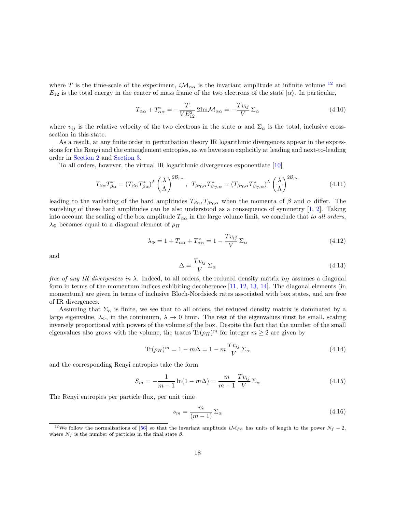where T is the time-scale of the experiment,  $i\mathcal{M}_{\alpha\alpha}$  is the invariant amplitude at infinite volume <sup>[12](#page-17-0)</sup> and  $E_{12}$  is the total energy in the center of mass frame of the two electrons of the state  $|\alpha\rangle$ . In particular,

$$
T_{\alpha\alpha} + T_{\alpha\alpha}^* = -\frac{T}{VE_{12}^2} 2\text{Im}\mathcal{M}_{\alpha\alpha} = -\frac{Tv_{ij}}{V} \Sigma_{\alpha}
$$
 (4.10)

where  $v_{ij}$  is the relative velocity of the two electrons in the state  $\alpha$  and  $\Sigma_{\alpha}$  is the total, inclusive crosssection in this state.

As a result, at any finite order in perturbation theory IR logarithmic divergences appear in the expressions for the Renyi and the entanglement entropies, as we have seen explicitly at leading and next-to-leading order in [Section 2](#page-4-0) and [Section 3.](#page-12-0)

To all orders, however, the virtual IR logarithmic divergences exponentiate [\[10\]](#page-36-7)

$$
T_{\beta\alpha}T_{\beta\alpha}^* = (T_{\beta\alpha}T_{\beta\alpha}^*)^{\Lambda} \left(\frac{\lambda}{\Lambda}\right)^{2\mathcal{B}_{\beta\alpha}}, \quad T_{\beta\gamma,\alpha}T_{\beta\gamma,\alpha}^* = (T_{\beta\gamma,\alpha}T_{\beta\gamma,\alpha}^*)^{\Lambda} \left(\frac{\lambda}{\Lambda}\right)^{2\mathcal{B}_{\beta\alpha}}
$$
(4.11)

leading to the vanishing of the hard amplitudes  $T_{\beta\alpha}, T_{\beta\gamma,\alpha}$  when the momenta of  $\beta$  and  $\alpha$  differ. The vanishing of these hard amplitudes can be also understood as a consequence of symmetry [\[1,](#page-35-0) [2\]](#page-35-1). Taking into account the scaling of the box amplitude  $T_{\alpha\alpha}$  in the large volume limit, we conclude that to all orders,  $\lambda_{\Phi}$  becomes equal to a diagonal element of  $\rho_H$ 

$$
\lambda_{\Phi} = 1 + T_{\alpha\alpha} + T_{\alpha\alpha}^* = 1 - \frac{Tv_{ij}}{V} \Sigma_{\alpha}
$$
\n(4.12)

and

$$
\Delta = \frac{T v_{ij}}{V} \Sigma_{\alpha} \tag{4.13}
$$

free of any IR divergences in  $\lambda$ . Indeed, to all orders, the reduced density matrix  $\rho_H$  assumes a diagonal form in terms of the momentum indices exhibiting decoherence [\[11,](#page-36-8) [12,](#page-36-9) [13,](#page-36-10) [14\]](#page-36-11). The diagonal elements (in momentum) are given in terms of inclusive Bloch-Nordsieck rates associated with box states, and are free of IR divergences.

Assuming that  $\Sigma_{\alpha}$  is finite, we see that to all orders, the reduced density matrix is dominated by a large eigenvalue,  $\lambda_{\Phi}$ , in the continuum,  $\lambda \to 0$  limit. The rest of the eigenvalues must be small, scaling inversely proportional with powers of the volume of the box. Despite the fact that the number of the small eigenvalues also grows with the volume, the traces  $\text{Tr}(\rho_H)^m$  for integer  $m \geq 2$  are given by

<span id="page-17-1"></span>
$$
\text{Tr}(\rho_H)^m = 1 - m\Delta = 1 - m\frac{Tv_{ij}}{V} \Sigma_\alpha \tag{4.14}
$$

and the corresponding Renyi entropies take the form

<span id="page-17-2"></span>
$$
S_m = -\frac{1}{m-1}\ln(1 - m\Delta) = \frac{m}{m-1}\frac{Tv_{ij}}{V}\Sigma_\alpha
$$
\n(4.15)

The Renyi entropies per particle flux, per unit time

$$
s_m = \frac{m}{(m-1)} \Sigma_\alpha \tag{4.16}
$$

<span id="page-17-0"></span><sup>&</sup>lt;sup>12</sup>We follow the normalizations of [\[56\]](#page-39-7) so that the invariant amplitude  $i\mathcal{M}_{\beta\alpha}$  has units of length to the power  $N_f - 2$ , where  $N_f$  is the number of particles in the final state  $\beta$ .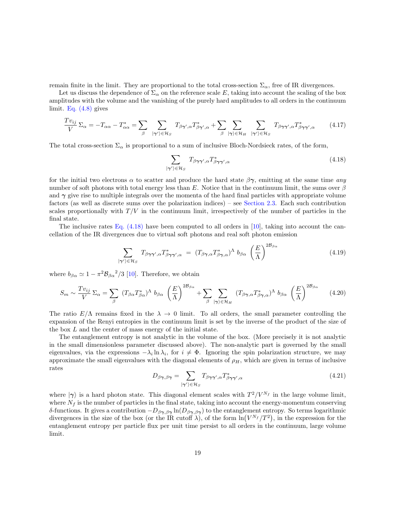remain finite in the limit. They are proportional to the total cross-section  $\Sigma_{\alpha}$ , free of IR divergences.

Let us discuss the dependence of  $\Sigma_{\alpha}$  on the reference scale E, taking into account the scaling of the box amplitudes with the volume and the vanishing of the purely hard amplitudes to all orders in the continuum limit. Eq.  $(4.8)$  gives

$$
\frac{Tv_{ij}}{V} \Sigma_{\alpha} = -T_{\alpha\alpha} - T_{\alpha\alpha}^{*} = \sum_{\beta} \sum_{|\gamma'\rangle \in \mathcal{H}_{S}} T_{\beta\gamma',\alpha} T_{\beta\gamma',\alpha}^{*} + \sum_{\beta} \sum_{|\gamma\rangle \in \mathcal{H}_{H}} \sum_{|\gamma'\rangle \in \mathcal{H}_{S}} T_{\beta\gamma\gamma',\alpha} T_{\beta\gamma\gamma',\alpha}^{*} \qquad (4.17)
$$

The total cross-section  $\Sigma_{\alpha}$  is proportional to a sum of inclusive Bloch-Nordsieck rates, of the form,

<span id="page-18-0"></span>
$$
\sum_{|\gamma'\rangle \in \mathcal{H}_S} T_{\beta\gamma\gamma',\alpha} T_{\beta\gamma\gamma',\alpha}^* \tag{4.18}
$$

for the initial two electrons  $\alpha$  to scatter and produce the hard state  $\beta\gamma$ , emitting at the same time any number of soft photons with total energy less than E. Notice that in the continuum limit, the sums over  $\beta$ and  $\gamma$  give rise to multiple integrals over the momenta of the hard final particles with appropriate volume factors (as well as discrete sums over the polarization indices) – see [Section 2.3.](#page-7-0) Each such contribution scales proportionally with  $T/V$  in the continuum limit, irrespectively of the number of particles in the final state.

The inclusive rates [Eq. \(4.18\)](#page-18-0) have been computed to all orders in [\[10\]](#page-36-7), taking into account the cancellation of the IR divergences due to virtual soft photons and real soft photon emission

$$
\sum_{|\gamma'\rangle \in \mathcal{H}_S} T_{\beta\gamma\gamma',\alpha} T_{\beta\gamma\gamma',\alpha}^* = (T_{\beta\gamma,\alpha} T_{\beta\gamma,\alpha}^*)^{\Lambda} b_{\beta\alpha} \left(\frac{E}{\Lambda}\right)^{2\mathcal{B}_{\beta\alpha}}
$$
(4.19)

where  $b_{\beta\alpha} \simeq 1 - \pi^2 \mathcal{B}_{\beta\alpha}^2/3$  [\[10\]](#page-36-7). Therefore, we obtain

$$
S_m \sim \frac{Tv_{ij}}{V} \Sigma_\alpha = \sum_\beta (T_{\beta\alpha} T_{\beta\alpha}^*)^\Lambda b_{\beta\alpha} \left(\frac{E}{\Lambda}\right)^{2\beta_{\beta\alpha}} + \sum_\beta \sum_{|\gamma\rangle \in \mathcal{H}_H} (T_{\beta\gamma,\alpha} T_{\beta\gamma,\alpha}^*)^\Lambda b_{\beta\alpha} \left(\frac{E}{\Lambda}\right)^{2\beta_{\beta\alpha}} \tag{4.20}
$$

The ratio  $E/\Lambda$  remains fixed in the  $\lambda \to 0$  limit. To all orders, the small parameter controlling the expansion of the Renyi entropies in the continuum limit is set by the inverse of the product of the size of the box L and the center of mass energy of the initial state.

The entanglement entropy is not analytic in the volume of the box. (More precisely it is not analytic in the small dimensionless parameter discussed above). The non-analytic part is governed by the small eigenvalues, via the expressions  $-\lambda_i \ln \lambda_i$ , for  $i \neq \Phi$ . Ignoring the spin polarization structure, we may approximate the small eigenvalues with the diagonal elements of  $\rho_H$ , which are given in terms of inclusive rates

$$
D_{\beta\gamma,\beta\gamma} = \sum_{|\gamma'\rangle \in \mathcal{H}_S} T_{\beta\gamma\gamma',\alpha} T_{\beta\gamma\gamma',\alpha}^* \tag{4.21}
$$

where  $|\gamma\rangle$  is a hard photon state. This diagonal element scales with  $T^2/V^{N_f}$  in the large volume limit, where  $N_f$  is the number of particles in the final state, taking into account the energy-momentum conserving δ-functions. It gives a contribution  $-D_{\beta\gamma,\beta\gamma}\ln(D_{\beta\gamma,\beta\gamma})$  to the entanglement entropy. So terms logarithmic divergences in the size of the box (or the IR cutoff  $\lambda$ ), of the form  $\ln(V^{N_f}/T^2)$ , in the expression for the entanglement entropy per particle flux per unit time persist to all orders in the continuum, large volume limit.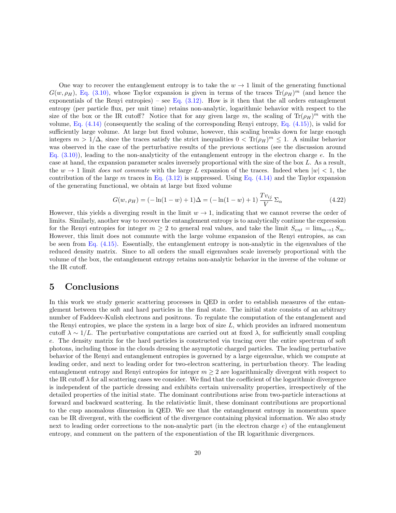One way to recover the entanglement entropy is to take the  $w \to 1$  limit of the generating functional  $G(w, \rho_H)$ , [Eq. \(3.10\),](#page-13-1) whose Taylor expansion is given in terms of the traces  $\text{Tr}(\rho_H)^m$  (and hence the exponentials of the Renyi entropies) – see Eq.  $(3.12)$ . How is it then that the all orders entanglement entropy (per particle flux, per unit time) retains non-analytic, logarithmic behavior with respect to the size of the box or the IR cutoff? Notice that for any given large m, the scaling of  $\text{Tr}(\rho_H)^m$  with the volume, Eq.  $(4.14)$  (consequently the scaling of the corresponding Renyi entropy, Eq.  $(4.15)$ ), is valid for sufficiently large volume. At large but fixed volume, however, this scaling breaks down for large enough integers  $m > 1/\Delta$ , since the traces satisfy the strict inequalities  $0 < Tr(\rho_H)^m \leq 1$ . A similar behavior was observed in the case of the perturbative results of the previous sections (see the discussion around Eq.  $(3.10)$ ), leading to the non-analyticity of the entanglement entropy in the electron charge e. In the case at hand, the expansion parameter scales inversely proportional with the size of the box L. As a result, the  $w \to 1$  limit does not commute with the large L expansion of the traces. Indeed when  $|w| < 1$ , the contribution of the large m traces in Eq.  $(3.12)$  is suppressed. Using Eq.  $(4.14)$  and the Taylor expansion of the generating functional, we obtain at large but fixed volume

$$
G(w, \rho_H) = (-\ln(1-w) + 1)\Delta = (-\ln(1-w) + 1)\frac{Tv_{ij}}{V} \Sigma_{\alpha}
$$
\n(4.22)

However, this yields a diverging result in the limit  $w \to 1$ , indicating that we cannot reverse the order of limits. Similarly, another way to recover the entanglement entropy is to analytically continue the expression for the Renyi entropies for integer  $m \geq 2$  to general real values, and take the limit  $S_{ent} = \lim_{m \to 1} S_m$ . However, this limit does not commute with the large volume expansion of the Renyi entropies, as can be seen from Eq.  $(4.15)$ . Essentially, the entanglement entropy is non-analytic in the eigenvalues of the reduced density matrix. Since to all orders the small eigenvalues scale inversely proportional with the volume of the box, the entanglement entropy retains non-analytic behavior in the inverse of the volume or the IR cutoff.

### 5 Conclusions

In this work we study generic scattering processes in QED in order to establish measures of the entanglement between the soft and hard particles in the final state. The initial state consists of an arbitrary number of Faddeev-Kulish electrons and positrons. To regulate the computation of the entanglement and the Renyi entropies, we place the system in a large box of size  $L$ , which provides an infrared momentum cutoff  $\lambda \sim 1/L$ . The perturbative computations are carried out at fixed  $\lambda$ , for sufficiently small coupling e. The density matrix for the hard particles is constructed via tracing over the entire spectrum of soft photons, including those in the clouds dressing the asymptotic charged particles. The leading perturbative behavior of the Renyi and entanglement entropies is governed by a large eigenvalue, which we compute at leading order, and next to leading order for two-electron scattering, in perturbation theory. The leading entanglement entropy and Renyi entropies for integer  $m \geq 2$  are logarithmically divergent with respect to the IR cutoff  $\lambda$  for all scattering cases we consider. We find that the coefficient of the logarithmic divergence is independent of the particle dressing and exhibits certain universality properties, irrespectively of the detailed properties of the initial state. The dominant contributions arise from two-particle interactions at forward and backward scattering. In the relativistic limit, these dominant contributions are proportional to the cusp anomalous dimension in QED. We see that the entanglement entropy in momentum space can be IR divergent, with the coefficient of the divergence containing physical information. We also study next to leading order corrections to the non-analytic part (in the electron charge  $e$ ) of the entanglement entropy, and comment on the pattern of the exponentiation of the IR logarithmic divergences.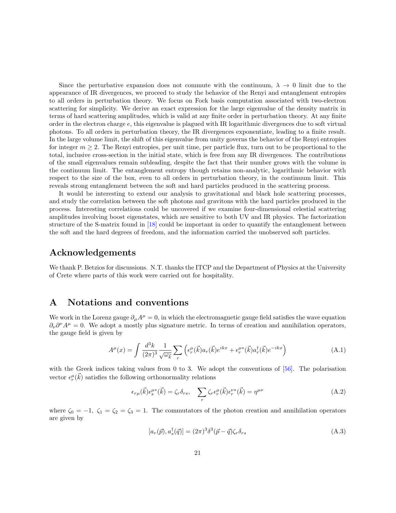Since the perturbative expansion does not commute with the continuum,  $\lambda \to 0$  limit due to the appearance of IR divergences, we proceed to study the behavior of the Renyi and entanglement entropies to all orders in perturbation theory. We focus on Fock basis computation associated with two-electron scattering for simplicity. We derive an exact expression for the large eigenvalue of the density matrix in terms of hard scattering amplitudes, which is valid at any finite order in perturbation theory. At any finite order in the electron charge e, this eigenvalue is plagued with IR logarithmic divergences due to soft virtual photons. To all orders in perturbation theory, the IR divergences exponentiate, leading to a finite result. In the large volume limit, the shift of this eigenvalue from unity governs the behavior of the Renyi entropies for integer  $m \geq 2$ . The Renyi entropies, per unit time, per particle flux, turn out to be proportional to the total, inclusive cross-section in the initial state, which is free from any IR divergences. The contributions of the small eigenvalues remain subleading, despite the fact that their number grows with the volume in the continuum limit. The entanglement entropy though retains non-analytic, logarithmic behavior with respect to the size of the box, even to all orders in perturbation theory, in the continuum limit. This reveals strong entanglement between the soft and hard particles produced in the scattering process.

It would be interesting to extend our analysis to gravitational and black hole scattering processes, and study the correlation between the soft photons and gravitons with the hard particles produced in the process. Interesting correlations could be uncovered if we examine four-dimensional celestial scattering amplitudes involving boost eigenstates, which are sensitive to both UV and IR physics. The factorization structure of the S-matrix found in [\[18\]](#page-37-0) could be important in order to quantify the entanglement between the soft and the hard degrees of freedom, and the information carried the unobserved soft particles.

## Acknowledgements

We thank P. Betzios for discussions. N.T. thanks the ITCP and the Department of Physics at the University of Crete where parts of this work were carried out for hospitality.

## <span id="page-20-0"></span>A Notations and conventions

We work in the Lorenz gauge  $\partial_{\mu}A^{\mu} = 0$ , in which the electromagnetic gauge field satisfies the wave equation  $\partial_{\nu}\partial^{\nu}A^{\mu}=0$ . We adopt a mostly plus signature metric. In terms of creation and annihilation operators, the gauge field is given by

$$
A^{\mu}(x) = \int \frac{d^3k}{(2\pi)^3} \frac{1}{\sqrt{\omega_{\vec{k}}}} \sum_{r} \left( \epsilon_r^{\mu}(\vec{k}) a_r(\vec{k}) e^{ikx} + \epsilon_r^{\mu*}(\vec{k}) a_r^{\dagger}(\vec{k}) e^{-ikx} \right)
$$
(A.1)

with the Greek indices taking values from 0 to 3. We adopt the conventions of  $[56]$ . The polarisation vector  $\epsilon_r^{\mu}(\vec{k})$  satisfies the following orthonormality relations

$$
\epsilon_{r\mu}(\vec{k})\epsilon_s^{\mu*}(\vec{k}) = \zeta_r \delta_{rs}, \quad \sum_r \zeta_r \epsilon_r^{\mu}(\vec{k})\epsilon_r^{\nu*}(\vec{k}) = \eta^{\mu\nu}
$$
\n(A.2)

where  $\zeta_0 = -1$ ,  $\zeta_1 = \zeta_2 = \zeta_3 = 1$ . The commutators of the photon creation and annihilation operators are given by

$$
[a_r(\vec{p}), a_s^{\dagger}(\vec{q})] = (2\pi)^3 \delta^3(\vec{p} - \vec{q}) \zeta_r \delta_{rs}
$$
\n(A.3)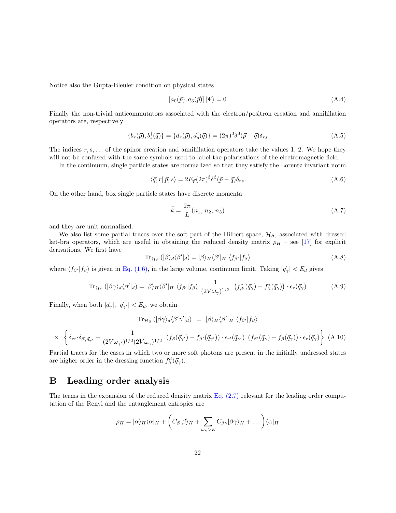Notice also the Gupta-Bleuler condition on physical states

$$
[a_0(\vec{p}), a_3(\vec{p})]|\Psi\rangle = 0\tag{A.4}
$$

Finally the non-trivial anticommutators associated with the electron/positron creation and annihilation operators are, respectively

$$
\{b_r(\vec{p}), b_s^{\dagger}(\vec{q})\} = \{d_r(\vec{p}), d_s^{\dagger}(\vec{q})\} = (2\pi)^3 \delta^3(\vec{p} - \vec{q}) \delta_{rs}
$$
(A.5)

The indices  $r, s, \ldots$  of the spinor creation and annihilation operators take the values 1, 2. We hope they will not be confused with the same symbols used to label the polarisations of the electromagnetic field.

In the continuum, single particle states are normalized so that they satisfy the Lorentz invariant norm

$$
\langle \vec{q}, r | \vec{p}, s \rangle = 2E_{\vec{p}}(2\pi)^3 \delta^3(\vec{p} - \vec{q}) \delta_{rs}.
$$
\n(A.6)

On the other hand, box single particle states have discrete momenta

$$
\vec{k} = \frac{2\pi}{L}(n_1, n_2, n_3) \tag{A.7}
$$

and they are unit normalized.

We also list some partial traces over the soft part of the Hilbert space,  $\mathcal{H}_S$ , associated with dressed ket-bra operators, which are useful in obtaining the reduced density matrix  $\rho_H$  – see [\[17\]](#page-36-14) for explicit derivations. We first have

$$
\operatorname{Tr}_{\mathcal{H}_S}(|\beta\rangle_d\langle\beta'|_d) = |\beta\rangle_H\langle\beta'|_H \langle f_{\beta'}|f_{\beta}\rangle
$$
\n(A.8)

where  $\langle f_{\beta'}|f_{\beta}\rangle$  is given in [Eq. \(1.6\),](#page-3-2) in the large volume, continuum limit. Taking  $|\vec{q}_{\gamma}| < E_d$  gives

$$
\text{Tr}_{\mathcal{H}_S} \left( |\beta \gamma\rangle_d \langle \beta' |_{d} \right) = |\beta\rangle_H \langle \beta' |_{H} \langle f_{\beta'} | f_{\beta} \rangle \frac{1}{(2V\omega_\gamma)^{1/2}} \left( f_{\beta'}^*(\vec{q}_\gamma) - f_{\beta}^*(\vec{q}_\gamma) \right) \cdot \epsilon_r(\vec{q}_\gamma)
$$
(A.9)

Finally, when both  $|\vec{q}_{\gamma}|, |\vec{q}_{\gamma'}| < E_d$ , we obtain

$$
\text{Tr}_{\mathcal{H}_S}(|\beta \gamma\rangle_d \langle \beta' \gamma'|_d) = |\beta\rangle_H \langle \beta'|_H \langle f_{\beta'}|f_{\beta}\rangle
$$
  
\$\times \left\{ \delta\_{rr'} \delta\_{\vec{q}\gamma \vec{q}\_{\gamma'}} + \frac{1}{(2V\omega\_{\gamma'})^{1/2}(2V\omega\_{\gamma})^{1/2}} \left( f\_{\beta}(\vec{q}\_{\gamma'}) - f\_{\beta'}(\vec{q}\_{\gamma'}) \right) \cdot \epsilon\_{r'}(\vec{q}\_{\gamma'}) \left( f\_{\beta'}(\vec{q}\_{\gamma}) - f\_{\beta}(\vec{q}\_{\gamma}) \right) \cdot \epsilon\_r(\vec{q}\_{\gamma}) \right\} (A.10)

Partial traces for the cases in which two or more soft photons are present in the initially undressed states are higher order in the dressing function  $f^{\mu}_{\beta}(\vec{q}_{\gamma}).$ 

# <span id="page-21-0"></span>B Leading order analysis

The terms in the expansion of the reduced density matrix Eq.  $(2.7)$  relevant for the leading order computation of the Renyi and the entanglement entropies are

$$
\rho_H = |\alpha\rangle_H \langle \alpha|_H + \left(C_\beta |\beta\rangle_H + \sum_{\omega_\gamma>E} C_{\beta\gamma} |\beta\gamma\rangle_H + \dots\right) \langle \alpha|_H
$$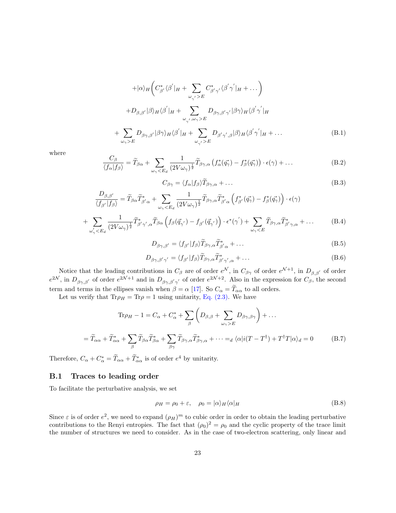$$
+ |\alpha\rangle_{H} \left( C_{\beta'}^{*} \langle \beta' | H + \sum_{\omega_{\gamma'} > E} C_{\beta'\gamma'}^{*} \langle \beta' \gamma' | H + \dots \right) + D_{\beta,\beta'} |\beta\rangle_{H} \langle \beta' | H + \sum_{\omega_{\gamma'},\omega_{\gamma} > E} D_{\beta\gamma,\beta'\gamma'} |\beta\gamma\rangle_{H} \langle \beta' \gamma' | H \sum_{\omega_{\gamma} > E} D_{\beta\gamma,\beta'} |\beta\gamma\rangle_{H} \langle \beta' | H + \sum_{\omega_{\gamma'} > E} D_{\beta'\gamma',\beta} |\beta\rangle_{H} \langle \beta' \gamma' | H + \dots
$$
\n(B.1)

where

<span id="page-22-1"></span>
$$
\frac{C_{\beta}}{\langle f_{\alpha}|f_{\beta}\rangle} = \widetilde{T}_{\beta\alpha} + \sum_{\omega_{\gamma} < E_d} \frac{1}{(2V\omega_{\gamma})^{\frac{1}{2}}} \widetilde{T}_{\beta\gamma,\alpha} \left( f_{\alpha}^*(\vec{q_{\gamma}}) - f_{\beta}^*(\vec{q_{\gamma}}) \right) \cdot \epsilon(\gamma) + \dots
$$
\n(B.2)

<span id="page-22-2"></span>
$$
C_{\beta\gamma} = \langle f_{\alpha} | f_{\beta} \rangle \widetilde{T}_{\beta\gamma,\alpha} + \dots \tag{B.3}
$$

$$
\frac{D_{\beta,\beta'}}{\langle f_{\beta'}|f_{\beta}\rangle} = \widetilde{T}_{\beta\alpha}\widetilde{T}_{\beta'\alpha}^* + \sum_{\omega_{\gamma} < E_d} \frac{1}{(2V\omega_{\gamma})^{\frac{1}{2}}}\widetilde{T}_{\beta\gamma,\alpha}\widetilde{T}_{\beta'\alpha}^* \left(f_{\beta'}^*(\vec{q_{\gamma}}) - f_{\beta}^*(\vec{q_{\gamma}})\right) \cdot \epsilon(\gamma) + \sum_{\omega_{\gamma}' < E_d} \frac{1}{(2V\omega_{\gamma})^{\frac{1}{2}}}\widetilde{T}_{\beta'\gamma',\alpha}^* \widetilde{T}_{\beta\alpha} \left(f_{\beta}(\vec{q_{\gamma'}}) - f_{\beta'}(\vec{q_{\gamma'}})\right) \cdot \epsilon^*(\gamma') + \sum_{\omega_{\gamma} < E} \widetilde{T}_{\beta\gamma,\alpha}\widetilde{T}_{\beta'\gamma,\alpha}^* + \dots
$$
\n(B.4)

$$
D_{\beta\gamma,\beta'} = \langle f_{\beta'} | f_{\beta} \rangle \widetilde{T}_{\beta\gamma,\alpha} \widetilde{T}_{\beta'\alpha}^* + \dots \tag{B.5}
$$

$$
D_{\beta\gamma,\beta'\gamma'} = \langle f_{\beta'} | f_{\beta} \rangle \widetilde{T}_{\beta\gamma,\alpha} \widetilde{T}_{\beta'\gamma',\alpha}^{*} + \dots \tag{B.6}
$$

Notice that the leading contributions in  $C_\beta$  are of order  $e^{\mathcal{N}}$ , in  $C_{\beta\gamma}$  of order  $e^{\mathcal{N}+1}$ , in  $D_{\beta,\beta'}$  of order  $e^{2\mathcal{N}}$ , in  $D_{\beta\gamma,\beta'}$  of order  $e^{2\mathcal{N}+1}$  and in  $D_{\beta\gamma,\beta'\gamma'}$  of order  $e^{2\mathcal{N}+2}$ . Also in the expression for  $C_{\beta}$ , the second term and terms in the ellipses vanish when  $\beta = \alpha$  [\[17\]](#page-36-14). So  $C_{\alpha} = \widetilde{T}_{\alpha\alpha}$  to all orders.

Let us verify that  $\text{Tr}\rho_H = \text{Tr}\rho = 1$  using unitarity, [Eq. \(2.3\).](#page-4-3) We have

$$
\text{Tr}\rho_H - 1 = C_{\alpha} + C_{\alpha}^* + \sum_{\beta} \left( D_{\beta,\beta} + \sum_{\omega_{\gamma} > E} D_{\beta\gamma,\beta\gamma} \right) + \dots
$$

$$
= \widetilde{T}_{\alpha\alpha} + \widetilde{T}_{\alpha\alpha}^* + \sum_{\beta} \widetilde{T}_{\beta\alpha} \widetilde{T}_{\beta\alpha}^* + \sum_{\beta\gamma} \widetilde{T}_{\beta\gamma,\alpha} \widetilde{T}_{\beta\gamma,\alpha}^* + \dots =_d \langle \alpha | i(T - T^{\dagger}) + T^{\dagger} T | \alpha \rangle_d = 0 \tag{B.7}
$$

Therefore,  $C_{\alpha} + C_{\alpha}^* = \tilde{T}_{\alpha\alpha} + \tilde{T}_{\alpha\alpha}^*$  is of order  $e^4$  by unitarity.

#### B.1 Traces to leading order

To facilitate the perturbative analysis, we set

<span id="page-22-0"></span> $+$ 

$$
\rho_H = \rho_0 + \varepsilon, \quad \rho_0 = |\alpha\rangle_H \langle \alpha|_H \tag{B.8}
$$

Since  $\varepsilon$  is of order  $e^2$ , we need to expand  $(\rho_H)^m$  to cubic order in order to obtain the leading perturbative contributions to the Renyi entropies. The fact that  $(\rho_0)^2 = \rho_0$  and the cyclic property of the trace limit the number of structures we need to consider. As in the case of two-electron scattering, only linear and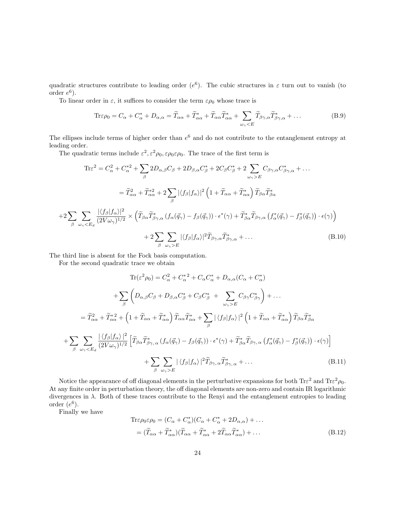quadratic structures contribute to leading order  $(e^6)$ . The cubic structures in  $\varepsilon$  turn out to vanish (to order  $e^6$ ).

To linear order in  $\varepsilon$ , it suffices to consider the term  $\varepsilon \rho_0$  whose trace is

$$
\text{Tr}\varepsilon\rho_0 = C_\alpha + C_\alpha^* + D_{\alpha,\alpha} = \tilde{T}_{\alpha\alpha} + \tilde{T}_{\alpha\alpha}^* + \tilde{T}_{\alpha\alpha}\tilde{T}_{\alpha\alpha}^* + \sum_{\omega_\gamma < E} \tilde{T}_{\beta\gamma,\alpha}\tilde{T}_{\beta\gamma,\alpha}^* + \dots \tag{B.9}
$$

The ellipses include terms of higher order than  $e^6$  and do not contribute to the entanglement entropy at leading order.

The quadratic terms include  $\varepsilon^2$ ,  $\varepsilon^2 \rho_0$ ,  $\varepsilon \rho_0 \varepsilon \rho_0$ . The trace of the first term is

$$
\text{Tr}\varepsilon^{2} = C_{\alpha}^{2} + C_{\alpha}^{*2} + \sum_{\beta} 2D_{\alpha,\beta}C_{\beta} + 2D_{\beta,\alpha}C_{\beta}^{*} + 2C_{\beta}C_{\beta}^{*} + 2\sum_{\omega_{\gamma} > E} C_{\beta\gamma,\alpha}C_{\beta\gamma,\alpha}^{*} + \dots
$$
\n
$$
= \tilde{T}_{\alpha\alpha}^{2} + \tilde{T}_{\alpha\alpha}^{*2} + 2\sum_{\beta} |\langle f_{\beta} | f_{\alpha} \rangle|^{2} \left(1 + \tilde{T}_{\alpha\alpha} + \tilde{T}_{\alpha\alpha}^{*}\right) \tilde{T}_{\beta\alpha} \tilde{T}_{\beta\alpha}^{*}
$$
\n
$$
+ 2\sum_{\beta} \sum_{\omega_{\gamma} < E_{d}} \frac{|\langle f_{\beta} | f_{\alpha} \rangle|^{2}}{(2V\omega_{\gamma})^{1/2}} \times \left( \tilde{T}_{\beta\alpha} \tilde{T}_{\beta\gamma,\alpha}^{*} \left( f_{\alpha}(\vec{q}_{\gamma}) - f_{\beta}(\vec{q}_{\gamma}) \right) \cdot \epsilon^{*}(\gamma) + \tilde{T}_{\beta\alpha}^{*} \tilde{T}_{\beta\gamma,\alpha} \left( f_{\alpha}^{*}(\vec{q}_{\gamma}) - f_{\beta}^{*}(\vec{q}_{\gamma}) \right) \cdot \epsilon(\gamma) \right)
$$
\n
$$
+ 2\sum_{\beta} \sum_{\omega_{\gamma} > E} |\langle f_{\beta} | f_{\alpha} \rangle|^{2} \tilde{T}_{\beta\gamma,\alpha} \tilde{T}_{\beta\gamma,\alpha}^{*} + \dots \qquad (B.10)
$$

The third line is absent for the Fock basis computation.

For the second quadratic trace we obtain

$$
\operatorname{Tr}(\varepsilon^{2}\rho_{0}) = C_{\alpha}^{2} + C_{\alpha}^{*2} + C_{\alpha}C_{\alpha}^{*} + D_{\alpha,\alpha}(C_{\alpha} + C_{\alpha}^{*})
$$
  
+ 
$$
\sum_{\beta} \left( D_{\alpha,\beta}C_{\beta} + D_{\beta,\alpha}C_{\beta}^{*} + C_{\beta}C_{\beta}^{*} + \sum_{\omega_{\gamma} > E} C_{\beta\gamma}C_{\beta\gamma}^{*} \right) + \dots
$$
  
= 
$$
\widetilde{T}_{\alpha\alpha}^{2} + \widetilde{T}_{\alpha\alpha}^{*2} + \left( 1 + \widetilde{T}_{\alpha\alpha} + \widetilde{T}_{\alpha\alpha}^{*} \right) \widetilde{T}_{\alpha\alpha} \widetilde{T}_{\alpha\alpha}^{*} + \sum_{\beta} |\langle f_{\beta}|f_{\alpha}\rangle|^{2} \left( 1 + \widetilde{T}_{\alpha\alpha} + \widetilde{T}_{\alpha\alpha}^{*} \right) \widetilde{T}_{\beta\alpha} \widetilde{T}_{\beta\alpha}^{*}
$$
  
+ 
$$
\sum_{\beta} \sum_{\omega_{\gamma} < E_{d}} \frac{|\langle f_{\beta}|f_{\alpha}\rangle|^{2}}{(2V\omega_{\gamma})^{1/2}} \left[ \widetilde{T}_{\beta\alpha} \widetilde{T}_{\beta\gamma,\alpha}^{*} (f_{\alpha}(\vec{q}_{\gamma}) - f_{\beta}(\vec{q}_{\gamma})) \cdot \epsilon^{*}(\gamma) + \widetilde{T}_{\beta\alpha}^{*} \widetilde{T}_{\beta\gamma,\alpha} (f_{\alpha}^{*}(\vec{q}_{\gamma}) - f_{\beta}^{*}(\vec{q}_{\gamma})) \cdot \epsilon(\gamma) \right]
$$
  
+ 
$$
\sum_{\beta} \sum_{\omega_{\gamma} > E} |\langle f_{\beta}|f_{\alpha}\rangle|^{2} \widetilde{T}_{\beta\gamma,\alpha} \widetilde{T}_{\beta\gamma,\alpha}^{*} + \dots
$$
(B.11)

Notice the appearance of off diagonal elements in the perturbative expansions for both  $\text{Tr}\varepsilon^2$  and  $\text{Tr}\varepsilon^2\rho_0$ . At any finite order in perturbation theory, the off diagonal elements are non-zero and contain IR logarithmic divergences in  $\lambda$ . Both of these traces contribute to the Renyi and the entanglement entropies to leading order  $(e^6)$ .

Finally we have

$$
\begin{split} \text{Tr}\varepsilon\rho_{0}\varepsilon\rho_{0} &= (C_{\alpha} + C_{\alpha}^{*})(C_{\alpha} + C_{\alpha}^{*} + 2D_{\alpha,\alpha}) + \dots \\ &= (\widetilde{T}_{\alpha\alpha} + \widetilde{T}_{\alpha\alpha}^{*})(\widetilde{T}_{\alpha\alpha} + \widetilde{T}_{\alpha\alpha}^{*} + 2\widetilde{T}_{\alpha\alpha}\widetilde{T}_{\alpha\alpha}^{*}) + \dots \end{split} \tag{B.12}
$$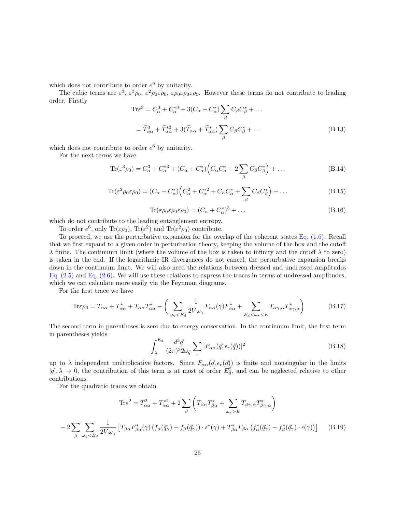which does not contribute to order  $e^6$  by unitarity.

The cubic terms are  $\varepsilon^3$ ,  $\varepsilon^3 \rho_0$ ,  $\varepsilon^2 \rho_0 \varepsilon \rho_0$ ,  $\varepsilon \rho_0 \varepsilon \rho_0 \varepsilon \rho_0$ . However these terms do not contribute to leading order. Firstly

$$
\begin{split} \text{Tr}\varepsilon^{3} &= C_{\alpha}^{3} + C_{\alpha}^{*3} + 3(C_{\alpha} + C_{\alpha}^{*}) \sum_{\beta} C_{\beta} C_{\beta}^{*} + \dots \\ &= \widetilde{T}_{\alpha\alpha}^{3} + \widetilde{T}_{\alpha\alpha}^{*3} + 3(\widetilde{T}_{\alpha\alpha} + \widetilde{T}_{\alpha\alpha}^{*}) \sum_{\beta} C_{\beta} C_{\beta}^{*} + \dots \end{split} \tag{B.13}
$$

which does not contribute to order  $e^6$  by unitarity.

For the next terms we have

$$
\operatorname{Tr}(\varepsilon^3 \rho_0) = C_\alpha^3 + C_\alpha^{*3} + (C_\alpha + C_\alpha^*) \Big( C_\alpha C_\alpha^* + 2 \sum_\beta C_\beta C_\beta^* \Big) + \dots
$$
\n(B.14)

$$
\operatorname{Tr}(\varepsilon^2 \rho_0 \varepsilon \rho_0) = (C_\alpha + C_\alpha^*) \left( C_\alpha^2 + C_\alpha^{*2} + C_\alpha C_\alpha^* + \sum_\beta C_\beta C_\beta^* \right) + \dots
$$
\n(B.15)

$$
\operatorname{Tr}(\varepsilon \rho_0 \varepsilon \rho_0 \varepsilon \rho_0) = (C_\alpha + C_\alpha^*)^3 + \dots
$$
\n(B.16)

which do not contribute to the leading entanglement entropy.

To order  $e^6$ , only Tr( $\varepsilon \rho_0$ ), Tr( $\varepsilon^2$ ) and Tr( $\varepsilon^2 \rho_0$ ) contribute.

To proceed, we use the perturbative expansion for the overlap of the coherent states [Eq. \(1.6\).](#page-3-2) Recall that we first expand to a given order in perturbation theory, keeping the volume of the box and the cutoff  $\lambda$  finite. The continuum limit (where the volume of the box is taken to infinity and the cutoff  $\lambda$  to zero) is taken in the end. If the logarithmic IR divergences do not cancel, the perturbative expansion breaks down in the continuum limit. We will also need the relations between dressed and undressed amplitudes Eq.  $(2.5)$  and Eq.  $(2.6)$ . We will use these relations to express the traces in terms of undressed amplitudes, which we can calculate more easily via the Feynman diagrams.

For the first trace we have

$$
\text{Tr}\varepsilon\rho_0 = T_{\alpha\alpha} + T_{\alpha\alpha}^* + T_{\alpha\alpha}T_{\alpha\alpha}^* + \left(\sum_{\omega_\gamma < E_d} \frac{1}{2V\omega_\gamma} F_{\alpha\alpha}(\gamma) F_{\alpha\alpha}^* + \sum_{E_d < \omega_\gamma < E} T_{\alpha\gamma,\alpha} T_{\alpha\gamma,\alpha}^*\right) \tag{B.17}
$$

The second term in parentheses is zero due to energy conservation. In the continuum limit, the first term in parentheses yields

$$
\int_{\lambda}^{E_d} \frac{d^3 \vec{q}}{(2\pi)^3 2\omega_{\vec{q}}} \sum_r |F_{\alpha\alpha}(\vec{q}, \epsilon_r(\vec{q}))|^2
$$
\n(B.18)

up to  $\lambda$  independent multiplicative factors. Since  $F_{\alpha\alpha}(\vec{q}, \epsilon_r(\vec{q}))$  is finite and nonsingular in the limits  $|\vec{q}|, \lambda \to 0$ , the contribution of this term is at most of order  $E_d^2$ , and can be neglected relative to other contributions.

For the quadratic traces we obtain

<span id="page-24-0"></span>
$$
\operatorname{Tr}\varepsilon^{2} = T_{\alpha\alpha}^{2} + T_{\alpha\alpha}^{*2} + 2\sum_{\beta} \left( T_{\beta\alpha} T_{\beta\alpha}^{*} + \sum_{\omega_{\gamma} > E} T_{\beta\gamma,\alpha} T_{\beta\gamma,\alpha}^{*} \right)
$$

$$
+ 2\sum_{\beta} \sum_{\omega_{\gamma} < E_{d}} \frac{1}{2V\omega_{\gamma}} \left[ T_{\beta\alpha} F_{\beta\alpha}^{*}(\gamma) \left( f_{\alpha}(\vec{q}_{\gamma}) - f_{\beta}(\vec{q}_{\gamma}) \right) \cdot \epsilon^{*}(\gamma) + T_{\beta\alpha}^{*} F_{\beta\alpha} \left( f_{\alpha}^{*}(\vec{q}_{\gamma}) - f_{\beta}^{*}(\vec{q}_{\gamma}) \cdot \epsilon(\gamma) \right) \right] \tag{B.19}
$$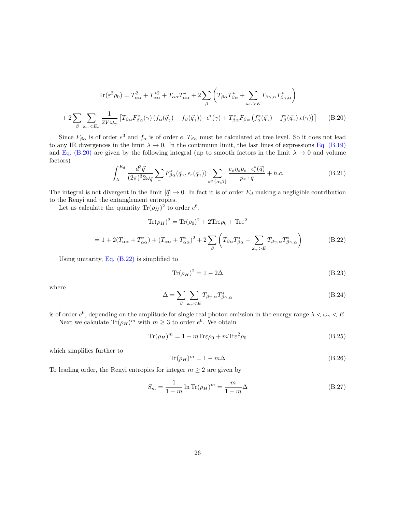<span id="page-25-0"></span>
$$
\text{Tr}(\varepsilon^2 \rho_0) = T_{\alpha\alpha}^2 + T_{\alpha\alpha}^{*2} + T_{\alpha\alpha} T_{\alpha\alpha}^* + 2 \sum_{\beta} \left( T_{\beta\alpha} T_{\beta\alpha}^* + \sum_{\omega_\gamma > E} T_{\beta\gamma,\alpha} T_{\beta\gamma,\alpha}^* \right)
$$

$$
+ 2 \sum_{\beta} \sum_{\omega_\gamma < E_d} \frac{1}{2V_{\omega_\gamma}} \left[ T_{\beta\alpha} F_{\beta\alpha}^*(\gamma) \left( f_\alpha(\vec{q}_\gamma) - f_\beta(\vec{q}_\gamma) \right) \cdot \epsilon^*(\gamma) + T_{\beta\alpha}^* F_{\beta\alpha} \left( f_\alpha^*(\vec{q}_\gamma) - f_\beta^*(\vec{q}_\gamma) \cdot \epsilon(\gamma) \right) \right] \tag{B.20}
$$

Since  $F_{\beta\alpha}$  is of order  $e^3$  and  $f_{\alpha}$  is of order  $e, T_{\beta\alpha}$  must be calculated at tree level. So it does not lead to any IR divergences in the limit  $\lambda \to 0$ . In the continuum limit, the last lines of expressions [Eq. \(B.19\)](#page-24-0) and [Eq. \(B.20\)](#page-25-0) are given by the following integral (up to smooth factors in the limit  $\lambda \to 0$  and volume factors)

$$
\int_{\lambda}^{E_d} \frac{d^3 \vec{q}}{(2\pi)^3 2\omega_{\vec{q}}} \sum_{r} F^*_{\beta\alpha}(\vec{q}_\gamma, \epsilon_r(\vec{q}_\gamma)) \sum_{s \in \{\alpha, \beta\}} \frac{e_s \eta_s p_s \cdot \epsilon_r^*(\vec{q})}{p_s \cdot q} + h.c.
$$
 (B.21)

The integral is not divergent in the limit  $|\vec{q}| \to 0$ . In fact it is of order  $E_d$  making a negligible contribution to the Renyi and the entanglement entropies.

Let us calculate the quantity  $\text{Tr}(\rho_H)^2$  to order  $e^6$ .

<span id="page-25-1"></span>
$$
\text{Tr}(\rho_H)^2 = \text{Tr}(\rho_0)^2 + 2\text{Tr}\varepsilon\rho_0 + \text{Tr}\varepsilon^2
$$

$$
= 1 + 2(T_{\alpha\alpha} + T_{\alpha\alpha}^*) + (T_{\alpha\alpha} + T_{\alpha\alpha}^*)^2 + 2\sum_{\beta} \left( T_{\beta\alpha} T_{\beta\alpha}^* + \sum_{\omega_\gamma > E} T_{\beta\gamma,\alpha} T_{\beta\gamma,\alpha}^* \right) \tag{B.22}
$$

Using unitarity, Eq.  $(B.22)$  is simplified to

$$
\text{Tr}(\rho_H)^2 = 1 - 2\Delta\tag{B.23}
$$

where

$$
\Delta = \sum_{\beta} \sum_{\omega_{\gamma} < E} T_{\beta\gamma,\alpha} T_{\beta\gamma,\alpha}^* \tag{B.24}
$$

is of order  $e^6$ , depending on the amplitude for single real photon emission in the energy range  $\lambda < \omega_{\gamma} < E$ . Next we calculate  $\text{Tr}(\rho_H)^m$  with  $m \geq 3$  to order  $e^6$ . We obtain

$$
\text{Tr}(\rho_H)^m = 1 + m \text{Tr}\varepsilon \rho_0 + m \text{Tr}\varepsilon^2 \rho_0 \tag{B.25}
$$

which simplifies further to

$$
\text{Tr}(\rho_H)^m = 1 - m\Delta \tag{B.26}
$$

To leading order, the Renyi entropies for integer  $m \geq 2$  are given by

$$
S_m = \frac{1}{1-m} \ln \text{Tr}(\rho_H)^m = \frac{m}{1-m} \Delta \tag{B.27}
$$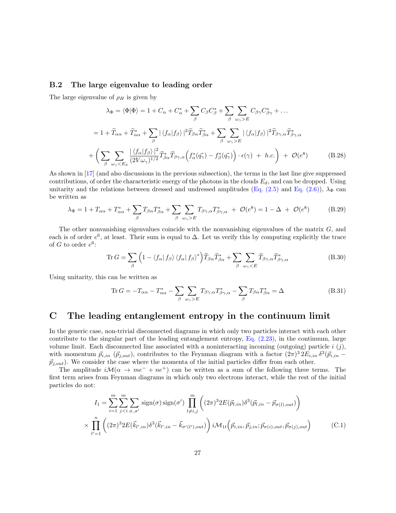#### B.2 The large eigenvalue to leading order

The large eigenvalue of  $\rho_H$  is given by

$$
\lambda_{\Phi} = \langle \Phi | \Phi \rangle = 1 + C_{\alpha} + C_{\alpha}^{*} + \sum_{\beta} C_{\beta} C_{\beta}^{*} + \sum_{\beta} \sum_{\omega_{\gamma} > E} C_{\beta \gamma} C_{\beta \gamma}^{*} + \dots
$$
  
\n
$$
= 1 + \widetilde{T}_{\alpha\alpha} + \widetilde{T}_{\alpha\alpha}^{*} + \sum_{\beta} |\langle f_{\alpha} | f_{\beta} \rangle|^{2} \widetilde{T}_{\beta\alpha} \widetilde{T}_{\beta\alpha}^{*} + \sum_{\beta} \sum_{\omega_{\gamma} > E} |\langle f_{\alpha} | f_{\beta} \rangle|^{2} \widetilde{T}_{\beta \gamma,\alpha} \widetilde{T}_{\beta \gamma,\alpha}^{*}
$$
  
\n
$$
+ \left( \sum_{\beta} \sum_{\omega_{\gamma} < E_{d}} \frac{|\langle f_{\alpha} | f_{\beta} \rangle|^{2}}{(2V\omega_{\gamma})^{1/2}} \widetilde{T}_{\beta\alpha}^{*} \widetilde{T}_{\beta \gamma,\alpha} \left( f_{\alpha}^{*} (\vec{q}_{\gamma}) - f_{\beta}^{*} (\vec{q}_{\gamma}) \right) \cdot \epsilon(\gamma) + h.c. \right) + \mathcal{O}(\epsilon^{8}) \tag{B.28}
$$

As shown in [\[17\]](#page-36-14) (and also discussions in the previous subsection), the terms in the last line give suppressed contributions, of order the characteristic energy of the photons in the clouds  $E_d$ , and can be dropped. Using unitarity and the relations between dressed and undressed amplitudes [\(Eq. \(2.5\)](#page-5-4) and [Eq. \(2.6\)\)](#page-5-5),  $\lambda_{\Phi}$  can be written as

$$
\lambda_{\Phi} = 1 + T_{\alpha\alpha} + T_{\alpha\alpha}^* + \sum_{\beta} T_{\beta\alpha} T_{\beta\alpha}^* + \sum_{\beta} \sum_{\omega_{\gamma} > E} T_{\beta\gamma,\alpha} T_{\beta\gamma,\alpha}^* + \mathcal{O}(e^8) = 1 - \Delta + \mathcal{O}(e^8)
$$
(B.29)

The other nonvanishing eigenvalues coincide with the nonvanishing eigenvalues of the matrix G, and each is of order  $e^6$ , at least. Their sum is equal to  $\Delta$ . Let us verify this by computing explicitly the trace of G to order  $e^6$ :

<span id="page-26-0"></span>
$$
\operatorname{Tr} G = \sum_{\beta} \left( 1 - \langle f_{\alpha} | f_{\beta} \rangle \langle f_{\alpha} | f_{\beta} \rangle^* \right) \widetilde{T}_{\beta \alpha} \widetilde{T}_{\beta \alpha}^* + \sum_{\beta} \sum_{\omega_{\gamma} < E} \widetilde{T}_{\beta \gamma, \alpha} \widetilde{T}_{\beta \gamma, \alpha}^* \tag{B.30}
$$

Using unitarity, this can be written as

<span id="page-26-1"></span>
$$
\text{Tr}\,G = -T_{\alpha\alpha} - T_{\alpha\alpha}^* - \sum_{\beta} \sum_{\omega_{\gamma} > E} T_{\beta\gamma,\alpha} T_{\beta\gamma,\alpha}^* - \sum_{\beta} T_{\beta\alpha} T_{\beta\alpha}^* = \Delta \tag{B.31}
$$

# <span id="page-26-2"></span>C The leading entanglement entropy in the continuum limit

In the generic case, non-trivial disconnected diagrams in which only two particles interact with each other contribute to the singular part of the leading entanglement entropy, [Eq. \(2.23\),](#page-8-0) in the continuum, large volume limit. Each disconnected line associated with a noninteracting incoming (outgoing) particle i  $(i)$ , with momentum  $\vec{p}_{i,in}$  ( $\vec{p}_{j,out}$ ), contributes to the Feynman diagram with a factor  $(2\pi)^3 2E_{i,in} \delta^3(\vec{p}_{i,in} \vec{p}_{j,out}$ ). We consider the case where the momenta of the initial particles differ from each other.

The amplitude  $i\mathcal{M}(\alpha \to me^{-} + ne^{+})$  can be written as a sum of the following three terms. The first term arises from Feynman diagrams in which only two electrons interact, while the rest of the initial particles do not:

$$
I_1 = \sum_{i=1}^m \sum_{j
$$
\times \prod_{l'=1}^n \left( (2\pi)^3 2E(\vec{k}_{l',in}) \delta^3(\vec{k}_{l',in} - \vec{k}_{\sigma'(l'),out}) \right) i\mathcal{M}_{1t} \left( \vec{p}_{i,in}, \vec{p}_{j,in}; \vec{p}_{\sigma(i),out}, \vec{p}_{\sigma(j),out} \right) \tag{C.1}
$$
$$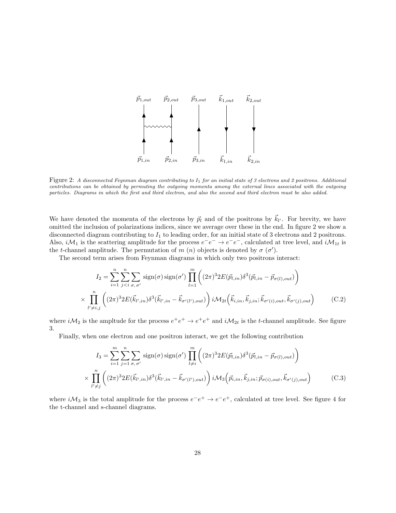

Figure 2: A disconnected Feynman diagram contributing to I<sup>1</sup> for an initial state of 3 electrons and 2 positrons. Additional contributions can be obtained by permuting the outgoing momenta among the external lines associated with the outgoing particles. Diagrams in which the first and third electron, and also the second and third electron must be also added.

We have denoted the momenta of the electrons by  $\vec{p}_l$  and of the positrons by  $\vec{k}_{l'}$ . For brevity, we have omitted the inclusion of polarizations indices, since we average over these in the end. In figure 2 we show a disconnected diagram contributing to  $I_1$  to leading order, for an initial state of 3 electrons and 2 positrons. Also,  $i\mathcal{M}_1$  is the scattering amplitude for the process  $e^-e^- \to e^-e^-$ , calculated at tree level, and  $i\mathcal{M}_{1t}$  is the t-channel amplitude. The permutation of m  $(n)$  objects is denoted by  $\sigma(\sigma')$ .

The second term arises from Feynman diagrams in which only two positrons interact:

$$
I_2 = \sum_{i=1}^n \sum_{j  

$$
\times \prod_{l' \neq i,j}^n ((2\pi)^3 2E(\vec{k}_{l',in}) \delta^3(\vec{k}_{l',in} - \vec{k}_{\sigma'(l'),out})) \delta^3(\vec{k}_{l',in} - \vec{k}_{\sigma'(l'),out}) \delta^3(\vec{k}_{l,in}, \vec{k}_{j,in}; \vec{k}_{\sigma'(i),out}, \vec{k}_{\sigma'(j),out})
$$
(C.2)
$$

where  $i\mathcal{M}_2$  is the ampltude for the process  $e^+e^+ \to e^+e^+$  and  $i\mathcal{M}_{2t}$  is the t-channel amplitude. See figure 3.

Finally, when one electron and one positron interact, we get the following contribution

$$
I_3 = \sum_{i=1}^m \sum_{j=1}^n \sum_{\sigma,\sigma'} \operatorname{sign}(\sigma) \operatorname{sign}(\sigma') \prod_{l \neq i}^m \left( (2\pi)^3 2E(\vec{p}_{l,in}) \delta^3(\vec{p}_{l,in} - \vec{p}_{\sigma(l),out}) \right)
$$

$$
\times \prod_{l' \neq j}^n \left( (2\pi)^3 2E(\vec{k}_{l',in}) \delta^3(\vec{k}_{l',in} - \vec{k}_{\sigma'(l'),out}) \right) i\mathcal{M}_3\left(\vec{p}_{i,in}, \vec{k}_{j,in}; \vec{p}_{\sigma(i),out}, \vec{k}_{\sigma'(j),out} \right) \tag{C.3}
$$

where  $i\mathcal{M}_3$  is the total amplitude for the process  $e^-e^+ \to e^-e^+$ , calculated at tree level. See figure 4 for the t-channel and s-channel diagrams.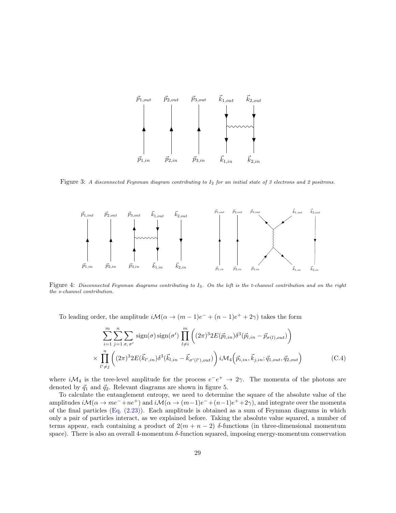

Figure 3: A disconnected Feynman diagram contributing to  $I_2$  for an initial state of 3 electrons and 2 positrons.



Figure 4: Disconnected Feynman diagrams contributing to I3. On the left is the t-channel contribution and on the right the s-channel contribution.

To leading order, the amplitude  $i\mathcal{M}(\alpha \to (m-1)e^- + (n-1)e^+ + 2\gamma)$  takes the form

$$
\sum_{i=1}^{m} \sum_{j=1}^{n} \sum_{\sigma,\,\sigma'} \text{sign}(\sigma) \,\text{sign}(\sigma') \,\prod_{l \neq i}^{m} \left( (2\pi)^3 2E(\vec{p}_{l,in}) \delta^3(\vec{p}_{l,in} - \vec{p}_{\sigma(l),out}) \right) \times \prod_{l' \neq j}^{n} \left( (2\pi)^3 2E(\vec{k}_{l',in}) \delta^3(\vec{k}_{l,in} - \vec{k}_{\sigma'(l'),out}) \right) i\mathcal{M}_4\left(\vec{p}_{i,in}, \vec{k}_{j,in}; \vec{q}_{1,out}, \vec{q}_{2,out} \right) \tag{C.4}
$$

where  $i\mathcal{M}_4$  is the tree-level amplitude for the process  $e^-e^+ \to 2\gamma$ . The momenta of the photons are denoted by  $\vec{q}_1$  and  $\vec{q}_2$ . Relevant diagrams are shown in figure 5.

To calculate the entanglement entropy, we need to determine the square of the absolute value of the amplitudes  $i\mathcal{M}(\alpha \to me^- + ne^+)$  and  $i\mathcal{M}(\alpha \to (m-1)e^- + (n-1)e^+ + 2\gamma)$ , and integrate over the momenta of the final particles [\(Eq. \(2.23\)\)](#page-8-0). Each amplitude is obtained as a sum of Feynman diagrams in which only a pair of particles interact, as we explained before. Taking the absolute value squared, a number of terms appear, each containing a product of  $2(m + n - 2)$  δ-functions (in three-dimensional momentum space). There is also an overall 4-momentum δ-function squared, imposing energy-momentum conservation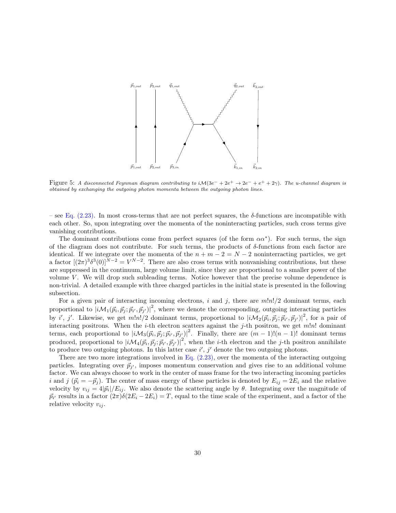

Figure 5: A disconnected Feynman diagram contributing to  $i\mathcal{M}(3e^- + 2e^+ \to 2e^- + e^+ + 2\gamma)$ . The u-channel diagram is obtained by exchanging the outgoing photon momenta between the outgoing photon lines.

– see [Eq. \(2.23\).](#page-8-0) In most cross-terms that are not perfect squares, the  $\delta$ -functions are incompatible with each other. So, upon integrating over the momenta of the noninteracting particles, such cross terms give vanishing contributions.

The dominant contributions come from perfect squares (of the form  $\alpha \alpha^*$ ). For such terms, the sign of the diagram does not contribute. For such terms, the products of  $\delta$ -functions from each factor are identical. If we integrate over the momenta of the  $n + m - 2 = N - 2$  noninterracting particles, we get a factor  $[(2\pi)^3 \delta^3(0)]^{N-2} = V^{N-2}$ . There are also cross terms with nonvanishing contributions, but these are suppressed in the continuum, large volume limit, since they are proportional to a smaller power of the volume  $V$ . We will drop such subleading terms. Notice however that the precise volume dependence is non-trivial. A detailed example with three charged particles in the initial state is presented in the following subsection.

produced, proportional to  $|i\mathcal{M}_4(\vec{p}_i, \vec{p}_j; \vec{p}_{i'}, \vec{p}_{j'})|^2$ , when the *i*-th electron and the *j*-th positron annihilate For a given pair of interacting incoming electrons, i and j, there are  $m!n!/2$  dominant terms, each proportional to  $|iM_1(\vec{p}_i, \vec{p}_j; \vec{p}_{i'}, \vec{p}_{j'})|^2$ , where we denote the corresponding, outgoing interacting particles by i', j'. Likewise, we get  $m!n!/2$  dominant terms, proportional to  $|i\mathcal{M}_2(\vec{p}_i,\vec{p}_j;\vec{p}_{i'},\vec{p}_{j'})|^2$ , for a pair of interacting positrons. When the *i*-th electron scatters against the *j*-th positron, we get  $m!n!$  dominant terms, each proportional to  $|i\mathcal{M}_3(\vec{p}_i, \vec{p}_j; \vec{p}_{i'}, \vec{p}_{j'})|^2$ . Finally, there are  $(m-1)!(n-1)!$  dominant terms to produce two outgoing photons. In this latter case  $i'$ ,  $j'$  denote the two outgoing photons.

There are two more integrations involved in Eq.  $(2.23)$ , over the momenta of the interacting outgoing particles. Integrating over  $\vec{p}_{j'}$ , imposes momentum conservation and gives rise to an additional volume factor. We can always choose to work in the center of mass frame for the two interacting incoming particles i and j  $(\vec{p}_i = -\vec{p}_j)$ . The center of mass energy of these particles is denoted by  $E_{ij} = 2E_i$  and the relative velocity by  $v_{ij} = 4|\vec{p}_i|/E_{ij}$ . We also denote the scattering angle by  $\theta$ . Integrating over the magnitude of  $\vec{p}_{i'}$  results in a factor  $(2\pi)\delta(2E_i - 2E_i) = T$ , equal to the time scale of the experiment, and a factor of the relative velocity  $v_{ij}$ .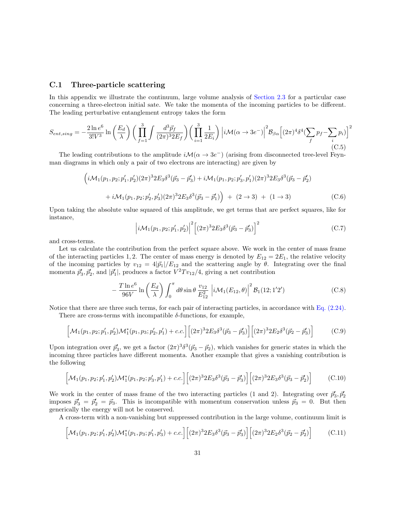#### C.1 Three-particle scattering

In this appendix we illustrate the continuum, large volume analysis of [Section 2.3](#page-7-0) for a particular case concerning a three-electron initial sate. We take the momenta of the incoming particles to be different. The leading perturbative entanglement entropy takes the form

$$
S_{ent,sing} = -\frac{2\ln e^6}{3!V^3} \ln\left(\frac{E_d}{\lambda}\right) \left(\prod_{f=1}^3 \int \frac{d^3 \vec{p}_f}{(2\pi)^3 2E_f} \right) \left(\prod_{i=1}^3 \frac{1}{2E_i}\right) \left|i\mathcal{M}(\alpha \to 3e^-)\right|^2 \mathcal{B}_{\beta\alpha} \left[(2\pi)^4 \delta^4 (\sum_f p_f - \sum_i p_i)\right]^2
$$
\n(C.5)

The leading contributions to the amplitude  $i\mathcal{M}(\alpha \to 3e^-)$  (arising from disconnected tree-level Feynman diagrams in which only a pair of two electrons are interacting) are given by

$$
\left(i\mathcal{M}_1(p_1, p_2; p'_1, p'_2)(2\pi)^3 2E_3 \delta^3(\vec{p}_3 - \vec{p}'_3) + i\mathcal{M}_1(p_1, p_2; p'_3, p'_1)(2\pi)^3 2E_3 \delta^3(\vec{p}_3 - \vec{p}'_2) + i\mathcal{M}_1(p_1, p_2; p'_2, p'_3)(2\pi)^3 2E_3 \delta^3(\vec{p}_3 - \vec{p}'_1)\right) + (2 \to 3) + (1 \to 3)
$$
\n(C.6)

Upon taking the absolute value squared of this amplitude, we get terms that are perfect squares, like for instance,

$$
\left| i \mathcal{M}_1(p_1, p_2; p'_1, p'_2) \right|^2 \left[ (2\pi)^3 2 E_3 \delta^3 (\vec{p}_3 - \vec{p}'_3) \right]^2 \tag{C.7}
$$

and cross-terms.

Let us calculate the contribution from the perfect square above. We work in the center of mass frame of the interacting particles 1, 2. The center of mass energy is denoted by  $E_{12} = 2E_1$ , the relative velocity of the incoming particles by  $v_{12} = 4|\vec{p}_1|/E_{12}$  and the scattering angle by  $\theta$ . Integrating over the final momenta  $\vec{p}_3^{\prime}, \vec{p}_2^{\prime}$ , and  $|\vec{p}_1^{\prime}|$ , produces a factor  $V^2 T v_{12}/4$ , giving a net contribution

<span id="page-30-0"></span>
$$
-\frac{T\ln e^6}{96V}\ln\left(\frac{E_d}{\lambda}\right)\int_0^\pi d\theta\sin\theta\,\frac{v_{12}}{E_{12}^2}\left|i\mathcal{M}_1(E_{12},\theta)\right|^2\mathcal{B}_1(12;1'2')\tag{C.8}
$$

Notice that there are three such terms, for each pair of interacting particles, in accordance with [Eq. \(2.24\).](#page-9-1)

There are cross-terms with incompatible  $\delta$ -functions, for example,

$$
\left[\mathcal{M}_1(p_1, p_2; p_1', p_2')\mathcal{M}_1^*(p_1, p_3; p_2', p_1') + c.c.\right] \left[ (2\pi)^3 2E_3 \delta^3(\vec{p}_3 - \vec{p}_3') \right] \left[ (2\pi)^3 2E_2 \delta^3(\vec{p}_2 - \vec{p}_3') \right] \tag{C.9}
$$

Upon integration over  $\vec{p}_3$ , we get a factor  $(2\pi)^3 \delta^3(\vec{p}_3 - \vec{p}_2)$ , which vanishes for generic states in which the incoming three particles have different momenta. Another example that gives a vanishing contribution is the following

$$
\left[\mathcal{M}_1(p_1, p_2; p'_1, p'_2)\mathcal{M}_1^*(p_1, p_2; p'_3, p'_1) + c.c.\right] \left[ (2\pi)^3 2E_3 \delta^3(\vec{p}_3 - \vec{p}'_3) \right] \left[ (2\pi)^3 2E_3 \delta^3(\vec{p}_3 - \vec{p}'_2) \right] \tag{C.10}
$$

We work in the center of mass frame of the two interacting particles (1 and 2). Integrating over  $\vec{p}_3^{\prime}, \vec{p}_2^{\prime}$ imposes  $\vec{p}_3' = \vec{p}_2' = \vec{p}_3$ . This is incompatible with momentum conservation unless  $\vec{p}_3 = 0$ . But then generically the energy will not be conserved.

A cross-term with a non-vanishing but suppressed contribution in the large volume, continuum limit is

$$
\left[\mathcal{M}_1(p_1, p_2; p_1', p_2')\mathcal{M}_1^*(p_1, p_3; p_1', p_3') + c.c.\right] \left[ (2\pi)^3 2E_3 \delta^3(\vec{p}_3 - \vec{p}_3') \right] \left[ (2\pi)^3 2E_2 \delta^3(\vec{p}_2 - \vec{p}_2') \right] \tag{C.11}
$$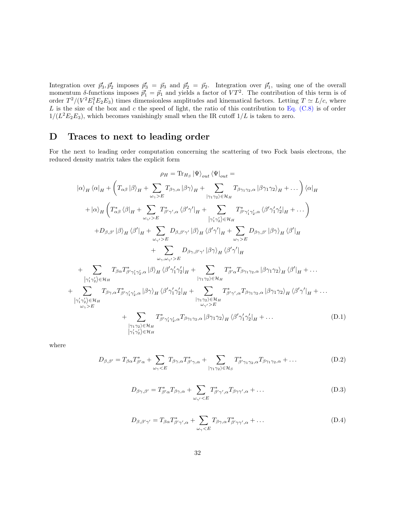Integration over  $\vec{p}_3^{\prime}, \vec{p}_2^{\prime}$  imposes  $\vec{p}_3^{\prime} = \vec{p}_3$  and  $\vec{p}_2^{\prime} = \vec{p}_2$ . Integration over  $\vec{p}_1^{\prime}$ , using one of the overall momentum  $\delta$ -functions imposes  $\vec{p}'_1 = \vec{p}_1$  and yields a factor of  $VT^2$ . The contribution of this term is of order  $T^2/(V^2 E_1^2 E_2 E_3)$  times dimensionless amplitudes and kinematical factors. Letting  $T \simeq L/c$ , where L is the size of the box and c the speed of light, the ratio of this contribution to Eq.  $(C.8)$  is of order  $1/(L^2E_2E_3)$ , which becomes vanishingly small when the IR cutoff  $1/L$  is taken to zero.

# <span id="page-31-0"></span>D Traces to next to leading order

For the next to leading order computation concerning the scattering of two Fock basis electrons, the reduced density matrix takes the explicit form

$$
\rho_{H} = \text{Tr}_{H_{S}} |\Psi\rangle_{out} \langle \Psi|_{out} =
$$
\n
$$
|\alpha\rangle_{H} \langle \alpha|_{H} + \left(T_{\alpha\beta} |\beta\rangle_{H} + \sum_{\omega_{\gamma} > E} T_{\beta\gamma,\alpha} |\beta\gamma\rangle_{H} + \sum_{|\gamma_{1}\gamma_{2}\rangle \in \mathcal{H}_{H}} T_{\beta\gamma_{1}\gamma_{2},\alpha} |\beta\gamma_{1}\gamma_{2}\rangle_{H} + \dots \right) \langle \alpha|_{H}
$$
\n
$$
+ |\alpha\rangle_{H} \left(T_{\alpha\beta}^{*} \langle \beta|_{H} + \sum_{\omega_{\gamma'} > E} T_{\beta\gamma',\alpha}^{*} \langle \beta'\gamma'|_{H} + \sum_{|\gamma_{1}\gamma_{2}\rangle \in \mathcal{H}_{H}} T_{\beta\gamma'\gamma'_{2},\alpha}^{*} \langle \beta'\gamma'_{1}\gamma'_{2}|_{H} + \dots \right)
$$
\n
$$
+ D_{\beta,\beta'} |\beta\rangle_{H} \langle \beta'|_{H} + \sum_{\omega_{\gamma'} > E} D_{\beta,\beta'\gamma'} |\beta\rangle_{H} \langle \beta'\gamma'|_{H} + \sum_{\omega_{\gamma'} > E} D_{\beta\gamma,\beta'} |\beta\gamma\rangle_{H} \langle \beta'|_{H}
$$
\n
$$
+ \sum_{\omega_{\gamma},\omega_{\gamma'} > E} T_{\beta\alpha} T_{\beta'\gamma'\gamma'_{2},\alpha}^{*} |\beta\rangle_{H} \langle \beta'\gamma'_{2}|_{H} + \sum_{|\gamma_{1}\gamma_{2}\rangle \in \mathcal{H}_{H}} T_{\beta'\alpha}^{*} T_{\beta\gamma_{1}\gamma_{2},\alpha} |\beta\gamma_{1}\gamma_{2}\rangle_{H} \langle \beta'|_{H} + \dots
$$
\n
$$
+ \sum_{|\gamma_{1}\gamma_{2}\rangle \in \mathcal{H}_{H}} T_{\beta\gamma,\alpha} T_{\beta'\gamma'\gamma'_{2},\alpha}^{*} |\beta\gamma\rangle_{H} \langle \beta'\gamma'_{1}\gamma'_{2}|_{H} + \sum_{|\gamma_{1}\gamma_{2}\rangle \in \mathcal{H}_{H}} T_{\beta'\gamma',\alpha}^{*} T_{\beta\gamma_{1}\gamma_{2},\alpha} |\beta\gamma_{1}\gamma_{2}\rangle_{H} \langle \beta'|_{H} + \dots
$$
\n
$$
+ \sum_{|\gamma_{1}\gamma_{2
$$

where

$$
D_{\beta,\beta'} = T_{\beta\alpha} T_{\beta'\alpha}^* + \sum_{\omega_\gamma < E} T_{\beta\gamma,\alpha} T_{\beta'\gamma,\alpha}^* + \sum_{|\gamma_1\gamma_2\rangle \in \mathcal{H}_S} T_{\beta'\gamma_1\gamma_2,\alpha}^* T_{\beta\gamma_1\gamma_2,\alpha} + \dots \tag{D.2}
$$

$$
D_{\beta\gamma,\beta'} = T_{\beta'\alpha}^* T_{\beta\gamma,\alpha} + \sum_{\omega_{\gamma'} < E} T_{\beta'\gamma',\alpha}^* T_{\beta\gamma\gamma',\alpha} + \dots \tag{D.3}
$$

$$
D_{\beta,\beta'\gamma'} = T_{\beta\alpha} T_{\beta'\gamma',\alpha}^{*} + \sum_{\omega_{\gamma} < E} T_{\beta\gamma,\alpha} T_{\beta'\gamma\gamma',\alpha}^{*} + \dots \tag{D.4}
$$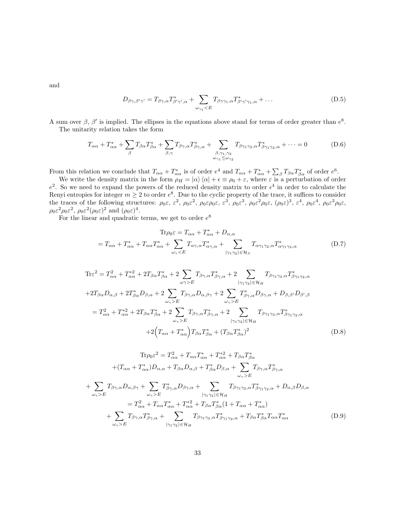and

$$
D_{\beta\gamma,\beta'\gamma'} = T_{\beta\gamma,\alpha} T_{\beta'\gamma',\alpha}^{*} + \sum_{\omega_{\gamma_1} < E} T_{\beta\gamma\gamma_1,\alpha} T_{\beta'\gamma'\gamma_1,\alpha}^{*} + \dots \tag{D.5}
$$

A sum over  $\beta$ ,  $\beta'$  is implied. The ellipses in the equations above stand for terms of order greater than  $e^8$ . The unitarity relation takes the form

$$
T_{\alpha\alpha} + T_{\alpha\alpha}^* + \sum_{\beta} T_{\beta\alpha} T_{\beta\alpha}^* + \sum_{\beta,\gamma} T_{\beta\gamma,\alpha} T_{\beta\gamma,\alpha}^* + \sum_{\substack{\beta,\gamma_1,\gamma_2 \\ \omega_{\gamma_1} \le \omega_{\gamma_2}}} T_{\beta\gamma_1\gamma_2,\alpha} T_{\beta\gamma_1\gamma_2,\alpha}^* + \dots = 0
$$
 (D.6)

From this relation we conclude that  $T_{\alpha\alpha} + T_{\alpha\alpha}^*$  is of order  $e^4$  and  $T_{\alpha\alpha} + T_{\alpha\alpha}^* + \sum_{\beta} T_{\beta\alpha} T_{\beta\alpha}^*$  of order  $e^6$ .

We write the density matrix in the form  $\rho_H = |\alpha\rangle \langle \alpha| + \epsilon \equiv \rho_0 + \epsilon$ , where  $\epsilon$  is a perturbation of order  $e^2$ . So we need to expand the powers of the reduced density matrix to order  $\epsilon^4$  in order to calculate the Renyi entropies for integer  $m \geq 2$  to order  $e^8$ . Due to the cyclic property of the trace, it suffices to consider the traces of the following structures:  $\rho_0 \varepsilon$ ,  $\varepsilon^2$ ,  $\rho_0 \varepsilon^2$ ,  $\rho_0 \varepsilon \rho_0 \varepsilon$ ,  $\varepsilon^3$ ,  $\rho_0 \varepsilon^3$ ,  $\rho_0 \varepsilon^2 \rho_0 \varepsilon$ ,  $(\rho_0 \varepsilon)^3$ ,  $\varepsilon^4$ ,  $\rho_0 \varepsilon^4$ ,  $\rho_0 \varepsilon^3 \rho_0 \varepsilon$ ,  $\rho_0 \varepsilon^2 \rho_0 \varepsilon^2$ ,  $\rho_0 \varepsilon^2 (\rho_0 \varepsilon)^2$  and  $(\rho_0 \varepsilon)^4$ .

For the linear and quadratic terms, we get to order  $e^8$ 

$$
\text{Tr}\rho_0 \varepsilon = T_{\alpha\alpha} + T_{\alpha\alpha}^* + D_{\alpha,\alpha}
$$
\n
$$
= T_{\alpha\alpha} + T_{\alpha\alpha}^* + T_{\alpha\alpha}T_{\alpha\alpha}^* + \sum_{\omega_\gamma < E} T_{\alpha\gamma,\alpha}T_{\alpha\gamma,\alpha}^* + \sum_{|\gamma_1\gamma_2\rangle \in \mathcal{H}_S} T_{\alpha\gamma_1\gamma_2,\alpha}T_{\alpha\gamma_1\gamma_2,\alpha}^* \tag{D.7}
$$

$$
\begin{split}\n\text{Tr}\varepsilon^{2} &= T_{\alpha\alpha}^{2} + T_{\alpha\alpha}^{*2} + 2T_{\beta\alpha}T_{\beta\alpha}^{*} + 2\sum_{\omega\gamma>E} T_{\beta\gamma,\alpha}T_{\beta\gamma,\alpha}^{*} + 2\sum_{|\gamma_{1}\gamma_{2}\rangle\in\mathcal{H}_{H}} T_{\beta\gamma_{1}\gamma_{2},\alpha}T_{\beta\gamma_{1}\gamma_{2},\alpha}^{*} \\
&+ 2T_{\beta\alpha}D_{\alpha,\beta} + 2T_{\beta\alpha}^{*}D_{\beta,\alpha} + 2\sum_{\omega_{\gamma>E}} T_{\beta\gamma,\alpha}D_{\alpha,\beta\gamma} + 2\sum_{\omega_{\gamma>E}} T_{\beta\gamma,\alpha}^{*}D_{\beta\gamma,\alpha} + D_{\beta,\beta'}D_{\beta',\beta} \\
&= T_{\alpha\alpha}^{2} + T_{\alpha\alpha}^{*2} + 2T_{\beta\alpha}T_{\beta\alpha}^{*} + 2\sum_{\omega_{\gamma>E}} T_{\beta\gamma,\alpha}T_{\beta\gamma,\alpha}^{*} + 2\sum_{|\gamma_{1}\gamma_{2}\rangle\in\mathcal{H}_{H}} T_{\beta\gamma_{1}\gamma_{2},\alpha}T_{\beta\gamma_{1}\gamma_{2},\alpha}^{*} \\
&+ 2\Big(T_{\alpha\alpha} + T_{\alpha\alpha}^{*}\Big)T_{\beta\alpha}T_{\beta\alpha}^{*} + (T_{\beta\alpha}T_{\beta\alpha}^{*})^{2}\n\end{split} \tag{D.8}
$$

$$
\text{Tr}\rho_0 \varepsilon^2 = T_{\alpha\alpha}^2 + T_{\alpha\alpha} T_{\alpha\alpha}^* + T_{\alpha\alpha}^{*2} + T_{\beta\alpha} T_{\beta\alpha}^*
$$
\n
$$
+ (T_{\alpha\alpha} + T_{\alpha\alpha}^*)D_{\alpha,\alpha} + T_{\beta\alpha}D_{\alpha,\beta} + T_{\beta\alpha}^*D_{\beta,\alpha} + \sum_{\omega_\gamma>E} T_{\beta\gamma,\alpha} T_{\beta\gamma,\alpha}^*
$$
\n
$$
+ \sum_{\omega_\gamma>E} T_{\beta\gamma,\alpha} D_{\alpha,\beta\gamma} + \sum_{\omega_\gamma>E} T_{\beta\gamma,\alpha}^* D_{\beta\gamma,\alpha} + \sum_{|\gamma_1\gamma_2\rangle \in \mathcal{H}_H} T_{\beta\gamma_1\gamma_2,\alpha} T_{\beta\gamma_1\gamma_2,\alpha}^* + D_{\alpha,\beta}D_{\beta,\alpha}
$$
\n
$$
= T_{\alpha\alpha}^2 + T_{\alpha\alpha} T_{\alpha\alpha}^* + T_{\alpha\alpha}^{*2} + T_{\beta\alpha} T_{\beta\alpha}^*(1 + T_{\alpha\alpha} + T_{\alpha\alpha}^*)
$$
\n
$$
+ \sum_{\omega_\gamma>E} T_{\beta\gamma,\alpha} T_{\beta\gamma,\alpha}^* + \sum_{|\gamma_1\gamma_2\rangle \in \mathcal{H}_H} T_{\beta\gamma_1\gamma_2,\alpha} T_{\beta\gamma_1\gamma_2,\alpha}^* + T_{\beta\alpha} T_{\beta\alpha}^* T_{\alpha\alpha} T_{\alpha\alpha}^*
$$
\n(D.9)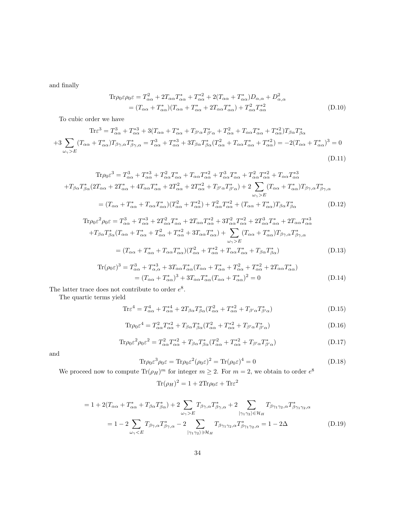and finally

$$
\mathrm{Tr}\rho_0 \varepsilon \rho_0 \varepsilon = T_{\alpha\alpha}^2 + 2T_{\alpha\alpha} T_{\alpha\alpha}^* + T_{\alpha\alpha}^{*2} + 2(T_{\alpha\alpha} + T_{\alpha\alpha}^*) D_{\alpha,\alpha} + D_{\alpha,\alpha}^2
$$
  
= 
$$
(T_{\alpha\alpha} + T_{\alpha\alpha}^*) (T_{\alpha\alpha} + T_{\alpha\alpha}^* + 2T_{\alpha\alpha} T_{\alpha\alpha}^*) + T_{\alpha\alpha}^2 T_{\alpha\alpha}^*
$$
 (D.10)

To cubic order we have

$$
\text{Tr}\varepsilon^{3} = T_{\alpha\alpha}^{3} + T_{\alpha\alpha}^{*3} + 3(T_{\alpha\alpha} + T_{\alpha\alpha}^{*} + T_{\beta'\alpha}T_{\beta'\alpha}^{*} + T_{\alpha\alpha}^{2} + T_{\alpha\alpha}T_{\alpha\alpha}^{*} + T_{\alpha\alpha}^{*2})T_{\beta\alpha}T_{\beta\alpha}^{*}
$$

$$
+3\sum_{\omega_{\gamma} > E} (T_{\alpha\alpha} + T_{\alpha\alpha}^{*})T_{\beta\gamma,\alpha}T_{\beta\gamma,\alpha}^{*} = T_{\alpha\alpha}^{3} + T_{\alpha\alpha}^{*3} + 3T_{\beta\alpha}T_{\beta\alpha}^{*}(T_{\alpha\alpha}^{2} + T_{\alpha\alpha}T_{\alpha\alpha}^{*} + T_{\alpha\alpha}^{*2}) = -2(T_{\alpha\alpha} + T_{\alpha\alpha}^{*})^{3} = 0
$$

$$
(D.11)
$$

$$
\text{Tr}\rho_0 \varepsilon^3 = T_{\alpha\alpha}^3 + T_{\alpha\alpha}^{*3} + T_{\alpha\alpha}^2 T_{\alpha\alpha}^* + T_{\alpha\alpha} T_{\alpha\alpha}^{*2} + T_{\alpha\alpha}^3 T_{\alpha\alpha}^* + T_{\alpha\alpha}^2 T_{\alpha\alpha}^{*3} + T_{\alpha\alpha} T_{\alpha\alpha}^{*3}
$$
\n
$$
+ T_{\beta\alpha} T_{\beta\alpha}^* (2T_{\alpha\alpha} + 2T_{\alpha\alpha}^* + 4T_{\alpha\alpha} T_{\alpha\alpha}^* + 2T_{\alpha\alpha}^2 + 2T_{\alpha\alpha}^* + T_{\beta'\alpha} T_{\beta'\alpha}^*) + 2 \sum_{\omega_\gamma > E} (T_{\alpha\alpha} + T_{\alpha\alpha}^*) T_{\beta\gamma,\alpha} T_{\beta\gamma,\alpha}^*
$$
\n
$$
= (T_{\alpha\alpha} + T_{\alpha\alpha}^* + T_{\alpha\alpha} T_{\alpha\alpha}^*) (T_{\alpha\alpha}^2 + T_{\alpha\alpha}^*) + T_{\alpha\alpha}^2 T_{\alpha\alpha}^* + (T_{\alpha\alpha} + T_{\alpha\alpha}^*) T_{\beta\alpha} T_{\beta\alpha}^* \tag{D.12}
$$

$$
\mathrm{Tr}\rho_0 \varepsilon^2 \rho_0 \varepsilon = T_{\alpha\alpha}^3 + T_{\alpha\alpha}^{*3} + 2T_{\alpha\alpha}^2 T_{\alpha\alpha}^* + 2T_{\alpha\alpha} T_{\alpha\alpha}^{*2} + 3T_{\alpha\alpha}^2 T_{\alpha\alpha}^{*2} + 2T_{\alpha\alpha}^3 T_{\alpha\alpha}^* + 2T_{\alpha\alpha} T_{\alpha\alpha}^{*3}
$$
  
\n
$$
+T_{\beta\alpha} T_{\beta\alpha}^* (T_{\alpha\alpha} + T_{\alpha\alpha}^* + T_{\alpha\alpha}^2 + T_{\alpha\alpha}^{*2} + 3T_{\alpha\alpha} T_{\alpha\alpha}^*) + \sum_{\omega_\gamma > E} (T_{\alpha\alpha} + T_{\alpha\alpha}^*) T_{\beta\gamma,\alpha} T_{\beta\gamma,\alpha}^*
$$
  
\n
$$
= (T_{\alpha\alpha} + T_{\alpha\alpha}^* + T_{\alpha\alpha} T_{\alpha\alpha}^*) (T_{\alpha\alpha}^2 + T_{\alpha\alpha}^{*2} + T_{\alpha\alpha} T_{\alpha\alpha}^* + T_{\beta\alpha} T_{\beta\alpha}^*)
$$
(D.13)

$$
\operatorname{Tr}(\rho_0 \varepsilon)^3 = T_{\alpha\alpha}^3 + T_{\alpha,\alpha}^{*3} + 3T_{\alpha\alpha} T_{\alpha\alpha}^* (T_{\alpha\alpha} + T_{\alpha\alpha}^* + T_{\alpha\alpha}^2 + T_{\alpha\alpha}^{*2} + 2T_{\alpha\alpha} T_{\alpha\alpha}^*)
$$
  
=  $(T_{\alpha\alpha} + T_{\alpha\alpha}^*)^3 + 3T_{\alpha\alpha} T_{\alpha\alpha}^* (T_{\alpha\alpha} + T_{\alpha\alpha}^*)^2 = 0$  (D.14)

The latter trace does not contribute to order  $e^8$ .

The quartic terms yield

$$
\text{Tr}\varepsilon^4 = T_{\alpha\alpha}^4 + T_{\alpha\alpha}^{*4} + 2T_{\beta\alpha}T_{\beta\alpha}^*(T_{\alpha\alpha}^2 + T_{\alpha\alpha}^{*2} + T_{\beta'\alpha}T_{\beta'\alpha}^*)
$$
(D.15)

$$
\text{Tr}\rho_0 \varepsilon^4 = T_{\alpha\alpha}^2 T_{\alpha\alpha}^{*2} + T_{\beta\alpha} T_{\beta\alpha}^* (T_{\alpha\alpha}^2 + T_{\alpha\alpha}^{*2} + T_{\beta'\alpha} T_{\beta'\alpha}^*)
$$
\n(D.16)

$$
\text{Tr}\rho_0 \varepsilon^2 \rho_0 \varepsilon^2 = T_{\alpha\alpha}^2 T_{\alpha\alpha}^{*2} + T_{\beta\alpha} T_{\beta\alpha}^* (T_{\alpha\alpha}^2 + T_{\alpha\alpha}^{*2} + T_{\beta'\alpha} T_{\beta'\alpha}^*)
$$
\n(D.17)

and

$$
\text{Tr}\rho_0 \varepsilon^3 \rho_0 \varepsilon = \text{Tr}\rho_0 \varepsilon^2 (\rho_0 \varepsilon)^2 = \text{Tr}(\rho_0 \varepsilon)^4 = 0 \tag{D.18}
$$

We proceed now to compute  $\text{Tr}(\rho_H)^m$  for integer  $m \geq 2$ . For  $m = 2$ , we obtain to order  $e^8$ 

$$
\text{Tr}(\rho_H)^2 = 1 + 2\text{Tr}\rho_0 \varepsilon + \text{Tr}\varepsilon^2
$$

$$
= 1 + 2(T_{\alpha\alpha} + T_{\alpha\alpha}^* + T_{\beta\alpha}T_{\beta\alpha}^*) + 2 \sum_{\omega_\gamma > E} T_{\beta\gamma,\alpha}T_{\beta\gamma,\alpha}^* + 2 \sum_{|\gamma_1\gamma_2\rangle \in \mathcal{H}_H} T_{\beta\gamma_1\gamma_2,\alpha}T_{\beta\gamma_1\gamma_2,\alpha}^*
$$
\n
$$
= 1 - 2 \sum_{\omega_\gamma < E} T_{\beta\gamma,\alpha}T_{\beta\gamma,\alpha}^* - 2 \sum_{|\gamma_1\gamma_2\rangle \ni\mathcal{H}_H} T_{\beta\gamma_1\gamma_2,\alpha}T_{\beta\gamma_1\gamma_2,\alpha}^* = 1 - 2\Delta \tag{D.19}
$$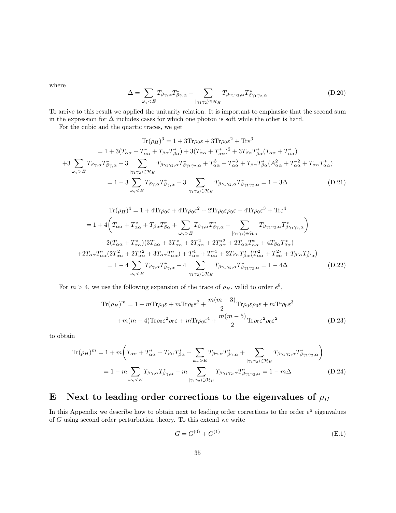where

$$
\Delta = \sum_{\omega_{\gamma} < E} T_{\beta\gamma,\alpha} T_{\beta\gamma,\alpha}^* - \sum_{|\gamma_1\gamma_2\rangle \ni \mathcal{H}_H} T_{\beta\gamma_1\gamma_2,\alpha} T_{\beta\gamma_1\gamma_2,\alpha}^* \tag{D.20}
$$

To arrive to this result we applied the unitarity relation. It is important to emphasise that the second sum in the expression for  $\Delta$  includes cases for which one photon is soft while the other is hard.

For the cubic and the quartic traces, we get

$$
\text{Tr}(\rho_H)^3 = 1 + 3\text{Tr}\rho_0 \varepsilon + 3\text{Tr}\rho_0 \varepsilon^2 + \text{Tr}\varepsilon^3
$$
  
\n
$$
= 1 + 3(T_{\alpha\alpha} + T_{\alpha\alpha}^* + T_{\beta\alpha} T_{\beta\alpha}^*) + 3(T_{\alpha\alpha} + T_{\alpha\alpha}^*)^2 + 3T_{\beta\alpha} T_{\beta\alpha}^*(T_{\alpha\alpha} + T_{\alpha\alpha}^*)
$$
  
\n
$$
+ 3 \sum_{\omega_\gamma > E} T_{\beta\gamma,\alpha} T_{\beta\gamma,\alpha}^* + 3 \sum_{|\gamma_1\gamma_2\rangle \in \mathcal{H}_H} T_{\beta\gamma_1\gamma_2,\alpha} T_{\beta\gamma_1\gamma_2,\alpha}^* + T_{\alpha\alpha}^3 + T_{\alpha\alpha}^* T_{\beta\alpha} T_{\beta\alpha}^*(A_{\alpha\alpha}^2 + T_{\alpha\alpha}^* + T_{\alpha\alpha} T_{\alpha\alpha}^*)
$$
  
\n
$$
= 1 - 3 \sum_{\omega_\gamma < E} T_{\beta\gamma,\alpha} T_{\beta\gamma,\alpha}^* - 3 \sum_{|\gamma_1\gamma_2\rangle \ni \mathcal{H}_H} T_{\beta\gamma_1\gamma_2,\alpha} T_{\beta\gamma_1\gamma_2,\alpha}^* = 1 - 3\Delta
$$
 (D.21)

$$
\text{Tr}(\rho_H)^4 = 1 + 4\text{Tr}\rho_0 \varepsilon + 4\text{Tr}\rho_0 \varepsilon^2 + 2\text{Tr}\rho_0 \varepsilon \rho_0 \varepsilon + 4\text{Tr}\rho_0 \varepsilon^3 + \text{Tr}\varepsilon^4
$$
\n
$$
= 1 + 4\left(T_{\alpha\alpha} + T_{\alpha\alpha}^* + T_{\beta\alpha} T_{\beta\alpha}^* + \sum_{\omega_\gamma > E} T_{\beta\gamma,\alpha} T_{\beta\gamma,\alpha}^* + \sum_{|\gamma_1\gamma_2\rangle \in \mathcal{H}_H} T_{\beta\gamma_1\gamma_2,\alpha} T_{\beta\gamma_1\gamma_2,\alpha}^* \right)
$$
\n
$$
+ 2(T_{\alpha\alpha} + T_{\alpha\alpha}^*)(3T_{\alpha\alpha} + 3T_{\alpha\alpha}^* + 2T_{\alpha\alpha}^2 + 2T_{\alpha\alpha}^* + 2T_{\alpha\alpha} T_{\alpha\alpha}^* + 4T_{\beta\alpha} T_{\beta\alpha}^*)
$$
\n
$$
+ 2T_{\alpha\alpha} T_{\alpha\alpha}^*(2T_{\alpha\alpha}^2 + 2T_{\alpha\alpha}^* + 3T_{\alpha\alpha} T_{\alpha\alpha}^*) + T_{\alpha\alpha}^4 + T_{\alpha\alpha}^{*4} + 2T_{\beta\alpha} T_{\beta\alpha}^*(T_{\alpha\alpha}^2 + T_{\alpha\alpha}^{2*} + T_{\beta'\alpha} T_{\beta'\alpha}^*)
$$
\n
$$
= 1 - 4 \sum_{\omega_\gamma < E} T_{\beta\gamma,\alpha} T_{\beta\gamma,\alpha}^* - 4 \sum_{|\gamma_1\gamma_2\rangle \ni \mathcal{H}_H} T_{\beta\gamma_1\gamma_2,\alpha} T_{\beta\gamma_1\gamma_2,\alpha}^* = 1 - 4\Delta \tag{D.22}
$$

For  $m > 4$ , we use the following expansion of the trace of  $\rho_H$ , valid to order  $e^8$ ,

$$
\text{Tr}(\rho_H)^m = 1 + m \text{Tr}\rho_0 \varepsilon + m \text{Tr}\rho_0 \varepsilon^2 + \frac{m(m-3)}{2} \text{Tr}\rho_0 \varepsilon \rho_0 \varepsilon + m \text{Tr}\rho_0 \varepsilon^3
$$

$$
+ m(m-4) \text{Tr}\rho_0 \varepsilon^2 \rho_0 \varepsilon + m \text{Tr}\rho_0 \varepsilon^4 + \frac{m(m-5)}{2} \text{Tr}\rho_0 \varepsilon^2 \rho_0 \varepsilon^2 \tag{D.23}
$$

to obtain

$$
\text{Tr}(\rho_H)^m = 1 + m \bigg( T_{\alpha\alpha} + T_{\alpha\alpha}^* + T_{\beta\alpha} T_{\beta\alpha}^* + \sum_{\omega_\gamma > E} T_{\beta\gamma,\alpha} T_{\beta\gamma,\alpha}^* + \sum_{|\gamma_1\gamma_2\rangle \in \mathcal{H}_H} T_{\beta\gamma_1\gamma_2,\alpha} T_{\beta\gamma_1\gamma_2,\alpha}^* \bigg)
$$
\n
$$
= 1 - m \sum_{\omega_\gamma < E} T_{\beta\gamma,\alpha} T_{\beta\gamma,\alpha}^* - m \sum_{|\gamma_1\gamma_2\rangle \ni \mathcal{H}_H} T_{\beta\gamma_1\gamma_2,\alpha} T_{\beta\gamma_1\gamma_2,\alpha}^* = 1 - m\Delta \tag{D.24}
$$

# <span id="page-34-0"></span>E Next to leading order corrections to the eigenvalues of  $\rho_H$

In this Appendix we describe how to obtain next to leading order corrections to the order  $e^6$  eigenvalues of G using second order perturbation theory. To this extend we write

$$
G = G^{(0)} + G^{(1)} \tag{E.1}
$$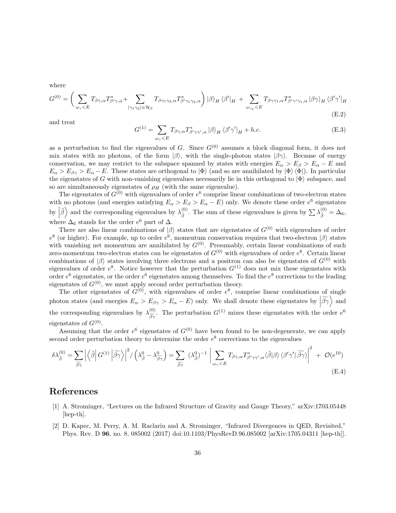where

$$
G^{(0)} = \left(\sum_{\omega_{\gamma} < E} T_{\beta\gamma,\alpha} T_{\beta'\gamma,\alpha}^{*} + \sum_{|\gamma_1\gamma_2\rangle \in \mathcal{H}_S} T_{\beta\gamma_1\gamma_2,\alpha} T_{\beta'\gamma_1\gamma_2,\alpha}^{*}\right) |\beta\rangle_H \langle \beta'|_H + \sum_{\omega_{\gamma_1} < E} T_{\beta\gamma\gamma_1,\alpha} T_{\beta'\gamma'\gamma_1,\alpha}^{*} |\beta\gamma\rangle_H \langle \beta'\gamma'|_H
$$
\n(E.2)

and treat

$$
G^{(1)} = \sum_{\omega_{\gamma} < E} T_{\beta\gamma,\alpha} T_{\beta'\gamma\gamma',\alpha}^* \, |\beta\rangle_H \, \langle \beta'\gamma'|_H + h.c. \tag{E.3}
$$

as a perturbation to find the eigenvalues of G. Since  $G^{(0)}$  assumes a block diagonal form, it does not mix states with no photons, of the form  $|\beta\rangle$ , with the single-photon states  $|\beta\gamma\rangle$ . Because of energy conservation, we may restrict to the subspace spanned by states with energies  $E_{\alpha} > E_{\beta} > E_{\alpha} - E$  and  $E_{\alpha} > E_{\beta\gamma} > E_{\alpha} - E$ . These states are orthogonal to  $|\Phi\rangle$  (and so are annihilated by  $|\Phi\rangle \langle \Phi|$ ). In particular the eigenstates of G with non-vanishing eigenvalues necessarily lie in this orthogonal to  $|\Phi\rangle$  subspace, and so are simultaneously eigenstates of  $\rho_H$  (with the same eigenvalue).

The eigenstates of  $G^{(0)}$  with eigenvalues of order  $e^6$  comprise linear combinations of two-electron states with no photons (and energies satisfying  $E_{\alpha} > E_{\beta} > E_{\alpha} - E$ ) only. We denote these order  $e^6$  eigenstates by  $|\tilde{\beta}\rangle$  and the corresponding eigenvalues by  $\lambda_{\tilde{\beta}}^{(0)}$ <sup>(0)</sup>. The sum of these eigenvalues is given by  $\sum_{\tilde{\beta}} \lambda_{\tilde{\beta}}^{(0)} = \Delta_6$ , where  $\Delta_6$  stands for the order  $e^6$  part of  $\Delta$ .

There are also linear combinations of  $|\beta\rangle$  states that are eigenstates of  $G^{(0)}$  with eigenvalues of order e 8 (or higher). For example, up to order  $e^6$ , momentum conservation requires that two-electron  $|\beta\rangle$  states with vanishing net momentum are annihilated by  $G^{(0)}$ . Presumably, certain linear combinations of such zero-momentum two-electron states can be eigenstates of  $G^{(0)}$  with eigenvalues of order  $e^{8}$ . Certain linear combinations of  $|\beta\rangle$  states involving three electrons and a positron can also be eigenstates of  $G^{(0)}$  with eigenvalues of order  $e^8$ . Notice however that the perturbation  $G^{(1)}$  does not mix these eigenstates with order  $e^6$  eigenstates, or the order  $e^6$  eigenstates among themselves. To find the  $e^8$  corrections to the leading eigenstates of  $G^{(0)}$ , we must apply second order perturbation theory.

The other eigenstates of  $G^{(0)}$ , with eigenvalues of order  $e^8$ , comprise linear combinations of single photon states (and energies  $E_{\alpha} > E_{\beta\gamma} > E_{\alpha} - E$ ) only. We shall denote these eigenstates by  $|\widetilde{\beta\gamma}\rangle$  and the corresponding eigenvalues by  $\lambda_{\beta\gamma}^{(0)}$ . The perturbation  $G^{(1)}$  mixes these eigenstates with the order  $e^6$ eigenstates of  $G^{(0)}$ .

Assuming that the order  $e^6$  eigenstates of  $G^{(0)}$  have been found to be non-degenerate, we can apply second order perturbation theory to determine the order  $e^8$  corrections to the eigenvalues

$$
\delta\lambda_{\tilde{\beta}}^{(0)} = \sum_{\tilde{\beta}\tilde{\gamma}} \left| \left\langle \tilde{\beta} \right| G^{(1)} \left| \tilde{\beta}\tilde{\gamma} \right\rangle \right|^2 / \left( \lambda_{\tilde{\beta}}^0 - \lambda_{\tilde{\beta}\tilde{\gamma}}^0 \right) = \sum_{\tilde{\beta}\tilde{\gamma}} (\lambda_{\tilde{\beta}}^0)^{-1} \left| \sum_{\omega_{\gamma} < E} T_{\beta\gamma,\alpha} T_{\beta'\gamma\gamma',\alpha}^* \langle \tilde{\beta} | \beta \rangle \langle \beta'\gamma' | \tilde{\beta}\tilde{\gamma} \rangle \right|^2 + \mathcal{O}(e^{10}) \tag{E.4}
$$

## References

- <span id="page-35-0"></span>[1] A. Strominger, "Lectures on the Infrared Structure of Gravity and Gauge Theory," arXiv:1703.05448 [hep-th].
- <span id="page-35-1"></span>[2] D. Kapec, M. Perry, A. M. Raclariu and A. Strominger, "Infrared Divergences in QED, Revisited," Phys. Rev. D 96, no. 8, 085002 (2017) doi:10.1103/PhysRevD.96.085002 [arXiv:1705.04311 [hep-th]].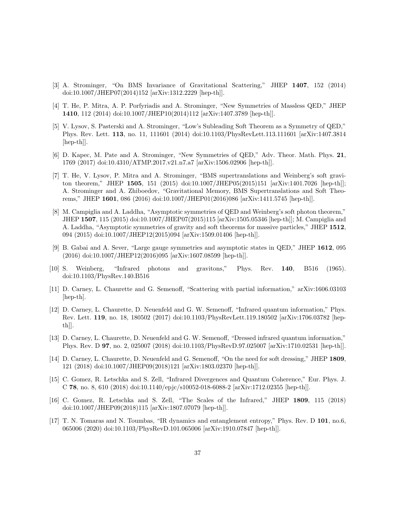- <span id="page-36-0"></span>[3] A. Strominger, "On BMS Invariance of Gravitational Scattering," JHEP 1407, 152 (2014) doi:10.1007/JHEP07(2014)152 [arXiv:1312.2229 [hep-th]].
- <span id="page-36-1"></span>[4] T. He, P. Mitra, A. P. Porfyriadis and A. Strominger, "New Symmetries of Massless QED," JHEP 1410, 112 (2014) doi:10.1007/JHEP10(2014)112 [arXiv:1407.3789 [hep-th]].
- <span id="page-36-2"></span>[5] V. Lysov, S. Pasterski and A. Strominger, "Low's Subleading Soft Theorem as a Symmetry of QED," Phys. Rev. Lett. 113, no. 11, 111601 (2014) doi:10.1103/PhysRevLett.113.111601 [arXiv:1407.3814 [hep-th]].
- <span id="page-36-3"></span>[6] D. Kapec, M. Pate and A. Strominger, "New Symmetries of QED," Adv. Theor. Math. Phys. 21, 1769 (2017) doi:10.4310/ATMP.2017.v21.n7.a7 [arXiv:1506.02906 [hep-th]].
- <span id="page-36-4"></span>[7] T. He, V. Lysov, P. Mitra and A. Strominger, "BMS supertranslations and Weinberg's soft graviton theorem," JHEP 1505, 151 (2015) doi:10.1007/JHEP05(2015)151 [arXiv:1401.7026 [hep-th]]; A. Strominger and A. Zhiboedov, "Gravitational Memory, BMS Supertranslations and Soft Theorems," JHEP 1601, 086 (2016) doi:10.1007/JHEP01(2016)086 [arXiv:1411.5745 [hep-th]].
- <span id="page-36-5"></span>[8] M. Campiglia and A. Laddha, "Asymptotic symmetries of QED and Weinberg's soft photon theorem," JHEP 1507, 115 (2015) doi:10.1007/JHEP07(2015)115 [arXiv:1505.05346 [hep-th]]; M. Campiglia and A. Laddha, "Asymptotic symmetries of gravity and soft theorems for massive particles," JHEP 1512, 094 (2015) doi:10.1007/JHEP12(2015)094 [arXiv:1509.01406 [hep-th]].
- <span id="page-36-6"></span>[9] B. Gabai and A. Sever, "Large gauge symmetries and asymptotic states in QED," JHEP 1612, 095 (2016) doi:10.1007/JHEP12(2016)095 [arXiv:1607.08599 [hep-th]].
- <span id="page-36-7"></span>[10] S. Weinberg, "Infrared photons and gravitons," Phys. Rev. 140, B516 (1965). doi:10.1103/PhysRev.140.B516
- <span id="page-36-8"></span>[11] D. Carney, L. Chaurette and G. Semenoff, "Scattering with partial information," arXiv:1606.03103 [hep-th].
- <span id="page-36-9"></span>[12] D. Carney, L. Chaurette, D. Neuenfeld and G. W. Semenoff, "Infrared quantum information," Phys. Rev. Lett. 119, no. 18, 180502 (2017) doi:10.1103/PhysRevLett.119.180502 [arXiv:1706.03782 [hepth]].
- <span id="page-36-10"></span>[13] D. Carney, L. Chaurette, D. Neuenfeld and G. W. Semenoff, "Dressed infrared quantum information," Phys. Rev. D 97, no. 2, 025007 (2018) doi:10.1103/PhysRevD.97.025007 [arXiv:1710.02531 [hep-th]].
- <span id="page-36-11"></span>[14] D. Carney, L. Chaurette, D. Neuenfeld and G. Semenoff, "On the need for soft dressing," JHEP 1809, 121 (2018) doi:10.1007/JHEP09(2018)121 [arXiv:1803.02370 [hep-th]].
- <span id="page-36-12"></span>[15] C. Gomez, R. Letschka and S. Zell, "Infrared Divergences and Quantum Coherence," Eur. Phys. J. C 78, no. 8, 610 (2018) doi:10.1140/epjc/s10052-018-6088-2 [arXiv:1712.02355 [hep-th]].
- <span id="page-36-13"></span>[16] C. Gomez, R. Letschka and S. Zell, "The Scales of the Infrared," JHEP 1809, 115 (2018) doi:10.1007/JHEP09(2018)115 [arXiv:1807.07079 [hep-th]].
- <span id="page-36-14"></span>[17] T. N. Tomaras and N. Toumbas, "IR dynamics and entanglement entropy," Phys. Rev. D 101, no.6, 065006 (2020) doi:10.1103/PhysRevD.101.065006 [arXiv:1910.07847 [hep-th]].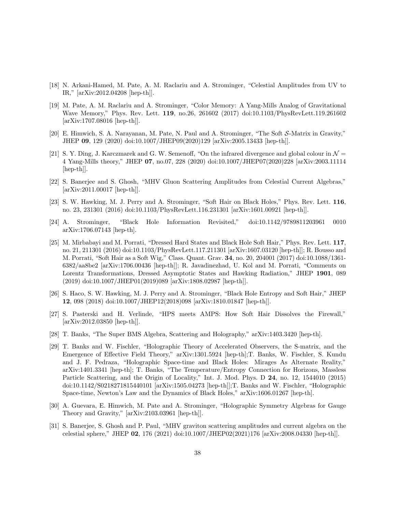- <span id="page-37-0"></span>[18] N. Arkani-Hamed, M. Pate, A. M. Raclariu and A. Strominger, "Celestial Amplitudes from UV to IR," [arXiv:2012.04208 [hep-th]].
- <span id="page-37-1"></span>[19] M. Pate, A. M. Raclariu and A. Strominger, "Color Memory: A Yang-Mills Analog of Gravitational Wave Memory," Phys. Rev. Lett. 119, no.26, 261602 (2017) doi:10.1103/PhysRevLett.119.261602 [arXiv:1707.08016 [hep-th]].
- <span id="page-37-2"></span>[20] E. Himwich, S. A. Narayanan, M. Pate, N. Paul and A. Strominger, "The Soft S-Matrix in Gravity," JHEP 09, 129 (2020) doi:10.1007/JHEP09(2020)129 [arXiv:2005.13433 [hep-th]].
- <span id="page-37-3"></span>[21] S. Y. Ding, J. Karczmarek and G. W. Semenoff, "On the infrared divergence and global colour in  $\mathcal{N} =$ 4 Yang-Mills theory," JHEP 07, no.07, 228 (2020) doi:10.1007/JHEP07(2020)228 [arXiv:2003.11114 [hep-th]].
- <span id="page-37-4"></span>[22] S. Banerjee and S. Ghosh, "MHV Gluon Scattering Amplitudes from Celestial Current Algebras," [arXiv:2011.00017 [hep-th]].
- <span id="page-37-5"></span>[23] S. W. Hawking, M. J. Perry and A. Strominger, "Soft Hair on Black Holes," Phys. Rev. Lett. 116, no. 23, 231301 (2016) doi:10.1103/PhysRevLett.116.231301 [arXiv:1601.00921 [hep-th]].
- <span id="page-37-6"></span>[24] A. Strominger, "Black Hole Information Revisited," doi:10.1142/9789811203961 0010 arXiv:1706.07143 [hep-th].
- <span id="page-37-7"></span>[25] M. Mirbabayi and M. Porrati, "Dressed Hard States and Black Hole Soft Hair," Phys. Rev. Lett. 117, no. 21, 211301 (2016) doi:10.1103/PhysRevLett.117.211301 [arXiv:1607.03120 [hep-th]]; R. Bousso and M. Porrati, "Soft Hair as a Soft Wig," Class. Quant. Grav. 34, no. 20, 204001 (2017) doi:10.1088/1361- 6382/aa8be2 [arXiv:1706.00436 [hep-th]]; R. Javadinezhad, U. Kol and M. Porrati, "Comments on Lorentz Transformations, Dressed Asymptotic States and Hawking Radiation," JHEP 1901, 089 (2019) doi:10.1007/JHEP01(2019)089 [arXiv:1808.02987 [hep-th]].
- <span id="page-37-8"></span>[26] S. Haco, S. W. Hawking, M. J. Perry and A. Strominger, "Black Hole Entropy and Soft Hair," JHEP 12, 098 (2018) doi:10.1007/JHEP12(2018)098 [arXiv:1810.01847 [hep-th]].
- <span id="page-37-9"></span>[27] S. Pasterski and H. Verlinde, "HPS meets AMPS: How Soft Hair Dissolves the Firewall," [arXiv:2012.03850 [hep-th]].
- <span id="page-37-10"></span>[28] T. Banks, "The Super BMS Algebra, Scattering and Holography," arXiv:1403.3420 [hep-th].
- <span id="page-37-11"></span>[29] T. Banks and W. Fischler, "Holographic Theory of Accelerated Observers, the S-matrix, and the Emergence of Effective Field Theory," arXiv:1301.5924 [hep-th];T. Banks, W. Fischler, S. Kundu and J. F. Pedraza, "Holographic Space-time and Black Holes: Mirages As Alternate Reality," arXiv:1401.3341 [hep-th]; T. Banks, "The Temperature/Entropy Connection for Horizons, Massless Particle Scattering, and the Origin of Locality," Int. J. Mod. Phys. D 24, no. 12, 1544010 (2015) doi:10.1142/S0218271815440101 [arXiv:1505.04273 [hep-th]];T. Banks and W. Fischler, "Holographic Space-time, Newton's Law and the Dynamics of Black Holes," arXiv:1606.01267 [hep-th].
- <span id="page-37-12"></span>[30] A. Guevara, E. Himwich, M. Pate and A. Strominger, "Holographic Symmetry Algebras for Gauge Theory and Gravity," [arXiv:2103.03961 [hep-th]].
- <span id="page-37-13"></span>[31] S. Banerjee, S. Ghosh and P. Paul, "MHV graviton scattering amplitudes and current algebra on the celestial sphere," JHEP 02, 176 (2021) doi:10.1007/JHEP02(2021)176 [arXiv:2008.04330 [hep-th]].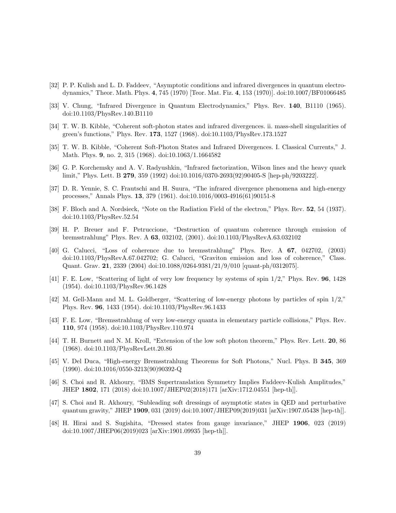- <span id="page-38-0"></span>[32] P. P. Kulish and L. D. Faddeev, "Asymptotic conditions and infrared divergences in quantum electrodynamics," Theor. Math. Phys. 4, 745 (1970) [Teor. Mat. Fiz. 4, 153 (1970)]. doi:10.1007/BF01066485
- <span id="page-38-1"></span>[33] V. Chung, "Infrared Divergence in Quantum Electrodynamics," Phys. Rev. 140, B1110 (1965). doi:10.1103/PhysRev.140.B1110
- <span id="page-38-2"></span>[34] T. W. B. Kibble, "Coherent soft-photon states and infrared divergences. ii. mass-shell singularities of green's functions," Phys. Rev. 173, 1527 (1968). doi:10.1103/PhysRev.173.1527
- <span id="page-38-3"></span>[35] T. W. B. Kibble, "Coherent Soft-Photon States and Infrared Divergences. I. Classical Currents," J. Math. Phys. **9**, no. 2, 315 (1968). doi:10.1063/1.1664582
- <span id="page-38-4"></span>[36] G. P. Korchemsky and A. V. Radyushkin, "Infrared factorization, Wilson lines and the heavy quark limit," Phys. Lett. B 279, 359 (1992) doi:10.1016/0370-2693(92)90405-S [hep-ph/9203222].
- <span id="page-38-5"></span>[37] D. R. Yennie, S. C. Frautschi and H. Suura, "The infrared divergence phenomena and high-energy processes," Annals Phys. 13, 379 (1961). doi:10.1016/0003-4916(61)90151-8
- <span id="page-38-6"></span>[38] F. Bloch and A. Nordsieck, "Note on the Radiation Field of the electron," Phys. Rev. 52, 54 (1937). doi:10.1103/PhysRev.52.54
- <span id="page-38-7"></span>[39] H. P. Breuer and F. Petruccione, "Destruction of quantum coherence through emission of bremsstrahlung" Phys. Rev. A 63, 032102, (2001). doi:10.1103/PhysRevA.63.032102
- <span id="page-38-8"></span>[40] G. Calucci, "Loss of coherence due to bremsstrahlung" Phys. Rev. A 67, 042702, (2003) doi:10.1103/PhysRevA.67.042702; G. Calucci, "Graviton emission and loss of coherence," Class. Quant. Grav. 21, 2339 (2004) doi:10.1088/0264-9381/21/9/010 [quant-ph/0312075].
- <span id="page-38-9"></span>[41] F. E. Low, "Scattering of light of very low frequency by systems of spin 1/2," Phys. Rev. 96, 1428 (1954). doi:10.1103/PhysRev.96.1428
- <span id="page-38-10"></span>[42] M. Gell-Mann and M. L. Goldberger, "Scattering of low-energy photons by particles of spin 1/2," Phys. Rev. 96, 1433 (1954). doi:10.1103/PhysRev.96.1433
- <span id="page-38-11"></span>[43] F. E. Low, "Bremsstrahlung of very low-energy quanta in elementary particle collisions," Phys. Rev. 110, 974 (1958). doi:10.1103/PhysRev.110.974
- <span id="page-38-12"></span>[44] T. H. Burnett and N. M. Kroll, "Extension of the low soft photon theorem," Phys. Rev. Lett. 20, 86 (1968). doi:10.1103/PhysRevLett.20.86
- <span id="page-38-13"></span>[45] V. Del Duca, "High-energy Bremsstrahlung Theorems for Soft Photons," Nucl. Phys. B 345, 369 (1990). doi:10.1016/0550-3213(90)90392-Q
- <span id="page-38-14"></span>[46] S. Choi and R. Akhoury, "BMS Supertranslation Symmetry Implies Faddeev-Kulish Amplitudes," JHEP 1802, 171 (2018) doi:10.1007/JHEP02(2018)171 [arXiv:1712.04551 [hep-th]].
- <span id="page-38-15"></span>[47] S. Choi and R. Akhoury, "Subleading soft dressings of asymptotic states in QED and perturbative quantum gravity," JHEP 1909, 031 (2019) doi:10.1007/JHEP09(2019)031 [arXiv:1907.05438 [hep-th]].
- <span id="page-38-16"></span>[48] H. Hirai and S. Sugishita, "Dressed states from gauge invariance," JHEP 1906, 023 (2019) doi:10.1007/JHEP06(2019)023 [arXiv:1901.09935 [hep-th]].